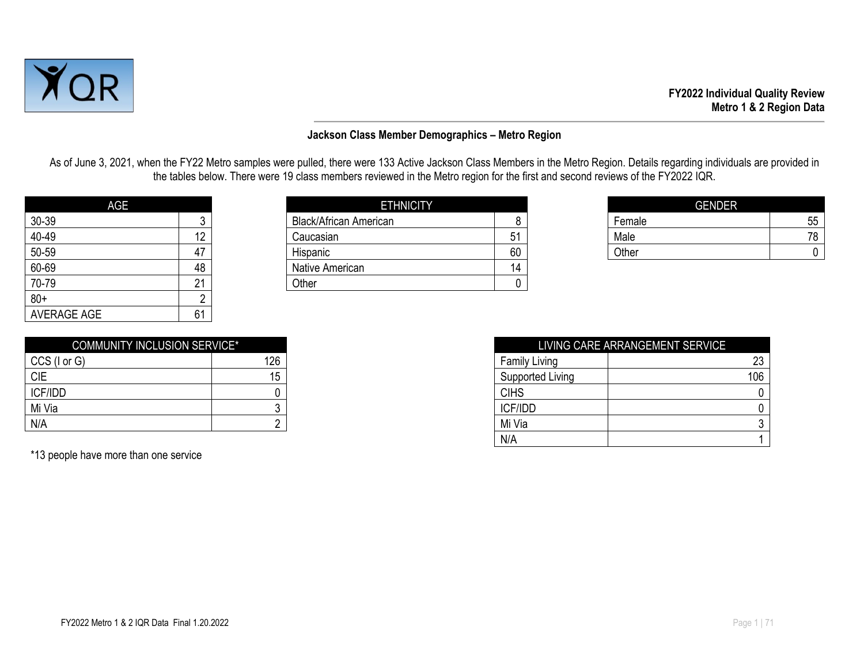

#### **Jackson Class Member Demographics – Metro Region**

As of June 3, 2021, when the FY22 Metro samples were pulled, there were 133 Active Jackson Class Members in the Metro Region. Details regarding individuals are provided in the tables below. There were 19 class members reviewed in the Metro region for the first and second reviews of the FY2022 IQR.

| AGE                |    |
|--------------------|----|
| 30-39              | 3  |
| 40-49              | 12 |
| 50-59              | 47 |
| 60-69              | 48 |
| 70-79              | 21 |
| $80+$              | 2  |
| <b>AVERAGE AGE</b> | 61 |

| <b>AGE</b> |    | <b>ETHNICITY</b>              |    |        | <b>GENDER</b> |
|------------|----|-------------------------------|----|--------|---------------|
| 30-39      |    | <b>Black/African American</b> |    | Female | 55            |
| 40-49      | 12 | Caucasian                     | 51 | Male   | 78            |
| 50-59      | 47 | Hispanic                      | 60 | Other  |               |
| 60-69      | 48 | Native American               | 14 |        |               |
| 70-79      | ົ  | Other                         |    |        |               |
| $ -$       |    |                               |    |        |               |

| <b>GENDER</b> |    |
|---------------|----|
| Female        | 55 |
| Male          | 70 |
| Other         |    |

| <b>COMMUNITY INCLUSION SERVICE*</b> |     |
|-------------------------------------|-----|
| CCS (I or G)                        | 126 |
| <b>CIE</b>                          | 15  |
| ICF/IDD                             |     |
| Mi Via                              |     |
| N/A                                 |     |

\*13 people have more than one service

| <b>COMMUNITY INCLUSION SERVICE*</b> |     |                      | LIVING CARE ARRANGEMENT SERVICE |
|-------------------------------------|-----|----------------------|---------------------------------|
| CCS (I or G)                        | 126 | <b>Family Living</b> | 23                              |
| <b>CIE</b>                          | 15  | Supported Living     | 106                             |
| <b>ICF/IDD</b>                      |     | <b>CIHS</b>          |                                 |
| Mi Via                              |     | ICF/IDD              |                                 |
| N/A                                 |     | Mi Via               |                                 |
|                                     |     | N/A                  |                                 |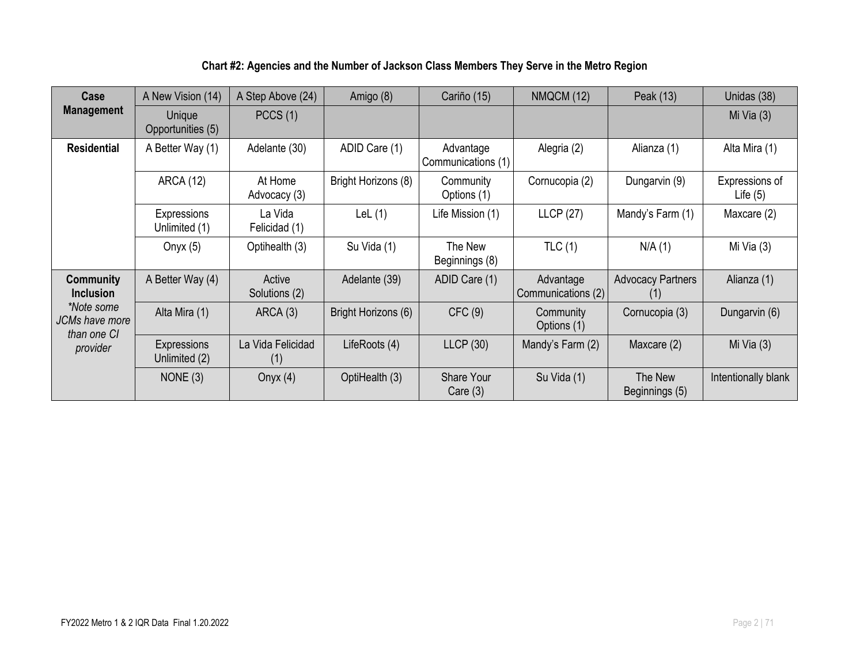### **Chart #2: Agencies and the Number of Jackson Class Members They Serve in the Metro Region**

| Case                                 | A New Vision (14)                                  | A Step Above (24)        | Amigo (8)                       | Cariño (15)                     | NMQCM (12)                      | Peak (13)                       | Unidas (38)                  |
|--------------------------------------|----------------------------------------------------|--------------------------|---------------------------------|---------------------------------|---------------------------------|---------------------------------|------------------------------|
| <b>Management</b>                    | Unique<br>Opportunities (5)                        | PCCS(1)                  |                                 |                                 |                                 |                                 | Mi Via $(3)$                 |
| <b>Residential</b>                   | ADID Care (1)<br>A Better Way (1)<br>Adelante (30) |                          | Advantage<br>Communications (1) | Alegria (2)                     | Alianza (1)                     | Alta Mira (1)                   |                              |
|                                      | <b>ARCA (12)</b>                                   | At Home<br>Advocacy (3)  | Bright Horizons (8)             | Community<br>Options (1)        | Cornucopia (2)                  | Dungarvin (9)                   | Expressions of<br>Life $(5)$ |
|                                      | Expressions<br>Unlimited (1)                       | La Vida<br>Felicidad (1) | LeL $(1)$                       | Life Mission (1)                | <b>LLCP (27)</b>                | Mandy's Farm (1)                | Maxcare (2)                  |
|                                      | Onyx $(5)$                                         | Optihealth (3)           | Su Vida (1)                     | The New<br>Beginnings (8)       | TLC(1)                          | N/A(1)                          | Mi Via $(3)$                 |
| <b>Community</b><br><b>Inclusion</b> | A Better Way (4)                                   | Active<br>Solutions (2)  | Adelante (39)                   | ADID Care (1)                   | Advantage<br>Communications (2) | <b>Advocacy Partners</b><br>(1) | Alianza (1)                  |
| *Note some<br>JCMs have more         | Alta Mira (1)                                      | ARCA (3)                 | Bright Horizons (6)             | CFC(9)                          | Community<br>Options (1)        | Cornucopia (3)                  | Dungarvin (6)                |
| than one CI<br>provider              | Expressions<br>Unlimited (2)                       | La Vida Felicidad<br>(1) | LifeRoots (4)                   | LLCP(30)                        | Mandy's Farm (2)                | Maxcare (2)                     | Mi Via $(3)$                 |
|                                      | NONE $(3)$                                         | Onyx $(4)$               | OptiHealth (3)                  | <b>Share Your</b><br>Care $(3)$ | Su Vida (1)                     | The New<br>Beginnings (5)       | Intentionally blank          |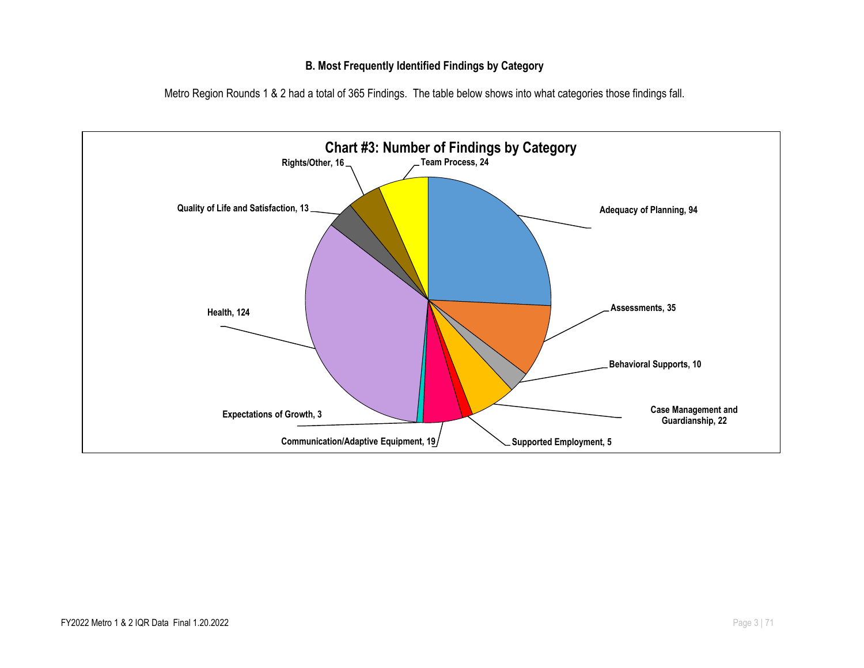#### **B. Most Frequently Identified Findings by Category**

Metro Region Rounds 1 & 2 had a total of 365 Findings. The table below shows into what categories those findings fall.

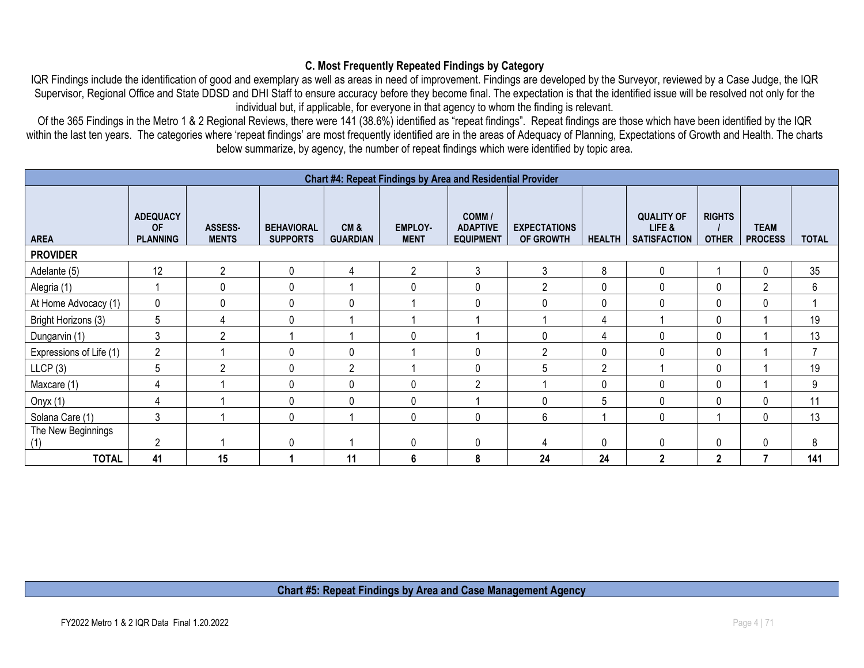#### **C. Most Frequently Repeated Findings by Category**

IQR Findings include the identification of good and exemplary as well as areas in need of improvement. Findings are developed by the Surveyor, reviewed by a Case Judge, the IQR Supervisor, Regional Office and State DDSD and DHI Staff to ensure accuracy before they become final. The expectation is that the identified issue will be resolved not only for the individual but, if applicable, for everyone in that agency to whom the finding is relevant.

Of the 365 Findings in the Metro 1 & 2 Regional Reviews, there were 141 (38.6%) identified as "repeat findings". Repeat findings are those which have been identified by the IQR within the last ten years. The categories where 'repeat findings' are most frequently identified are in the areas of Adequacy of Planning, Expectations of Growth and Health. The charts below summarize, by agency, the number of repeat findings which were identified by topic area.

|                           | Chart #4: Repeat Findings by Area and Residential Provider |                         |                                      |                        |                               |                                               |                                  |                |                                                    |                               |                               |              |  |
|---------------------------|------------------------------------------------------------|-------------------------|--------------------------------------|------------------------|-------------------------------|-----------------------------------------------|----------------------------------|----------------|----------------------------------------------------|-------------------------------|-------------------------------|--------------|--|
| <b>AREA</b>               | <b>ADEQUACY</b><br><b>OF</b><br><b>PLANNING</b>            | ASSESS-<br><b>MENTS</b> | <b>BEHAVIORAL</b><br><b>SUPPORTS</b> | CM&<br><b>GUARDIAN</b> | <b>EMPLOY-</b><br><b>MENT</b> | COMM /<br><b>ADAPTIVE</b><br><b>EQUIPMENT</b> | <b>EXPECTATIONS</b><br>OF GROWTH | <b>HEALTH</b>  | <b>QUALITY OF</b><br>LIFE &<br><b>SATISFACTION</b> | <b>RIGHTS</b><br><b>OTHER</b> | <b>TEAM</b><br><b>PROCESS</b> | <b>TOTAL</b> |  |
| <b>PROVIDER</b>           |                                                            |                         |                                      |                        |                               |                                               |                                  |                |                                                    |                               |                               |              |  |
| Adelante (5)              | 12                                                         | $\overline{2}$          | 0                                    | 4                      | $\overline{2}$                | 3                                             | 3                                | 8              | $\mathbf 0$                                        |                               | 0                             | 35           |  |
| Alegria (1)               |                                                            | 0                       | 0                                    |                        | $\Omega$                      | 0                                             | $\overline{2}$                   | 0              | 0                                                  | $\mathbf{0}$                  | $\overline{2}$                | 6            |  |
| At Home Advocacy (1)      | 0                                                          | $\mathbf 0$             | 0                                    | 0                      |                               | 0                                             | $\mathbf{0}$                     | 0              | 0                                                  | $\mathbf{0}$                  | 0                             |              |  |
| Bright Horizons (3)       | 5                                                          |                         | 0                                    |                        |                               |                                               |                                  | 4              |                                                    | $\mathbf{0}$                  |                               | 19           |  |
| Dungarvin (1)             | 3                                                          | $\overline{2}$          |                                      |                        | $\mathbf{0}$                  |                                               | 0                                | 4              | 0                                                  | $\mathbf{0}$                  |                               | 13           |  |
| Expressions of Life (1)   | $\overline{2}$                                             |                         | 0                                    | 0                      |                               | $\Omega$                                      | $\overline{2}$                   | 0              | $\Omega$                                           | 0                             |                               | 7            |  |
| LLCP(3)                   | 5                                                          | $\overline{2}$          | 0                                    | $\overline{2}$         |                               | 0                                             | 5                                | $\overline{2}$ |                                                    | $\mathbf{0}$                  |                               | 19           |  |
| Maxcare (1)               | 4                                                          |                         | 0                                    | 0                      | $\mathbf{0}$                  | $\mathfrak{p}$                                |                                  | 0              | 0                                                  | $\mathbf{0}$                  |                               | 9            |  |
| Onyx $(1)$                | 4                                                          |                         | 0                                    | 0                      | $\mathbf{0}$                  |                                               | $\mathbf{0}$                     | 5              | $\Omega$                                           | $\Omega$                      | 0                             | 11           |  |
| Solana Care (1)           | 3                                                          |                         | 0                                    |                        | $\Omega$                      | $\Omega$                                      | 6                                |                | $\Omega$                                           |                               | 0                             | 13           |  |
| The New Beginnings<br>(1) | $\overline{2}$                                             |                         | 0                                    |                        | $\mathbf{0}$                  | 0                                             | 4                                | 0              | 0                                                  | $\mathbf{0}$                  | 0                             | 8            |  |
| <b>TOTAL</b>              | 41                                                         | 15                      |                                      | 11                     | 6                             | 8                                             | 24                               | 24             | $\mathbf{2}$                                       | $\mathbf{2}$                  | 7                             | 141          |  |

**Chart #5: Repeat Findings by Area and Case Management Agency**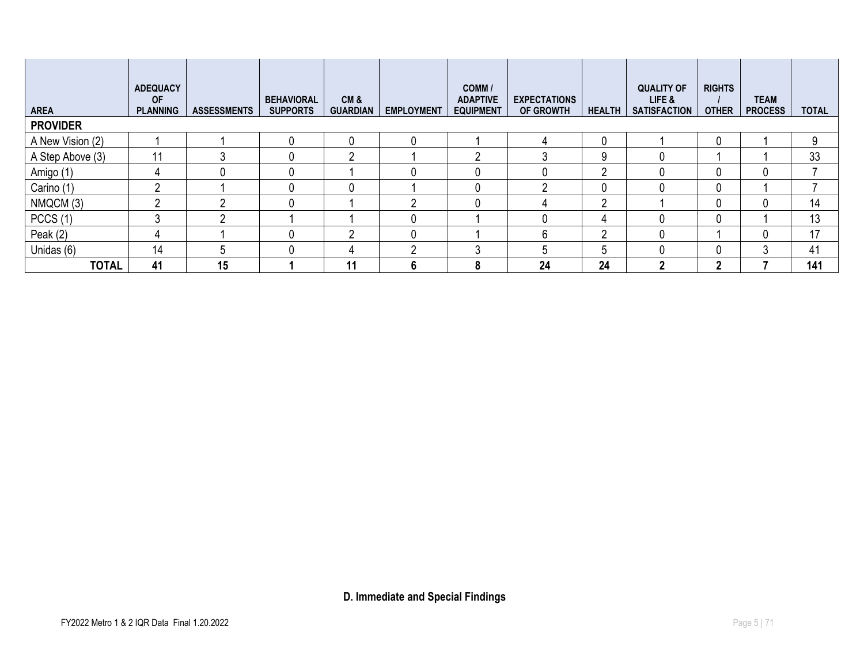| <b>AREA</b>      | <b>ADEQUACY</b><br><b>OF</b><br><b>PLANNING</b> | <b>ASSESSMENTS</b> | <b>BEHAVIORAL</b><br><b>SUPPORTS</b> | CM&<br><b>GUARDIAN</b> | <b>EMPLOYMENT</b> | COMM /<br><b>ADAPTIVE</b><br><b>EQUIPMENT</b> | <b>EXPECTATIONS</b><br><b>OF GROWTH</b> | <b>HEALTH</b> | <b>QUALITY OF</b><br>LIFE &<br><b>SATISFACTION</b> | <b>RIGHTS</b><br><b>OTHER</b> | <b>TEAM</b><br><b>PROCESS</b> | <b>TOTAL</b> |
|------------------|-------------------------------------------------|--------------------|--------------------------------------|------------------------|-------------------|-----------------------------------------------|-----------------------------------------|---------------|----------------------------------------------------|-------------------------------|-------------------------------|--------------|
| <b>PROVIDER</b>  |                                                 |                    |                                      |                        |                   |                                               |                                         |               |                                                    |                               |                               |              |
| A New Vision (2) |                                                 |                    | 0                                    | 0                      |                   |                                               |                                         | 0             |                                                    |                               |                               | 9            |
| A Step Above (3) | 11                                              |                    | 0                                    | ∩                      |                   | റ                                             |                                         | 9             |                                                    |                               |                               | 33           |
| Amigo (1)        | 4                                               | 0                  | 0                                    |                        |                   | 0                                             |                                         | <sup>2</sup>  |                                                    |                               |                               |              |
| Carino (1)       | റ                                               |                    | 0                                    | 0                      |                   | 0                                             | ∩                                       | 0             |                                                    |                               |                               |              |
| NMQCM (3)        | Ω                                               |                    | 0                                    |                        |                   | 0                                             | Д                                       | <sup>2</sup>  |                                                    |                               |                               | 14           |
| PCCS(1)          | 3                                               |                    |                                      |                        |                   |                                               |                                         | 4             |                                                    |                               |                               | 13           |
| Peak $(2)$       | 4                                               |                    | 0                                    | <sup>n</sup>           |                   |                                               | 6                                       | <sup>2</sup>  |                                                    |                               |                               | 17           |
| Unidas (6)       | 14                                              | 5                  | 0                                    | 4                      | റ                 | 3                                             | 5                                       | 5             |                                                    |                               | 3                             | 41           |
| <b>TOTAL</b>     | 41                                              | 15                 |                                      | 11                     | 6                 | 8                                             | 24                                      | 24            | າ                                                  | າ                             |                               | 141          |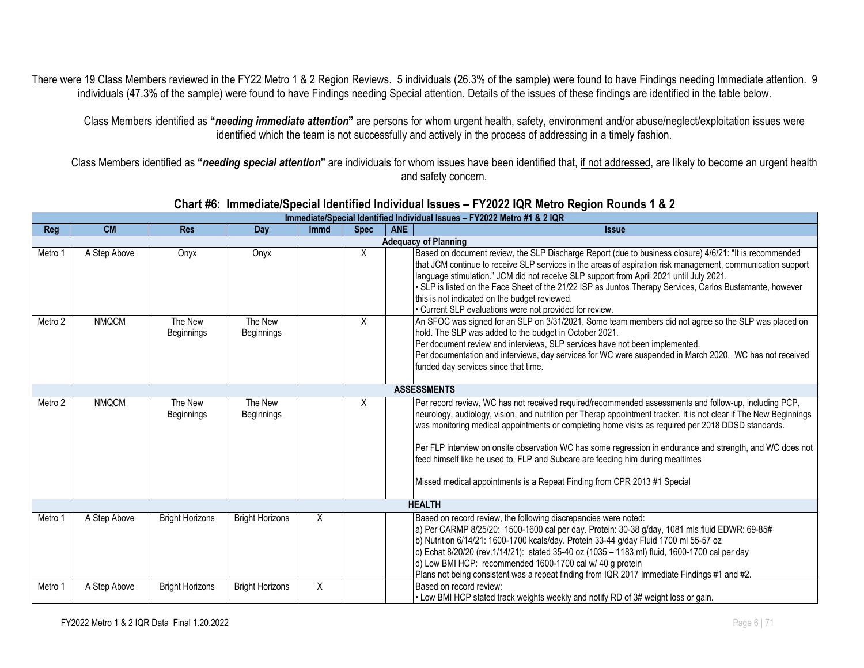There were 19 Class Members reviewed in the FY22 Metro 1 & 2 Region Reviews. 5 individuals (26.3% of the sample) were found to have Findings needing Immediate attention. 9 individuals (47.3% of the sample) were found to have Findings needing Special attention. Details of the issues of these findings are identified in the table below.

Class Members identified as **"***needing immediate attention***"** are persons for whom urgent health, safety, environment and/or abuse/neglect/exploitation issues were identified which the team is not successfully and actively in the process of addressing in a timely fashion.

Class Members identified as **"***needing special attention***"** are individuals for whom issues have been identified that, if not addressed, are likely to become an urgent health and safety concern.

|         | Immediate/Special Identified Individual Issues - FY2022 Metro #1 & 2 IQR |                              |                              |             |             |            |                                                                                                                                                                                                                                                                                                                                                                                                                                                                                                                                                                                                             |  |  |  |  |  |
|---------|--------------------------------------------------------------------------|------------------------------|------------------------------|-------------|-------------|------------|-------------------------------------------------------------------------------------------------------------------------------------------------------------------------------------------------------------------------------------------------------------------------------------------------------------------------------------------------------------------------------------------------------------------------------------------------------------------------------------------------------------------------------------------------------------------------------------------------------------|--|--|--|--|--|
| Reg     | <b>CM</b>                                                                | <b>Res</b>                   | Day                          | <b>Immd</b> | <b>Spec</b> | <b>ANE</b> | <b>Issue</b>                                                                                                                                                                                                                                                                                                                                                                                                                                                                                                                                                                                                |  |  |  |  |  |
|         |                                                                          |                              |                              |             |             |            | <b>Adequacy of Planning</b>                                                                                                                                                                                                                                                                                                                                                                                                                                                                                                                                                                                 |  |  |  |  |  |
| Metro 1 | A Step Above                                                             | Onyx                         | Onyx                         |             | X           |            | Based on document review, the SLP Discharge Report (due to business closure) 4/6/21: "It is recommended<br>that JCM continue to receive SLP services in the areas of aspiration risk management, communication support<br>language stimulation." JCM did not receive SLP support from April 2021 until July 2021.<br>. SLP is listed on the Face Sheet of the 21/22 ISP as Juntos Therapy Services, Carlos Bustamante, however<br>this is not indicated on the budget reviewed.<br>• Current SLP evaluations were not provided for review.                                                                  |  |  |  |  |  |
| Metro 2 | <b>NMQCM</b>                                                             | The New<br><b>Beginnings</b> | The New<br>Beginnings        |             | X           |            | An SFOC was signed for an SLP on 3/31/2021. Some team members did not agree so the SLP was placed on<br>hold. The SLP was added to the budget in October 2021.<br>Per document review and interviews, SLP services have not been implemented.<br>Per documentation and interviews, day services for WC were suspended in March 2020. WC has not received<br>funded day services since that time.                                                                                                                                                                                                            |  |  |  |  |  |
|         | <b>ASSESSMENTS</b>                                                       |                              |                              |             |             |            |                                                                                                                                                                                                                                                                                                                                                                                                                                                                                                                                                                                                             |  |  |  |  |  |
| Metro 2 | <b>NMQCM</b>                                                             | The New<br><b>Beginnings</b> | The New<br><b>Beginnings</b> |             | X           |            | Per record review, WC has not received required/recommended assessments and follow-up, including PCP,<br>neurology, audiology, vision, and nutrition per Therap appointment tracker. It is not clear if The New Beginnings<br>was monitoring medical appointments or completing home visits as required per 2018 DDSD standards.<br>Per FLP interview on onsite observation WC has some regression in endurance and strength, and WC does not<br>feed himself like he used to, FLP and Subcare are feeding him during mealtimes<br>Missed medical appointments is a Repeat Finding from CPR 2013 #1 Special |  |  |  |  |  |
|         |                                                                          |                              |                              |             |             |            | <b>HEALTH</b>                                                                                                                                                                                                                                                                                                                                                                                                                                                                                                                                                                                               |  |  |  |  |  |
| Metro 1 | A Step Above                                                             | <b>Bright Horizons</b>       | <b>Bright Horizons</b>       | X           |             |            | Based on record review, the following discrepancies were noted:<br>a) Per CARMP 8/25/20: 1500-1600 cal per day. Protein: 30-38 g/day, 1081 mls fluid EDWR: 69-85#<br>b) Nutrition 6/14/21: 1600-1700 kcals/day. Protein 33-44 g/day Fluid 1700 ml 55-57 oz<br>c) Echat 8/20/20 (rev.1/14/21): stated 35-40 oz (1035 - 1183 ml) fluid, 1600-1700 cal per day<br>d) Low BMI HCP: recommended 1600-1700 cal w/ 40 g protein<br>Plans not being consistent was a repeat finding from IQR 2017 Immediate Findings #1 and #2.                                                                                     |  |  |  |  |  |
| Metro 1 | A Step Above                                                             | <b>Bright Horizons</b>       | <b>Bright Horizons</b>       | X           |             |            | Based on record review:<br>. Low BMI HCP stated track weights weekly and notify RD of 3# weight loss or gain.                                                                                                                                                                                                                                                                                                                                                                                                                                                                                               |  |  |  |  |  |

#### **Chart #6: Immediate/Special Identified Individual Issues – FY2022 IQR Metro Region Rounds 1 & 2**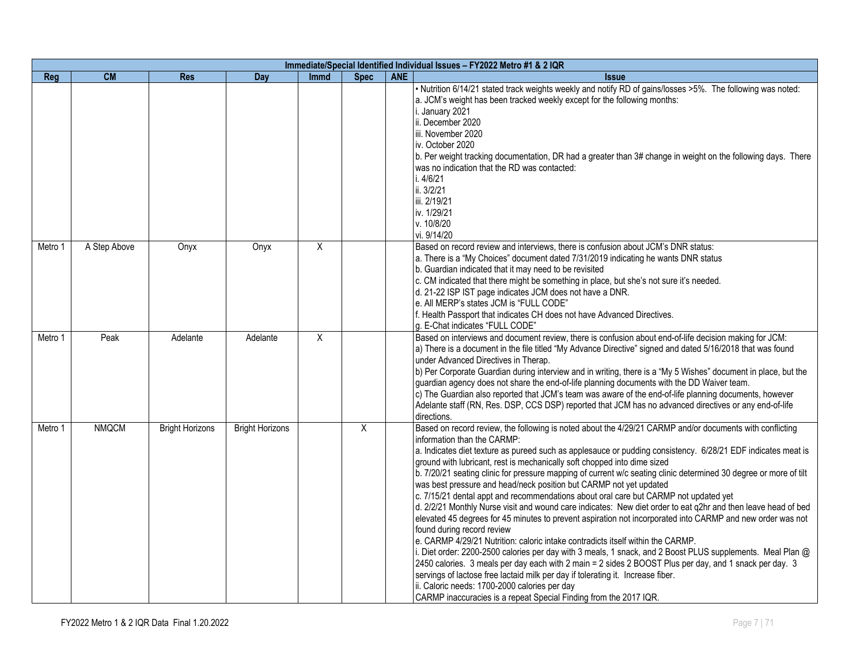|         | Immediate/Special Identified Individual Issues - FY2022 Metro #1 & 2 IQR |                        |                        |             |             |            |                                                                                                                                                                                                                                                                                                                                                                                                                                                                                                                                                                                                                                                                                                                                                                                                                                                                                                                                                                                                                                                                                                                                                                                                                                                                                                                                                                                                         |  |  |  |  |  |
|---------|--------------------------------------------------------------------------|------------------------|------------------------|-------------|-------------|------------|---------------------------------------------------------------------------------------------------------------------------------------------------------------------------------------------------------------------------------------------------------------------------------------------------------------------------------------------------------------------------------------------------------------------------------------------------------------------------------------------------------------------------------------------------------------------------------------------------------------------------------------------------------------------------------------------------------------------------------------------------------------------------------------------------------------------------------------------------------------------------------------------------------------------------------------------------------------------------------------------------------------------------------------------------------------------------------------------------------------------------------------------------------------------------------------------------------------------------------------------------------------------------------------------------------------------------------------------------------------------------------------------------------|--|--|--|--|--|
| Reg     | <b>CM</b>                                                                | <b>Res</b>             | Day                    | <b>Immd</b> | <b>Spec</b> | <b>ANE</b> | <b>Issue</b>                                                                                                                                                                                                                                                                                                                                                                                                                                                                                                                                                                                                                                                                                                                                                                                                                                                                                                                                                                                                                                                                                                                                                                                                                                                                                                                                                                                            |  |  |  |  |  |
|         |                                                                          |                        |                        |             |             |            | . Nutrition 6/14/21 stated track weights weekly and notify RD of gains/losses >5%. The following was noted:<br>a. JCM's weight has been tracked weekly except for the following months:<br>i. January 2021<br>ii. December 2020<br>liii. November 2020<br>liv. October 2020<br>b. Per weight tracking documentation, DR had a greater than 3# change in weight on the following days. There<br>was no indication that the RD was contacted:<br>i. $4/6/21$<br>ii. 3/2/21<br>iii. 2/19/21<br>iv. 1/29/21<br>v. 10/8/20<br>vi. 9/14/20                                                                                                                                                                                                                                                                                                                                                                                                                                                                                                                                                                                                                                                                                                                                                                                                                                                                    |  |  |  |  |  |
| Metro 1 | A Step Above                                                             | Onyx                   | Onyx                   | X           |             |            | Based on record review and interviews, there is confusion about JCM's DNR status:<br>a. There is a "My Choices" document dated 7/31/2019 indicating he wants DNR status<br>b. Guardian indicated that it may need to be revisited<br>c. CM indicated that there might be something in place, but she's not sure it's needed.<br>d. 21-22 ISP IST page indicates JCM does not have a DNR.<br>e. All MERP's states JCM is "FULL CODE"<br>f. Health Passport that indicates CH does not have Advanced Directives.<br>g. E-Chat indicates "FULL CODE"                                                                                                                                                                                                                                                                                                                                                                                                                                                                                                                                                                                                                                                                                                                                                                                                                                                       |  |  |  |  |  |
| Metro 1 | Peak                                                                     | Adelante               | Adelante               | X           |             |            | Based on interviews and document review, there is confusion about end-of-life decision making for JCM:<br>a) There is a document in the file titled "My Advance Directive" signed and dated 5/16/2018 that was found<br>under Advanced Directives in Therap.<br>b) Per Corporate Guardian during interview and in writing, there is a "My 5 Wishes" document in place, but the<br>guardian agency does not share the end-of-life planning documents with the DD Waiver team.<br>c) The Guardian also reported that JCM's team was aware of the end-of-life planning documents, however<br>Adelante staff (RN, Res. DSP, CCS DSP) reported that JCM has no advanced directives or any end-of-life<br>directions.                                                                                                                                                                                                                                                                                                                                                                                                                                                                                                                                                                                                                                                                                         |  |  |  |  |  |
| Metro 1 | <b>NMQCM</b>                                                             | <b>Bright Horizons</b> | <b>Bright Horizons</b> |             | X           |            | Based on record review, the following is noted about the 4/29/21 CARMP and/or documents with conflicting<br>information than the CARMP:<br>a. Indicates diet texture as pureed such as applesauce or pudding consistency. 6/28/21 EDF indicates meat is<br>ground with lubricant, rest is mechanically soft chopped into dime sized<br>b. 7/20/21 seating clinic for pressure mapping of current w/c seating clinic determined 30 degree or more of tilt<br>was best pressure and head/neck position but CARMP not yet updated<br>c. 7/15/21 dental appt and recommendations about oral care but CARMP not updated yet<br>d. 2/2/21 Monthly Nurse visit and wound care indicates: New diet order to eat q2hr and then leave head of bed<br>elevated 45 degrees for 45 minutes to prevent aspiration not incorporated into CARMP and new order was not<br>found during record review<br>e. CARMP 4/29/21 Nutrition: caloric intake contradicts itself within the CARMP.<br>i. Diet order: 2200-2500 calories per day with 3 meals, 1 snack, and 2 Boost PLUS supplements. Meal Plan @<br>2450 calories. 3 meals per day each with 2 main = 2 sides 2 BOOST Plus per day, and 1 snack per day. 3<br>servings of lactose free lactaid milk per day if tolerating it. Increase fiber.<br>ii. Caloric needs: 1700-2000 calories per day<br>CARMP inaccuracies is a repeat Special Finding from the 2017 IQR. |  |  |  |  |  |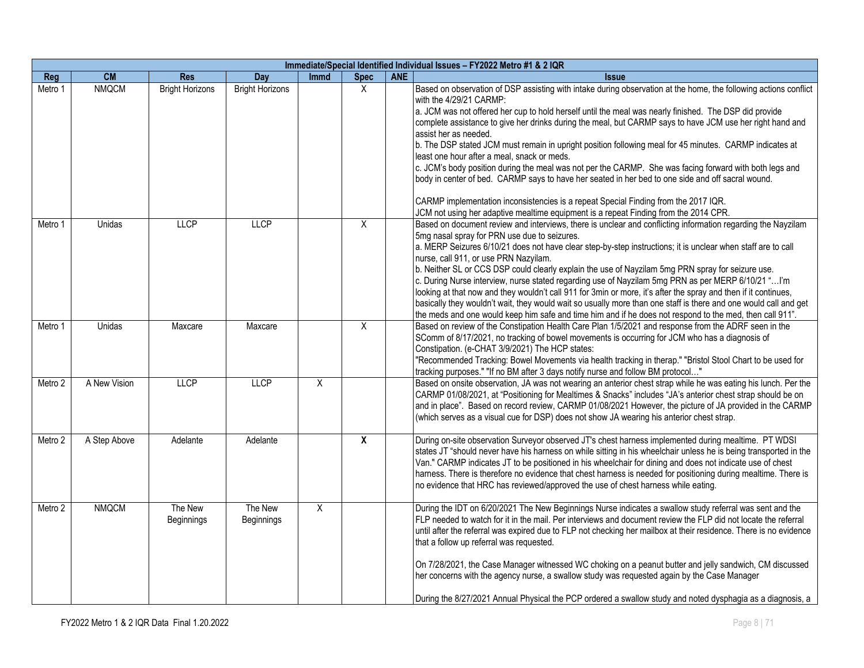|         | Immediate/Special Identified Individual Issues - FY2022 Metro #1 & 2 IQR |                        |                        |                |             |            |                                                                                                                                                                                                                                                                                                                                                                                                                                                                                                                                                                                                                                                                                                                                                                                                                                                                                                                                                      |  |  |  |  |
|---------|--------------------------------------------------------------------------|------------------------|------------------------|----------------|-------------|------------|------------------------------------------------------------------------------------------------------------------------------------------------------------------------------------------------------------------------------------------------------------------------------------------------------------------------------------------------------------------------------------------------------------------------------------------------------------------------------------------------------------------------------------------------------------------------------------------------------------------------------------------------------------------------------------------------------------------------------------------------------------------------------------------------------------------------------------------------------------------------------------------------------------------------------------------------------|--|--|--|--|
| Reg     | <b>CM</b>                                                                | <b>Res</b>             | Day                    | <b>Immd</b>    | <b>Spec</b> | <b>ANE</b> | <b>Issue</b>                                                                                                                                                                                                                                                                                                                                                                                                                                                                                                                                                                                                                                                                                                                                                                                                                                                                                                                                         |  |  |  |  |
| Metro 1 | <b>NMQCM</b>                                                             | <b>Bright Horizons</b> | <b>Bright Horizons</b> |                | X           |            | Based on observation of DSP assisting with intake during observation at the home, the following actions conflict<br>with the 4/29/21 CARMP:<br>a. JCM was not offered her cup to hold herself until the meal was nearly finished. The DSP did provide<br>complete assistance to give her drinks during the meal, but CARMP says to have JCM use her right hand and<br>assist her as needed.<br>b. The DSP stated JCM must remain in upright position following meal for 45 minutes. CARMP indicates at<br>least one hour after a meal, snack or meds.<br>c. JCM's body position during the meal was not per the CARMP. She was facing forward with both legs and<br>body in center of bed. CARMP says to have her seated in her bed to one side and off sacral wound.<br>CARMP implementation inconsistencies is a repeat Special Finding from the 2017 IQR.<br>JCM not using her adaptive mealtime equipment is a repeat Finding from the 2014 CPR. |  |  |  |  |
| Metro 1 | Unidas                                                                   | LLCP                   | <b>LLCP</b>            |                | X           |            | Based on document review and interviews, there is unclear and conflicting information regarding the Nayzilam<br>5mg nasal spray for PRN use due to seizures.<br>a. MERP Seizures 6/10/21 does not have clear step-by-step instructions; it is unclear when staff are to call<br>nurse, call 911, or use PRN Nazyilam.<br>b. Neither SL or CCS DSP could clearly explain the use of Nayzilam 5mg PRN spray for seizure use.<br>c. During Nurse interview, nurse stated regarding use of Nayzilam 5mg PRN as per MERP 6/10/21 " I'm<br>looking at that now and they wouldn't call 911 for 3min or more, it's after the spray and then if it continues,<br>basically they wouldn't wait, they would wait so usually more than one staff is there and one would call and get<br>the meds and one would keep him safe and time him and if he does not respond to the med, then call 911".                                                                 |  |  |  |  |
| Metro 1 | <b>Unidas</b>                                                            | Maxcare                | Maxcare                |                | X           |            | Based on review of the Constipation Health Care Plan 1/5/2021 and response from the ADRF seen in the<br>SComm of 8/17/2021, no tracking of bowel movements is occurring for JCM who has a diagnosis of<br>Constipation. (e-CHAT 3/9/2021) The HCP states:<br>"Recommended Tracking: Bowel Movements via health tracking in therap." "Bristol Stool Chart to be used for<br>tracking purposes." "If no BM after 3 days notify nurse and follow BM protocol"                                                                                                                                                                                                                                                                                                                                                                                                                                                                                           |  |  |  |  |
| Metro 2 | A New Vision                                                             | LLCP                   | <b>LLCP</b>            | $\overline{X}$ |             |            | Based on onsite observation, JA was not wearing an anterior chest strap while he was eating his lunch. Per the<br>CARMP 01/08/2021, at "Positioning for Mealtimes & Snacks" includes "JA's anterior chest strap should be on<br>and in place". Based on record review, CARMP 01/08/2021 However, the picture of JA provided in the CARMP<br>(which serves as a visual cue for DSP) does not show JA wearing his anterior chest strap.                                                                                                                                                                                                                                                                                                                                                                                                                                                                                                                |  |  |  |  |
| Metro 2 | A Step Above                                                             | Adelante               | Adelante               |                | X           |            | During on-site observation Surveyor observed JT's chest harness implemented during mealtime. PT WDSI<br>states JT "should never have his harness on while sitting in his wheelchair unless he is being transported in the<br>Van." CARMP indicates JT to be positioned in his wheelchair for dining and does not indicate use of chest<br>harness. There is therefore no evidence that chest harness is needed for positioning during mealtime. There is<br>no evidence that HRC has reviewed/approved the use of chest harness while eating.                                                                                                                                                                                                                                                                                                                                                                                                        |  |  |  |  |
| Metro 2 | <b>NMQCM</b>                                                             | The New<br>Beginnings  | The New<br>Beginnings  | X              |             |            | During the IDT on 6/20/2021 The New Beginnings Nurse indicates a swallow study referral was sent and the<br>FLP needed to watch for it in the mail. Per interviews and document review the FLP did not locate the referral<br>until after the referral was expired due to FLP not checking her mailbox at their residence. There is no evidence<br>that a follow up referral was requested.<br>On 7/28/2021, the Case Manager witnessed WC choking on a peanut butter and jelly sandwich, CM discussed<br>her concerns with the agency nurse, a swallow study was requested again by the Case Manager<br>During the 8/27/2021 Annual Physical the PCP ordered a swallow study and noted dysphagia as a diagnosis, a                                                                                                                                                                                                                                  |  |  |  |  |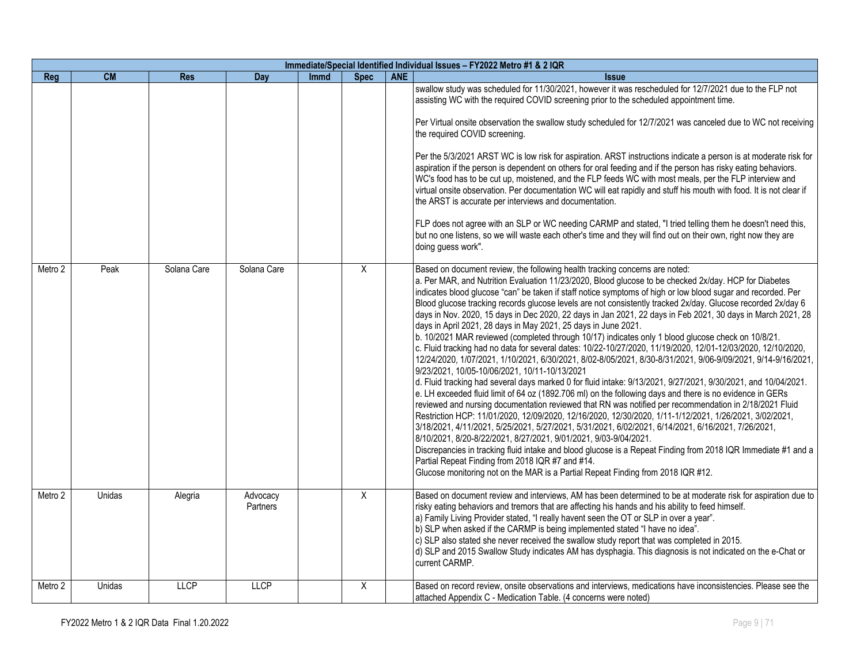|            | Immediate/Special Identified Individual Issues - FY2022 Metro #1 & 2 IQR |             |                      |             |             |            |                                                                                                                                                                                                                                                                                                                                                                                                                                                                                                                                                                                                                                                                                                                                                                                                                                                                                                                                                                                                                                                                                                                                                                                                                                                                                                                                                                                                                                                                                                                                                                                                                                                                                                                                                                                                                                                                                   |  |  |  |  |
|------------|--------------------------------------------------------------------------|-------------|----------------------|-------------|-------------|------------|-----------------------------------------------------------------------------------------------------------------------------------------------------------------------------------------------------------------------------------------------------------------------------------------------------------------------------------------------------------------------------------------------------------------------------------------------------------------------------------------------------------------------------------------------------------------------------------------------------------------------------------------------------------------------------------------------------------------------------------------------------------------------------------------------------------------------------------------------------------------------------------------------------------------------------------------------------------------------------------------------------------------------------------------------------------------------------------------------------------------------------------------------------------------------------------------------------------------------------------------------------------------------------------------------------------------------------------------------------------------------------------------------------------------------------------------------------------------------------------------------------------------------------------------------------------------------------------------------------------------------------------------------------------------------------------------------------------------------------------------------------------------------------------------------------------------------------------------------------------------------------------|--|--|--|--|
| <b>Reg</b> | <b>CM</b>                                                                | <b>Res</b>  | Day                  | <b>Immd</b> | <b>Spec</b> | <b>ANE</b> | <b>Issue</b>                                                                                                                                                                                                                                                                                                                                                                                                                                                                                                                                                                                                                                                                                                                                                                                                                                                                                                                                                                                                                                                                                                                                                                                                                                                                                                                                                                                                                                                                                                                                                                                                                                                                                                                                                                                                                                                                      |  |  |  |  |
|            |                                                                          |             |                      |             |             |            | swallow study was scheduled for 11/30/2021, however it was rescheduled for 12/7/2021 due to the FLP not<br>assisting WC with the required COVID screening prior to the scheduled appointment time.<br>Per Virtual onsite observation the swallow study scheduled for 12/7/2021 was canceled due to WC not receiving<br>the required COVID screening.<br>Per the 5/3/2021 ARST WC is low risk for aspiration. ARST instructions indicate a person is at moderate risk for<br>aspiration if the person is dependent on others for oral feeding and if the person has risky eating behaviors.<br>WC's food has to be cut up, moistened, and the FLP feeds WC with most meals, per the FLP interview and<br>virtual onsite observation. Per documentation WC will eat rapidly and stuff his mouth with food. It is not clear if<br>the ARST is accurate per interviews and documentation.<br>FLP does not agree with an SLP or WC needing CARMP and stated, "I tried telling them he doesn't need this,<br>but no one listens, so we will waste each other's time and they will find out on their own, right now they are<br>doing guess work".                                                                                                                                                                                                                                                                                                                                                                                                                                                                                                                                                                                                                                                                                                                                       |  |  |  |  |
| Metro 2    | Peak                                                                     | Solana Care | Solana Care          |             | X           |            | Based on document review, the following health tracking concerns are noted:<br>a. Per MAR, and Nutrition Evaluation 11/23/2020, Blood glucose to be checked 2x/day. HCP for Diabetes<br>indicates blood glucose "can" be taken if staff notice symptoms of high or low blood sugar and recorded. Per<br>Blood glucose tracking records glucose levels are not consistently tracked 2x/day. Glucose recorded 2x/day 6<br>days in Nov. 2020, 15 days in Dec 2020, 22 days in Jan 2021, 22 days in Feb 2021, 30 days in March 2021, 28<br>days in April 2021, 28 days in May 2021, 25 days in June 2021.<br>b. 10/2021 MAR reviewed (completed through 10/17) indicates only 1 blood glucose check on 10/8/21.<br>c. Fluid tracking had no data for several dates: 10/22-10/27/2020, 11/19/2020, 12/01-12/03/2020, 12/10/2020,<br>12/24/2020, 1/07/2021, 1/10/2021, 6/30/2021, 8/02-8/05/2021, 8/30-8/31/2021, 9/06-9/09/2021, 9/14-9/16/2021,<br>9/23/2021, 10/05-10/06/2021, 10/11-10/13/2021<br>d. Fluid tracking had several days marked 0 for fluid intake: 9/13/2021, 9/27/2021, 9/30/2021, and 10/04/2021.<br>e. LH exceeded fluid limit of 64 oz (1892.706 ml) on the following days and there is no evidence in GERs<br>reviewed and nursing documentation reviewed that RN was notified per recommendation in 2/18/2021 Fluid<br>Restriction HCP: 11/01/2020, 12/09/2020, 12/16/2020, 12/30/2020, 1/11-1/12/2021, 1/26/2021, 3/02/2021,<br>3/18/2021, 4/11/2021, 5/25/2021, 5/27/2021, 5/31/2021, 6/02/2021, 6/14/2021, 6/16/2021, 7/26/2021,<br>8/10/2021, 8/20-8/22/2021, 8/27/2021, 9/01/2021, 9/03-9/04/2021.<br>Discrepancies in tracking fluid intake and blood glucose is a Repeat Finding from 2018 IQR Immediate #1 and a<br>Partial Repeat Finding from 2018 IQR #7 and #14.<br>Glucose monitoring not on the MAR is a Partial Repeat Finding from 2018 IQR #12. |  |  |  |  |
| Metro 2    | Unidas                                                                   | Alegria     | Advocacy<br>Partners |             | Χ           |            | Based on document review and interviews, AM has been determined to be at moderate risk for aspiration due to<br>risky eating behaviors and tremors that are affecting his hands and his ability to feed himself.<br>a) Family Living Provider stated, "I really havent seen the OT or SLP in over a year".<br>b) SLP when asked if the CARMP is being implemented stated "I have no idea".<br>c) SLP also stated she never received the swallow study report that was completed in 2015.<br>d) SLP and 2015 Swallow Study indicates AM has dysphagia. This diagnosis is not indicated on the e-Chat or<br>current CARMP.                                                                                                                                                                                                                                                                                                                                                                                                                                                                                                                                                                                                                                                                                                                                                                                                                                                                                                                                                                                                                                                                                                                                                                                                                                                          |  |  |  |  |
| Metro 2    | Unidas                                                                   | <b>LLCP</b> | <b>LLCP</b>          |             | X           |            | Based on record review, onsite observations and interviews, medications have inconsistencies. Please see the<br>attached Appendix C - Medication Table. (4 concerns were noted)                                                                                                                                                                                                                                                                                                                                                                                                                                                                                                                                                                                                                                                                                                                                                                                                                                                                                                                                                                                                                                                                                                                                                                                                                                                                                                                                                                                                                                                                                                                                                                                                                                                                                                   |  |  |  |  |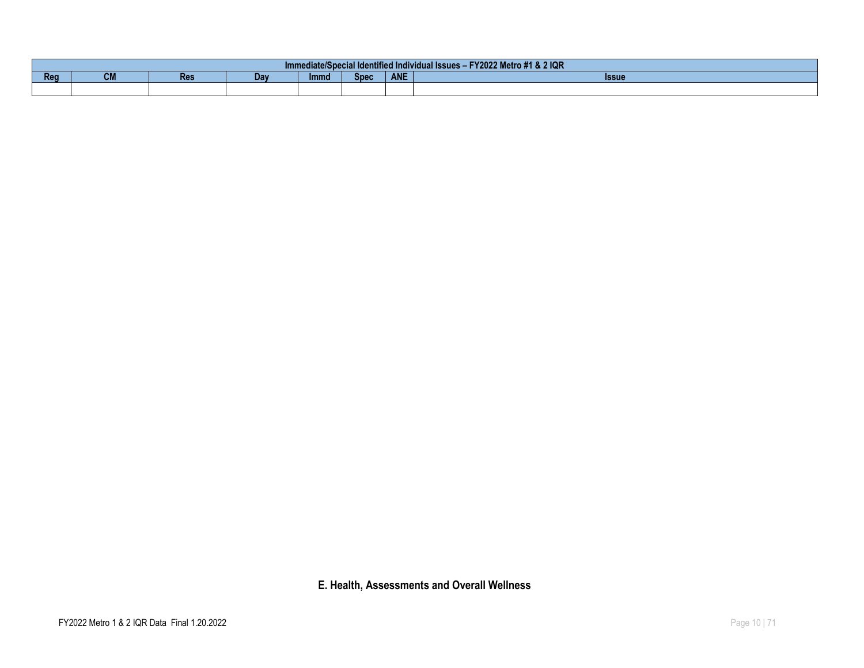|     | Y2022 Metro #1 & 2 IQR<br>EV2022 Mc<br>nediate/Special Identified Individual Issues -<br>ımn |            |     |             |             |            |              |  |  |  |  |  |  |
|-----|----------------------------------------------------------------------------------------------|------------|-----|-------------|-------------|------------|--------------|--|--|--|--|--|--|
| Reg | $\sim$<br><b>VM</b>                                                                          | <b>Res</b> | Dav | <b>Immd</b> | <b>Spec</b> | <b>ANE</b> | <b>Issue</b> |  |  |  |  |  |  |
|     |                                                                                              |            |     |             |             |            |              |  |  |  |  |  |  |

**E. Health, Assessments and Overall Wellness**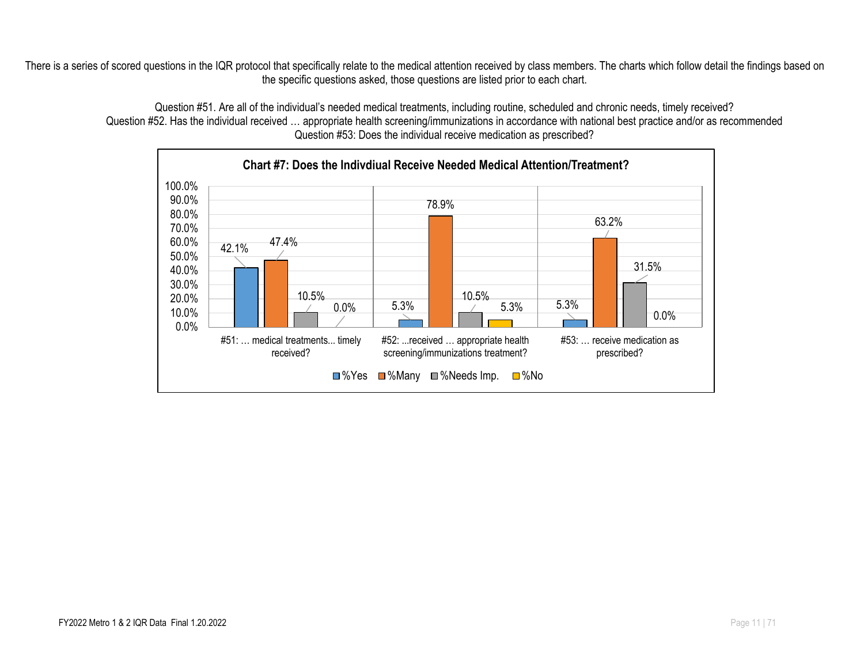There is a series of scored questions in the IQR protocol that specifically relate to the medical attention received by class members. The charts which follow detail the findings based on the specific questions asked, those questions are listed prior to each chart.

> 42.1%  $5.3\%$   $5.3\%$   $5.3\%$   $5.3\%$ 47.4% 78.9% 63.2%  $\frac{10.5\%}{0.0\%}$  5.3% 10.5% 31.5% 0.0% 5.3% 0.0% 0.0% 10.0% 20.0% 30.0% 40.0% 50.0% 60.0% 70.0% 80.0% 90.0% 100.0% #51: … medical treatments... timely received? #52: ...received … appropriate health screening/immunizations treatment? #53: … receive medication as prescribed? **Chart #7: Does the Indivdiual Receive Needed Medical Attention/Treatment?**  $\Box$ %Yes  $\Box$ %Many  $\Box$ %Needs Imp.  $\Box$ %No

Question #51. Are all of the individual's needed medical treatments, including routine, scheduled and chronic needs, timely received? Question #52. Has the individual received … appropriate health screening/immunizations in accordance with national best practice and/or as recommended Question #53: Does the individual receive medication as prescribed?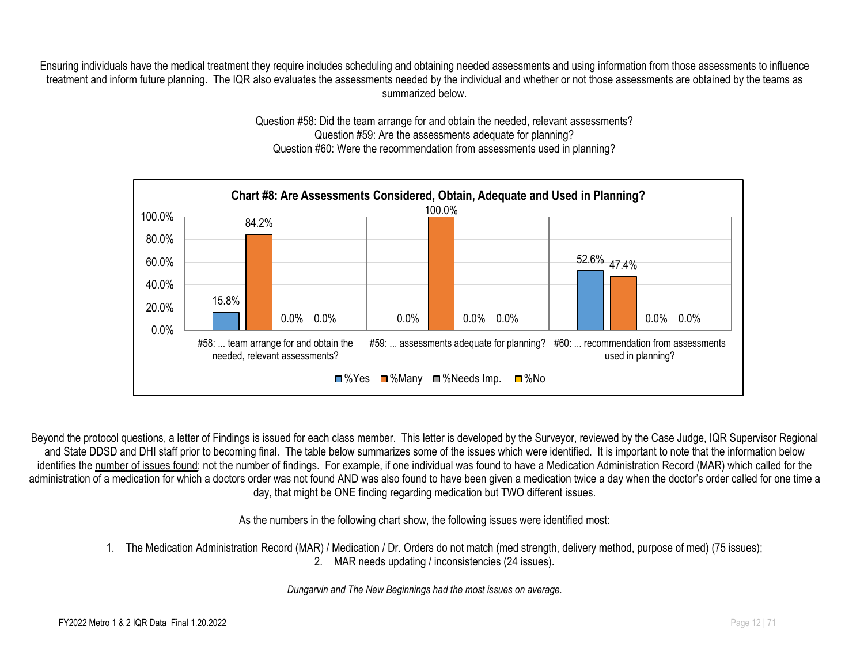Ensuring individuals have the medical treatment they require includes scheduling and obtaining needed assessments and using information from those assessments to influence treatment and inform future planning. The IQR also evaluates the assessments needed by the individual and whether or not those assessments are obtained by the teams as summarized below.

> Question #58: Did the team arrange for and obtain the needed, relevant assessments? Question #59: Are the assessments adequate for planning? Question #60: Were the recommendation from assessments used in planning?



Beyond the protocol questions, a letter of Findings is issued for each class member. This letter is developed by the Surveyor, reviewed by the Case Judge, IQR Supervisor Regional and State DDSD and DHI staff prior to becoming final. The table below summarizes some of the issues which were identified. It is important to note that the information below identifies the number of issues found; not the number of findings. For example, if one individual was found to have a Medication Administration Record (MAR) which called for the administration of a medication for which a doctors order was not found AND was also found to have been given a medication twice a day when the doctor's order called for one time a day, that might be ONE finding regarding medication but TWO different issues.

As the numbers in the following chart show, the following issues were identified most:

1. The Medication Administration Record (MAR) / Medication / Dr. Orders do not match (med strength, delivery method, purpose of med) (75 issues);

2. MAR needs updating / inconsistencies (24 issues).

*Dungarvin and The New Beginnings had the most issues on average.*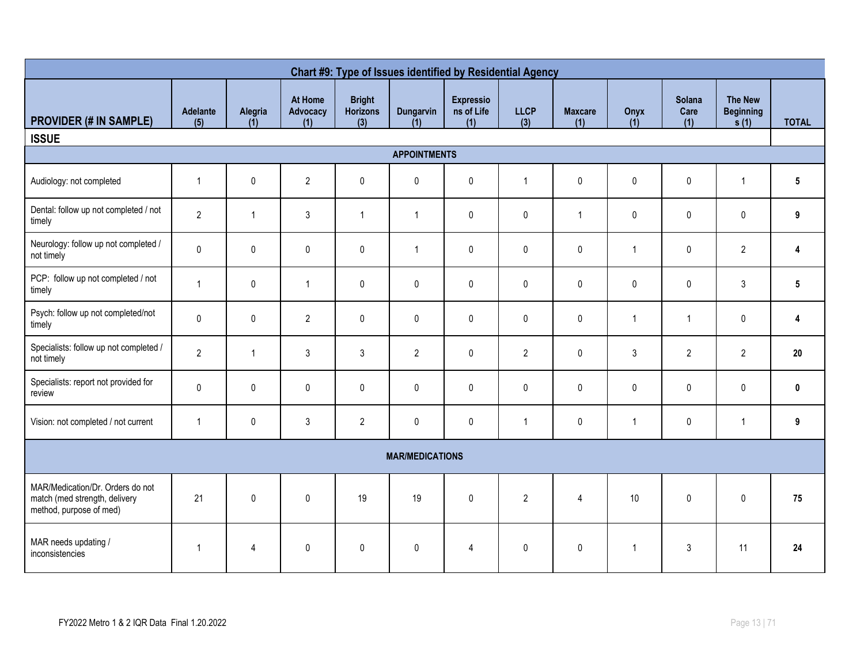| Chart #9: Type of Issues identified by Residential Agency                                    |                 |                |                            |                                         |                        |                                       |                    |                       |                |                              |                                            |                 |
|----------------------------------------------------------------------------------------------|-----------------|----------------|----------------------------|-----------------------------------------|------------------------|---------------------------------------|--------------------|-----------------------|----------------|------------------------------|--------------------------------------------|-----------------|
| <b>PROVIDER (# IN SAMPLE)</b>                                                                | Adelante<br>(5) | Alegria<br>(1) | At Home<br>Advocacy<br>(1) | <b>Bright</b><br><b>Horizons</b><br>(3) | Dungarvin<br>(1)       | <b>Expressio</b><br>ns of Life<br>(1) | <b>LLCP</b><br>(3) | <b>Maxcare</b><br>(1) | Onyx<br>(1)    | <b>Solana</b><br>Care<br>(1) | <b>The New</b><br><b>Beginning</b><br>s(1) | <b>TOTAL</b>    |
| <b>ISSUE</b>                                                                                 |                 |                |                            |                                         |                        |                                       |                    |                       |                |                              |                                            |                 |
|                                                                                              |                 |                |                            |                                         | <b>APPOINTMENTS</b>    |                                       |                    |                       |                |                              |                                            |                 |
| Audiology: not completed                                                                     | $\mathbf{1}$    | $\pmb{0}$      | $\overline{2}$             | $\pmb{0}$                               | $\pmb{0}$              | $\pmb{0}$                             | $\overline{1}$     | $\pmb{0}$             | 0              | $\mathbf 0$                  | $\overline{1}$                             | $5\phantom{.0}$ |
| Dental: follow up not completed / not<br>timely                                              | $\overline{2}$  | $\mathbf{1}$   | $\mathbf{3}$               | $\mathbf{1}$                            | $\overline{1}$         | $\mathbf{0}$                          | $\pmb{0}$          | $\overline{1}$        | 0              | 0                            | $\pmb{0}$                                  | 9               |
| Neurology: follow up not completed /<br>not timely                                           | $\pmb{0}$       | $\pmb{0}$      | $\pmb{0}$                  | $\pmb{0}$                               | $\mathbf{1}$           | $\mathbf 0$                           | $\pmb{0}$          | $\pmb{0}$             | $\mathbf{1}$   | $\pmb{0}$                    | $\overline{2}$                             | 4               |
| PCP: follow up not completed / not<br>timely                                                 | $\overline{1}$  | $\pmb{0}$      | $\mathbf{1}$               | $\pmb{0}$                               | $\mathbf 0$            | $\mathbf{0}$                          | 0                  | $\mathbf 0$           | 0              | $\pmb{0}$                    | $\mathfrak{Z}$                             | $5\phantom{.0}$ |
| Psych: follow up not completed/not<br>timely                                                 | $\pmb{0}$       | $\pmb{0}$      | $\overline{2}$             | 0                                       | $\mathbf 0$            | $\mathbf 0$                           | 0                  | $\mathbf 0$           | $\mathbf{1}$   | $\mathbf{1}$                 | $\pmb{0}$                                  | 4               |
| Specialists: follow up not completed /<br>not timely                                         | $\overline{2}$  | $\mathbf{1}$   | $\mathbf{3}$               | $\mathbf{3}$                            | $\overline{2}$         | $\mathbf{0}$                          | $\overline{2}$     | $\mathbf 0$           | $\mathfrak{Z}$ | $\overline{2}$               | $\overline{2}$                             | 20              |
| Specialists: report not provided for<br>review                                               | $\pmb{0}$       | $\pmb{0}$      | $\pmb{0}$                  | 0                                       | $\pmb{0}$              | $\mathbf 0$                           | 0                  | $\mathbf 0$           | 0              | $\pmb{0}$                    | $\pmb{0}$                                  | 0               |
| Vision: not completed / not current                                                          | $\overline{1}$  | $\pmb{0}$      | $\mathfrak{Z}$             | $\overline{2}$                          | $\pmb{0}$              | $\mathbf 0$                           | $\mathbf{1}$       | $\mathbf 0$           | $\mathbf{1}$   | 0                            | $\overline{1}$                             | 9               |
|                                                                                              |                 |                |                            |                                         | <b>MAR/MEDICATIONS</b> |                                       |                    |                       |                |                              |                                            |                 |
| MAR/Medication/Dr. Orders do not<br>match (med strength, delivery<br>method, purpose of med) | 21              | $\pmb{0}$      | $\mathbf 0$                | 19                                      | 19                     | $\mathbf 0$                           | $\overline{2}$     | $\overline{4}$        | 10             | $\mathbf{0}$                 | $\mathbf 0$                                | 75              |
| MAR needs updating /<br>inconsistencies                                                      | $\overline{1}$  | $\overline{4}$ | $\pmb{0}$                  | 0                                       | $\mathbf 0$            | $\overline{4}$                        | 0                  | $\pmb{0}$             | $\mathbf{1}$   | $\mathbf{3}$                 | 11                                         | 24              |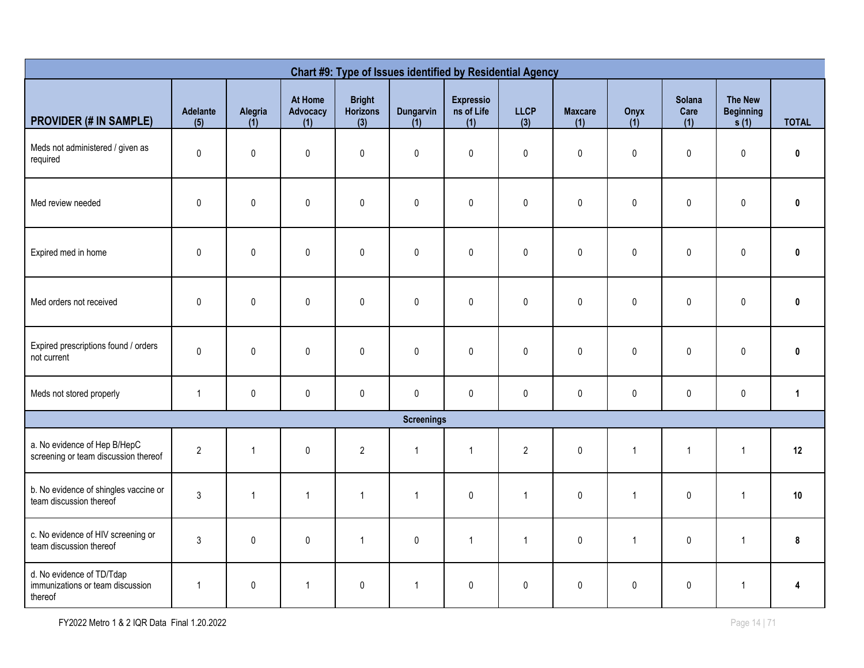| Chart #9: Type of Issues identified by Residential Agency                |                 |                |                            |                                  |                         |                                       |                    |                       |              |                              |                                            |              |
|--------------------------------------------------------------------------|-----------------|----------------|----------------------------|----------------------------------|-------------------------|---------------------------------------|--------------------|-----------------------|--------------|------------------------------|--------------------------------------------|--------------|
| <b>PROVIDER (# IN SAMPLE)</b>                                            | Adelante<br>(5) | Alegria<br>(1) | At Home<br>Advocacy<br>(1) | <b>Bright</b><br>Horizons<br>(3) | <b>Dungarvin</b><br>(1) | <b>Expressio</b><br>ns of Life<br>(1) | <b>LLCP</b><br>(3) | <b>Maxcare</b><br>(1) | Onyx<br>(1)  | <b>Solana</b><br>Care<br>(1) | <b>The New</b><br><b>Beginning</b><br>s(1) | <b>TOTAL</b> |
| Meds not administered / given as<br>required                             | 0               | $\mathbf 0$    | $\mathbf 0$                | $\mathbf 0$                      | $\pmb{0}$               | $\pmb{0}$                             | $\mathbf 0$        | $\mathbf 0$           | $\mathbf 0$  | 0                            | $\pmb{0}$                                  | 0            |
| Med review needed                                                        | $\mathbf 0$     | 0              | $\mathbf 0$                | 0                                | $\pmb{0}$               | $\pmb{0}$                             | $\mathbf 0$        | $\mathbf 0$           | 0            | 0                            | $\pmb{0}$                                  | $\pmb{0}$    |
| Expired med in home                                                      | $\mathbf 0$     | $\pmb{0}$      | $\pmb{0}$                  | 0                                | $\pmb{0}$               | $\pmb{0}$                             | $\mathbf 0$        | $\mathbf 0$           | 0            | 0                            | $\pmb{0}$                                  | 0            |
| Med orders not received                                                  | $\mathbf 0$     | 0              | $\mathbf 0$                | $\mathbf 0$                      | $\pmb{0}$               | $\mathbf 0$                           | $\mathbf{0}$       | $\pmb{0}$             | $\mathbf{0}$ | 0                            | $\pmb{0}$                                  | $\bf{0}$     |
| Expired prescriptions found / orders<br>not current                      | $\pmb{0}$       | 0              | $\pmb{0}$                  | 0                                | $\pmb{0}$               | $\pmb{0}$                             | $\pmb{0}$          | $\pmb{0}$             | $\mathbf 0$  | 0                            | $\pmb{0}$                                  | $\mathbf 0$  |
| Meds not stored properly                                                 | $\mathbf{1}$    | $\pmb{0}$      | $\pmb{0}$                  | $\mathbf 0$                      | $\pmb{0}$               | $\pmb{0}$                             | $\pmb{0}$          | $\mathbf 0$           | $\pmb{0}$    | 0                            | $\pmb{0}$                                  | $\mathbf{1}$ |
|                                                                          |                 |                |                            |                                  | <b>Screenings</b>       |                                       |                    |                       |              |                              |                                            |              |
| a. No evidence of Hep B/HepC<br>screening or team discussion thereof     | $\overline{2}$  | $\mathbf{1}$   | $\pmb{0}$                  | $\overline{2}$                   | $\mathbf{1}$            | $\overline{1}$                        | $\overline{2}$     | $\pmb{0}$             | $\mathbf{1}$ | $\mathbf{1}$                 | $\overline{1}$                             | 12           |
| b. No evidence of shingles vaccine or<br>team discussion thereof         | $\mathfrak{Z}$  | $\mathbf{1}$   | $\mathbf{1}$               | $\mathbf{1}$                     | $\mathbf{1}$            | $\pmb{0}$                             | $\mathbf{1}$       | $\pmb{0}$             | $\mathbf{1}$ | $\pmb{0}$                    | $\overline{1}$                             | 10           |
| c. No evidence of HIV screening or<br>team discussion thereof            | $\mathfrak{Z}$  | 0              | $\pmb{0}$                  | $\mathbf{1}$                     | $\pmb{0}$               | $\overline{1}$                        | $\mathbf{1}$       | $\pmb{0}$             | $\mathbf{1}$ | 0                            | $\overline{1}$                             | 8            |
| d. No evidence of TD/Tdap<br>immunizations or team discussion<br>thereof | $\overline{1}$  | 0              | $\mathbf{1}$               | $\pmb{0}$                        | $\mathbf{1}$            | $\pmb{0}$                             | $\pmb{0}$          | $\pmb{0}$             | $\pmb{0}$    | 0                            | $\mathbf{1}$                               | Δ            |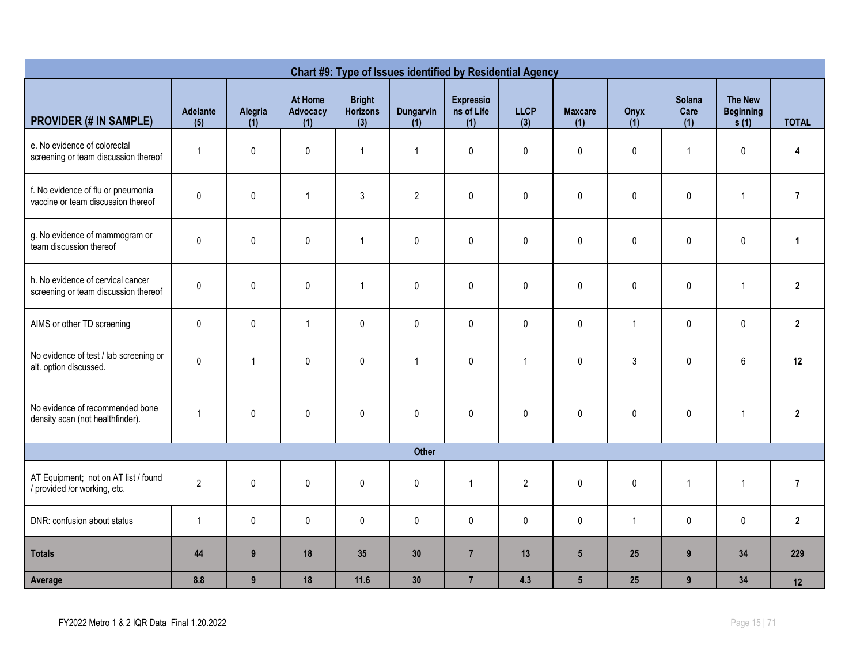| Chart #9: Type of Issues identified by Residential Agency                 |                 |                  |                            |                                         |                         |                                       |                    |                       |              |                              |                                            |                |
|---------------------------------------------------------------------------|-----------------|------------------|----------------------------|-----------------------------------------|-------------------------|---------------------------------------|--------------------|-----------------------|--------------|------------------------------|--------------------------------------------|----------------|
| <b>PROVIDER (# IN SAMPLE)</b>                                             | Adelante<br>(5) | Alegria<br>(1)   | At Home<br>Advocacy<br>(1) | <b>Bright</b><br><b>Horizons</b><br>(3) | <b>Dungarvin</b><br>(1) | <b>Expressio</b><br>ns of Life<br>(1) | <b>LLCP</b><br>(3) | <b>Maxcare</b><br>(1) | Onyx<br>(1)  | <b>Solana</b><br>Care<br>(1) | <b>The New</b><br><b>Beginning</b><br>s(1) | <b>TOTAL</b>   |
| e. No evidence of colorectal<br>screening or team discussion thereof      | $\mathbf{1}$    | $\pmb{0}$        | $\pmb{0}$                  | $\mathbf{1}$                            | $\mathbf{1}$            | $\pmb{0}$                             | $\pmb{0}$          | 0                     | $\pmb{0}$    | $\mathbf{1}$                 | $\pmb{0}$                                  | 4              |
| f. No evidence of flu or pneumonia<br>vaccine or team discussion thereof  | $\pmb{0}$       | $\pmb{0}$        | $\mathbf{1}$               | 3                                       | $\overline{2}$          | $\mathbf 0$                           | 0                  | $\mathbf{0}$          | $\mathbf{0}$ | 0                            | $\mathbf{1}$                               | $\overline{7}$ |
| g. No evidence of mammogram or<br>team discussion thereof                 | $\pmb{0}$       | $\pmb{0}$        | $\pmb{0}$                  | $\mathbf{1}$                            | $\pmb{0}$               | $\pmb{0}$                             | $\pmb{0}$          | $\pmb{0}$             | $\mathbf{0}$ | $\pmb{0}$                    | $\pmb{0}$                                  | $\mathbf{1}$   |
| h. No evidence of cervical cancer<br>screening or team discussion thereof | $\pmb{0}$       | $\pmb{0}$        | $\pmb{0}$                  | $\mathbf{1}$                            | $\pmb{0}$               | $\pmb{0}$                             | $\pmb{0}$          | 0                     | $\pmb{0}$    | $\pmb{0}$                    | $\mathbf{1}$                               | $\overline{2}$ |
| AIMS or other TD screening                                                | $\pmb{0}$       | $\pmb{0}$        | $\mathbf{1}$               | $\pmb{0}$                               | $\pmb{0}$               | $\pmb{0}$                             | $\pmb{0}$          | $\pmb{0}$             | $\mathbf{1}$ | $\pmb{0}$                    | $\pmb{0}$                                  | $\mathbf{2}$   |
| No evidence of test / lab screening or<br>alt. option discussed.          | $\pmb{0}$       | $\mathbf{1}$     | $\pmb{0}$                  | $\pmb{0}$                               | $\mathbf{1}$            | $\pmb{0}$                             | $\mathbf{1}$       | 0                     | 3            | 0                            | 6                                          | 12             |
| No evidence of recommended bone<br>density scan (not healthfinder).       | $\overline{1}$  | $\pmb{0}$        | $\pmb{0}$                  | $\pmb{0}$                               | $\mathbf 0$             | $\pmb{0}$                             | $\pmb{0}$          | $\pmb{0}$             | $\pmb{0}$    | $\pmb{0}$                    | $\mathbf{1}$                               | $\overline{2}$ |
|                                                                           |                 |                  |                            |                                         | Other                   |                                       |                    |                       |              |                              |                                            |                |
| AT Equipment; not on AT list / found<br>/ provided /or working, etc.      | $\overline{2}$  | $\pmb{0}$        | $\pmb{0}$                  | 0                                       | $\pmb{0}$               | $\mathbf{1}$                          | $\overline{2}$     | $\pmb{0}$             | $\pmb{0}$    | $\mathbf{1}$                 | $\mathbf{1}$                               | $\overline{7}$ |
| DNR: confusion about status                                               | $\overline{1}$  | $\pmb{0}$        | $\pmb{0}$                  | $\pmb{0}$                               | $\pmb{0}$               | $\pmb{0}$                             | $\mathbf 0$        | $\pmb{0}$             | $\mathbf{1}$ | $\pmb{0}$                    | $\mathbf 0$                                | $\mathbf{2}$   |
| <b>Totals</b>                                                             | 44              | $\boldsymbol{9}$ | 18                         | 35                                      | 30                      | $\overline{7}$                        | 13                 | $5\phantom{.0}$       | 25           | $\boldsymbol{9}$             | 34                                         | 229            |
| Average                                                                   | 8.8             | $\boldsymbol{9}$ | 18                         | $11.6$                                  | 30                      | $\overline{7}$                        | 4.3                | $5\overline{)}$       | 25           | $\boldsymbol{9}$             | 34                                         | 12             |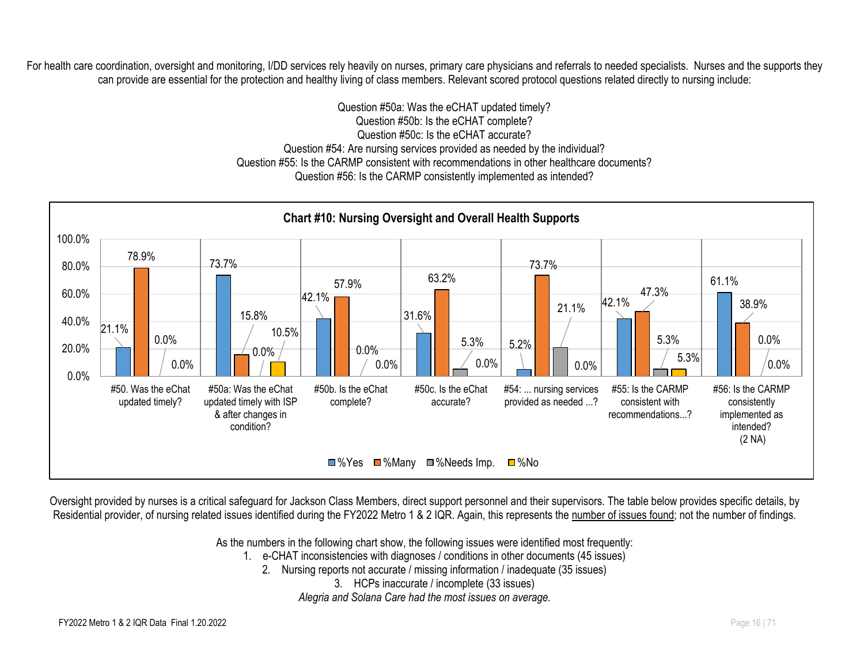For health care coordination, oversight and monitoring, I/DD services rely heavily on nurses, primary care physicians and referrals to needed specialists. Nurses and the supports they can provide are essential for the protection and healthy living of class members. Relevant scored protocol questions related directly to nursing include:

> Question #50a: Was the eCHAT updated timely? Question #50b: Is the eCHAT complete? Question #50c: Is the eCHAT accurate? Question #54: Are nursing services provided as needed by the individual? Question #55: Is the CARMP consistent with recommendations in other healthcare documents? Question #56: Is the CARMP consistently implemented as intended?



Oversight provided by nurses is a critical safeguard for Jackson Class Members, direct support personnel and their supervisors. The table below provides specific details, by Residential provider, of nursing related issues identified during the FY2022 Metro 1 & 2 IQR. Again, this represents the number of issues found; not the number of findings.

As the numbers in the following chart show, the following issues were identified most frequently:

- 1. e-CHAT inconsistencies with diagnoses / conditions in other documents (45 issues)
	- 2. Nursing reports not accurate / missing information / inadequate (35 issues)
		- 3. HCPs inaccurate / incomplete (33 issues)

*Alegria and Solana Care had the most issues on average.*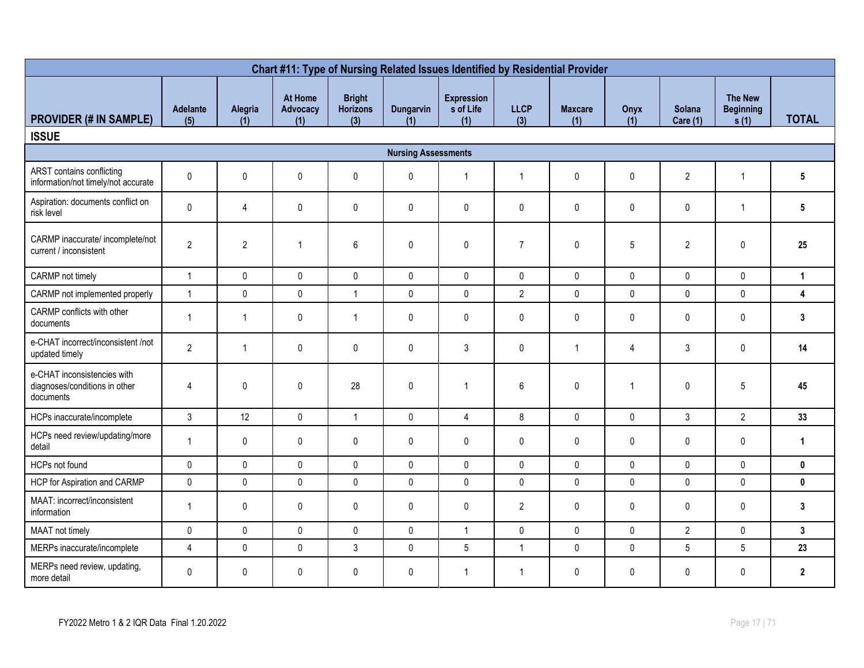| Chart #11: Type of Nursing Related Issues Identified by Residential Provider |                        |                |                            |                                         |                            |                                       |                    |                       |              |                           |                                            |                |
|------------------------------------------------------------------------------|------------------------|----------------|----------------------------|-----------------------------------------|----------------------------|---------------------------------------|--------------------|-----------------------|--------------|---------------------------|--------------------------------------------|----------------|
| <b>PROVIDER (# IN SAMPLE)</b>                                                | <b>Adelante</b><br>(5) | Alegria<br>(1) | At Home<br>Advocacy<br>(1) | <b>Bright</b><br><b>Horizons</b><br>(3) | <b>Dungarvin</b><br>(1)    | <b>Expression</b><br>s of Life<br>(1) | <b>LLCP</b><br>(3) | <b>Maxcare</b><br>(1) | Onyx<br>(1)  | Solana<br><b>Care (1)</b> | <b>The New</b><br><b>Beginning</b><br>s(1) | <b>TOTAL</b>   |
| <b>ISSUE</b>                                                                 |                        |                |                            |                                         |                            |                                       |                    |                       |              |                           |                                            |                |
|                                                                              |                        |                |                            |                                         | <b>Nursing Assessments</b> |                                       |                    |                       |              |                           |                                            |                |
| ARST contains conflicting<br>information/not timely/not accurate             | $\pmb{0}$              | $\pmb{0}$      | 0                          | $\pmb{0}$                               | $\pmb{0}$                  | $\overline{1}$                        | $\overline{1}$     | 0                     | $\pmb{0}$    | $\overline{2}$            | $\mathbf{1}$                               | 5              |
| Aspiration: documents conflict on<br>risk level                              | $\mathsf{O}$           | 4              | $\pmb{0}$                  | 0                                       | $\pmb{0}$                  | $\mathbf 0$                           | $\mathbf 0$        | 0                     | $\mathbf 0$  | $\mathsf{0}$              | $\mathbf{1}$                               | 5              |
| CARMP inaccurate/ incomplete/not<br>current / inconsistent                   | $\overline{2}$         | $\overline{2}$ | $\overline{1}$             | 6                                       | $\mathbf{0}$               | $\mathbf 0$                           | $\overline{7}$     | 0                     | 5            | $\overline{2}$            | $\mathbf 0$                                | 25             |
| CARMP not timely                                                             | $\mathbf{1}$           | $\mathbf 0$    | $\mathbf 0$                | $\mathbf{0}$                            | $\mathbf{0}$               | $\mathbf{0}$                          | $\mathbf 0$        | $\mathbf{0}$          | $\mathbf 0$  | $\mathbf{0}$              | $\mathbf 0$                                | $\mathbf{1}$   |
| CARMP not implemented properly                                               | $\mathbf{1}$           | $\mathbf 0$    | $\pmb{0}$                  | $\mathbf{1}$                            | $\mathbf{0}$               | $\mathbf{0}$                          | $\overline{2}$     | $\mathbf 0$           | $\pmb{0}$    | $\mathbf{0}$              | $\mathbf 0$                                | 4              |
| CARMP conflicts with other<br>documents                                      | $\mathbf{1}$           | $\mathbf{1}$   | $\pmb{0}$                  | $\overline{1}$                          | $\pmb{0}$                  | $\mathbf 0$                           | $\mathbf 0$        | $\pmb{0}$             | $\mathbf 0$  | 0                         | $\mathbf 0$                                | $\mathbf{3}$   |
| e-CHAT incorrect/inconsistent /not<br>updated timely                         | $\overline{2}$         | $\overline{1}$ | $\pmb{0}$                  | 0                                       | $\pmb{0}$                  | $\mathbf{3}$                          | $\pmb{0}$          | $\mathbf{1}$          | 4            | 3                         | $\pmb{0}$                                  | 14             |
| e-CHAT inconsistencies with<br>diagnoses/conditions in other<br>documents    | 4                      | $\pmb{0}$      | $\pmb{0}$                  | 28                                      | $\pmb{0}$                  | $\overline{1}$                        | 6                  | 0                     | $\mathbf{1}$ | $\mathbf 0$               | $5\phantom{.0}$                            | 45             |
| HCPs inaccurate/incomplete                                                   | $\mathfrak{Z}$         | 12             | $\mathbf 0$                | $\overline{1}$                          | $\mathbf 0$                | $\overline{4}$                        | 8                  | $\mathbf 0$           | $\mathbf 0$  | $\mathfrak{Z}$            | $\overline{2}$                             | 33             |
| HCPs need review/updating/more<br>detail                                     | $\mathbf{1}$           | $\pmb{0}$      | $\pmb{0}$                  | $\pmb{0}$                               | $\pmb{0}$                  | $\mathbf 0$                           | $\pmb{0}$          | 0                     | $\pmb{0}$    | $\mathbf 0$               | $\pmb{0}$                                  | $\mathbf{1}$   |
| HCPs not found                                                               | $\mathbf 0$            | $\pmb{0}$      | $\pmb{0}$                  | 0                                       | $\pmb{0}$                  | $\mathbf 0$                           | $\mathbf 0$        | $\mathbf 0$           | $\mathbf 0$  | $\mathsf{0}$              | $\pmb{0}$                                  | $\mathbf 0$    |
| HCP for Aspiration and CARMP                                                 | $\pmb{0}$              | $\pmb{0}$      | $\pmb{0}$                  | $\pmb{0}$                               | $\pmb{0}$                  | $\pmb{0}$                             | $\pmb{0}$          | $\pmb{0}$             | $\pmb{0}$    | $\pmb{0}$                 | $\pmb{0}$                                  | $\pmb{0}$      |
| MAAT: incorrect/inconsistent<br>information                                  | $\mathbf{1}$           | 0              | $\pmb{0}$                  | $\pmb{0}$                               | $\pmb{0}$                  | $\pmb{0}$                             | $\overline{2}$     | $\pmb{0}$             | $\pmb{0}$    | $\pmb{0}$                 | 0                                          | $\mathbf{3}$   |
| MAAT not timely                                                              | $\pmb{0}$              | 0              | $\pmb{0}$                  | $\pmb{0}$                               | $\Omega$                   | $\overline{1}$                        | $\pmb{0}$          | $\pmb{0}$             | $\pmb{0}$    | $\overline{2}$            | $\mathbf 0$                                | 3 <sup>1</sup> |
| MERPs inaccurate/incomplete                                                  | $\overline{4}$         | $\pmb{0}$      | $\pmb{0}$                  | $\mathbf{3}$                            | $\pmb{0}$                  | $5\phantom{.0}$                       | $\mathbf{1}$       | $\pmb{0}$             | $\pmb{0}$    | $\overline{5}$            | $5\,$                                      | 23             |
| MERPs need review, updating,<br>more detail                                  | $\pmb{0}$              | 0              | 0                          | 0                                       | $\mathbf{0}$               | $\overline{1}$                        | $\overline{1}$     | 0                     | $\mathbf 0$  | $\mathbf{0}$              | $\mathbf{0}$                               | $\mathbf{2}$   |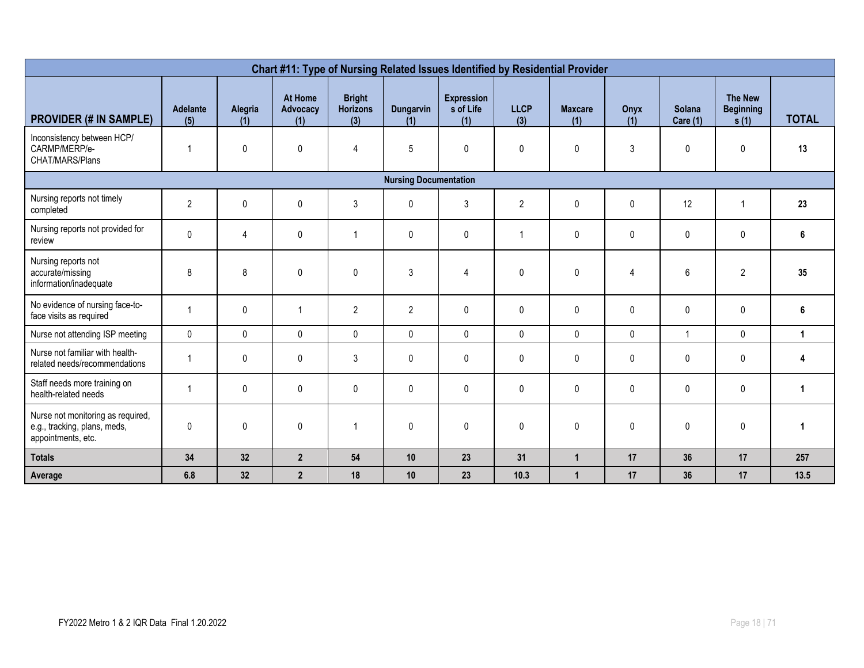| Chart #11: Type of Nursing Related Issues Identified by Residential Provider            |                        |                |                            |                                         |                              |                                       |                    |                       |              |                    |                                            |              |
|-----------------------------------------------------------------------------------------|------------------------|----------------|----------------------------|-----------------------------------------|------------------------------|---------------------------------------|--------------------|-----------------------|--------------|--------------------|--------------------------------------------|--------------|
| <b>PROVIDER (# IN SAMPLE)</b>                                                           | <b>Adelante</b><br>(5) | Alegria<br>(1) | At Home<br>Advocacy<br>(1) | <b>Bright</b><br><b>Horizons</b><br>(3) | Dungarvin<br>(1)             | <b>Expression</b><br>s of Life<br>(1) | <b>LLCP</b><br>(3) | <b>Maxcare</b><br>(1) | Onyx<br>(1)  | Solana<br>Care (1) | <b>The New</b><br><b>Beginning</b><br>s(1) | <b>TOTAL</b> |
| Inconsistency between HCP/<br>CARMP/MERP/e-<br>CHAT/MARS/Plans                          | $\mathbf{1}$           | 0              | $\pmb{0}$                  | $\overline{\mathbf{4}}$                 | 5                            | $\mathbf 0$                           | 0                  | 0                     | 3            | 0                  | $\pmb{0}$                                  | 13           |
|                                                                                         |                        |                |                            |                                         | <b>Nursing Documentation</b> |                                       |                    |                       |              |                    |                                            |              |
| Nursing reports not timely<br>completed                                                 | $\overline{2}$         | 0              | $\pmb{0}$                  | 3                                       | $\mathbf{0}$                 | 3                                     | $\overline{2}$     | 0                     | 0            | 12                 | $\mathbf 1$                                | 23           |
| Nursing reports not provided for<br>review                                              | $\mathbf 0$            | 4              | $\mathbf 0$                | 1                                       | $\mathbf{0}$                 | $\mathbf 0$                           |                    | 0                     | $\mathbf{0}$ | $\mathbf 0$        | 0                                          | 6            |
| Nursing reports not<br>accurate/missing<br>information/inadequate                       | 8                      | 8              | $\mathbf 0$                | 0                                       | 3                            | 4                                     | 0                  | 0                     | 4            | 6                  | $\overline{c}$                             | 35           |
| No evidence of nursing face-to-<br>face visits as required                              | $\overline{1}$         | $\mathbf 0$    |                            | $\overline{2}$                          | $\overline{2}$               | $\mathbf{0}$                          | $\mathbf{0}$       | 0                     | 0            | $\mathbf{0}$       | $\mathbf 0$                                | 6            |
| Nurse not attending ISP meeting                                                         | $\mathbf{0}$           | $\mathbf{0}$   | $\mathbf{0}$               | $\mathbf{0}$                            | $\Omega$                     | $\mathbf{0}$                          | $\mathbf{0}$       | 0                     | $\mathbf{0}$ | $\overline{1}$     | $\mathbf{0}$                               | $\mathbf 1$  |
| Nurse not familiar with health-<br>related needs/recommendations                        | $\overline{1}$         | 0              | $\pmb{0}$                  | 3                                       | $\mathbf{0}$                 | $\mathbf{0}$                          | 0                  | 0                     | 0            | 0                  | $\mathbf 0$                                | 4            |
| Staff needs more training on<br>health-related needs                                    | $\overline{1}$         | $\mathbf 0$    | $\mathbf 0$                | 0                                       | $\mathbf{0}$                 | $\mathbf{0}$                          | $\mathbf{0}$       | 0                     | 0            | $\mathbf 0$        | $\mathbf 0$                                |              |
| Nurse not monitoring as required,<br>e.g., tracking, plans, meds,<br>appointments, etc. | $\pmb{0}$              | $\mathbf{0}$   | $\pmb{0}$                  | $\overline{1}$                          | $\mathbf{0}$                 | $\mathbf{0}$                          | $\mathbf{0}$       | 0                     | 0            | $\mathbf{0}$       | $\mathbf{0}$                               |              |
| <b>Totals</b>                                                                           | 34                     | 32             | $\overline{2}$             | 54                                      | 10                           | 23                                    | 31                 | $\mathbf{1}$          | 17           | 36                 | 17                                         | 257          |
| Average                                                                                 | 6.8                    | 32             | $\overline{2}$             | 18                                      | 10                           | 23                                    | 10.3               | $\overline{1}$        | 17           | 36                 | 17                                         | 13.5         |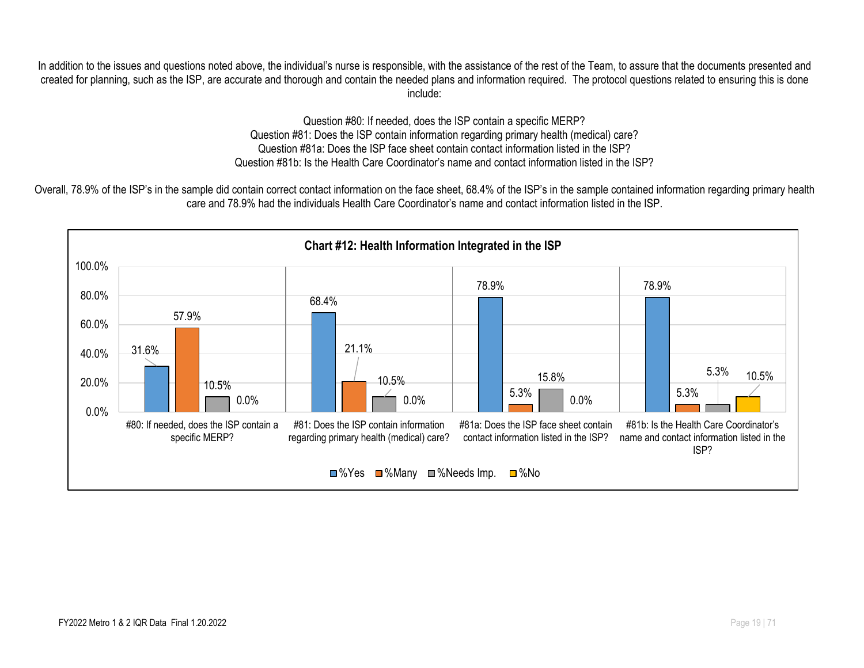In addition to the issues and questions noted above, the individual's nurse is responsible, with the assistance of the rest of the Team, to assure that the documents presented and created for planning, such as the ISP, are accurate and thorough and contain the needed plans and information required. The protocol questions related to ensuring this is done include:

> Question #80: If needed, does the ISP contain a specific MERP? Question #81: Does the ISP contain information regarding primary health (medical) care? Question #81a: Does the ISP face sheet contain contact information listed in the ISP? Question #81b: Is the Health Care Coordinator's name and contact information listed in the ISP?

Overall, 78.9% of the ISP's in the sample did contain correct contact information on the face sheet, 68.4% of the ISP's in the sample contained information regarding primary health care and 78.9% had the individuals Health Care Coordinator's name and contact information listed in the ISP.

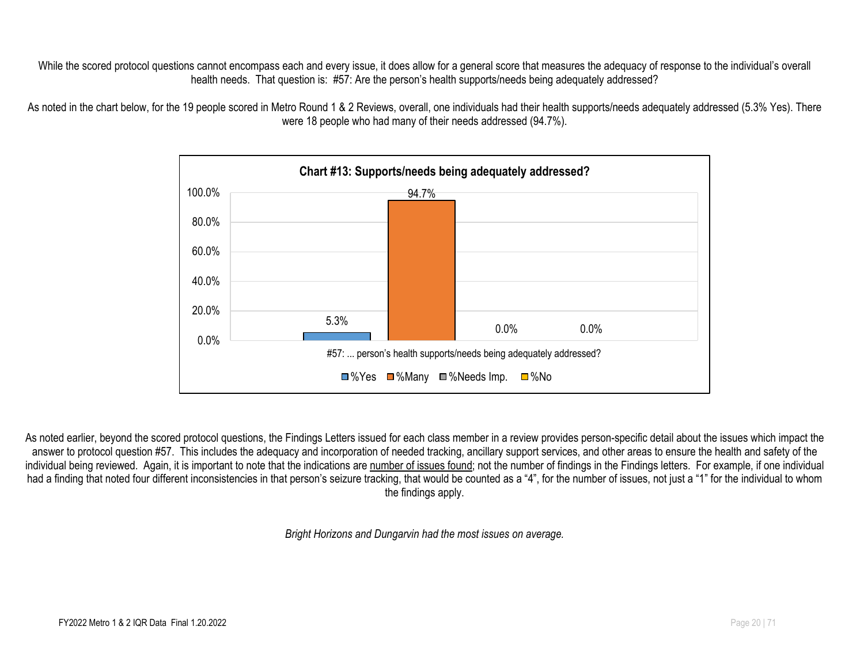While the scored protocol questions cannot encompass each and every issue, it does allow for a general score that measures the adequacy of response to the individual's overall health needs. That question is: #57: Are the person's health supports/needs being adequately addressed?

As noted in the chart below, for the 19 people scored in Metro Round 1 & 2 Reviews, overall, one individuals had their health supports/needs adequately addressed (5.3% Yes). There were 18 people who had many of their needs addressed (94.7%).



As noted earlier, beyond the scored protocol questions, the Findings Letters issued for each class member in a review provides person-specific detail about the issues which impact the answer to protocol question #57. This includes the adequacy and incorporation of needed tracking, ancillary support services, and other areas to ensure the health and safety of the individual being reviewed. Again, it is important to note that the indications are number of issues found; not the number of findings in the Findings letters. For example, if one individual had a finding that noted four different inconsistencies in that person's seizure tracking, that would be counted as a "4", for the number of issues, not just a "1" for the individual to whom the findings apply.

*Bright Horizons and Dungarvin had the most issues on average.*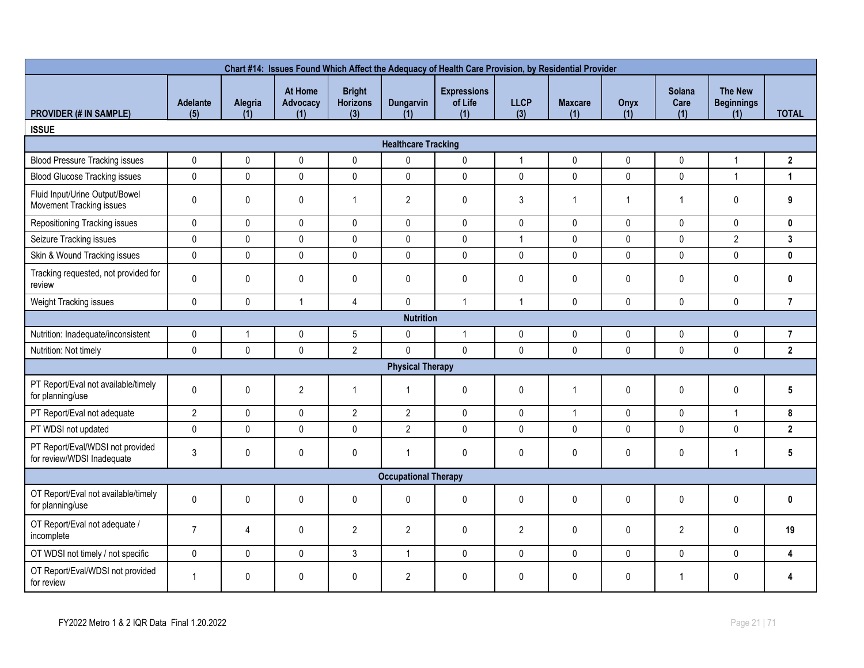| Chart #14: Issues Found Which Affect the Adequacy of Health Care Provision, by Residential Provider |                        |                |                            |                                         |                             |                                      |                    |                       |              |                              |                                            |                 |
|-----------------------------------------------------------------------------------------------------|------------------------|----------------|----------------------------|-----------------------------------------|-----------------------------|--------------------------------------|--------------------|-----------------------|--------------|------------------------------|--------------------------------------------|-----------------|
| <b>PROVIDER (# IN SAMPLE)</b>                                                                       | <b>Adelante</b><br>(5) | Alegria<br>(1) | At Home<br>Advocacy<br>(1) | <b>Bright</b><br><b>Horizons</b><br>(3) | <b>Dungarvin</b><br>(1)     | <b>Expressions</b><br>of Life<br>(1) | <b>LLCP</b><br>(3) | <b>Maxcare</b><br>(1) | Onyx<br>(1)  | <b>Solana</b><br>Care<br>(1) | <b>The New</b><br><b>Beginnings</b><br>(1) | <b>TOTAL</b>    |
| <b>ISSUE</b>                                                                                        |                        |                |                            |                                         |                             |                                      |                    |                       |              |                              |                                            |                 |
|                                                                                                     |                        |                |                            |                                         | <b>Healthcare Tracking</b>  |                                      |                    |                       |              |                              |                                            |                 |
| <b>Blood Pressure Tracking issues</b>                                                               | 0                      | $\pmb{0}$      | $\pmb{0}$                  | $\pmb{0}$                               | $\pmb{0}$                   | $\pmb{0}$                            | $\overline{1}$     | $\pmb{0}$             | 0            | 0                            | $\mathbf{1}$                               | 2               |
| <b>Blood Glucose Tracking issues</b>                                                                | 0                      | $\pmb{0}$      | $\pmb{0}$                  | $\pmb{0}$                               | $\pmb{0}$                   | 0                                    | $\pmb{0}$          | $\pmb{0}$             | $\mathsf{0}$ | 0                            | $\mathbf{1}$                               | $\mathbf{1}$    |
| Fluid Input/Urine Output/Bowel<br>Movement Tracking issues                                          | 0                      | 0              | $\pmb{0}$                  | $\mathbf{1}$                            | $\overline{2}$              | $\pmb{0}$                            | 3                  | $\mathbf{1}$          | $\mathbf{1}$ | $\mathbf{1}$                 | $\mathbf 0$                                | 9               |
| Repositioning Tracking issues                                                                       | 0                      | $\mathbf 0$    | $\pmb{0}$                  | $\mathbf 0$                             | $\pmb{0}$                   | $\mathbf 0$                          | $\mathbf 0$        | $\mathbf 0$           | $\mathbf 0$  | 0                            | $\pmb{0}$                                  | $\mathbf 0$     |
| Seizure Tracking issues                                                                             | 0                      | $\pmb{0}$      | $\pmb{0}$                  | $\pmb{0}$                               | $\pmb{0}$                   | $\pmb{0}$                            | $\mathbf{1}$       | $\pmb{0}$             | $\pmb{0}$    | 0                            | $\overline{2}$                             | 3               |
| Skin & Wound Tracking issues                                                                        | 0                      | $\mathbf 0$    | 0                          | $\pmb{0}$                               | $\mathbf 0$                 | 0                                    | $\pmb{0}$          | $\pmb{0}$             | $\mathbf{0}$ | 0                            | $\pmb{0}$                                  | $\mathbf 0$     |
| Tracking requested, not provided for<br>review                                                      | 0                      | 0              | $\pmb{0}$                  | $\pmb{0}$                               | $\pmb{0}$                   | 0                                    | 0                  | 0                     | 0            | 0                            | 0                                          | $\mathbf 0$     |
| Weight Tracking issues                                                                              | 0                      | $\pmb{0}$      | $\mathbf{1}$               | $\overline{4}$                          | $\mathsf{0}$                | $\mathbf{1}$                         | $\overline{1}$     | $\pmb{0}$             | $\mathsf{0}$ | 0                            | $\mathsf 0$                                | $\overline{7}$  |
|                                                                                                     |                        |                |                            |                                         | <b>Nutrition</b>            |                                      |                    |                       |              |                              |                                            |                 |
| Nutrition: Inadequate/inconsistent                                                                  | 0                      | $\mathbf{1}$   | $\pmb{0}$                  | $5\overline{)}$                         | $\mathbf 0$                 | $\mathbf{1}$                         | $\pmb{0}$          | $\mathsf{0}$          | 0            | 0                            | $\pmb{0}$                                  | $\overline{7}$  |
| Nutrition: Not timely                                                                               | 0                      | $\mathbf{0}$   | $\mathbf{0}$               | $\overline{2}$                          | $\mathbf{0}$                | $\mathbf{0}$                         | $\mathbf{0}$       | $\mathbf{0}$          | $\mathbf{0}$ | 0                            | $\mathbf 0$                                | $\mathbf{2}$    |
|                                                                                                     |                        |                |                            |                                         | <b>Physical Therapy</b>     |                                      |                    |                       |              |                              |                                            |                 |
| PT Report/Eval not available/timely<br>for planning/use                                             | 0                      | 0              | $\overline{2}$             | $\mathbf{1}$                            | $\mathbf{1}$                | $\pmb{0}$                            | $\mathbf 0$        |                       | 0            | 0                            | 0                                          | $5\phantom{.0}$ |
| PT Report/Eval not adequate                                                                         | $\overline{2}$         | $\mathbf 0$    | $\pmb{0}$                  | $\overline{2}$                          | $\overline{2}$              | 0                                    | $\mathbf 0$        | $\mathbf{1}$          | $\mathbf 0$  | 0                            | $\mathbf{1}$                               | 8               |
| PT WDSI not updated                                                                                 | 0                      | $\pmb{0}$      | $\pmb{0}$                  | $\pmb{0}$                               | $\overline{2}$              | $\mathbf 0$                          | $\pmb{0}$          | $\mathsf{0}$          | $\mathbf 0$  | 0                            | $\pmb{0}$                                  | $\mathbf{2}$    |
| PT Report/Eval/WDSI not provided<br>for review/WDSI Inadequate                                      | 3                      | $\pmb{0}$      | $\mathbf{0}$               | $\pmb{0}$                               | $\mathbf{1}$                | $\mathbf{0}$                         | $\mathbf{0}$       | $\mathbf{0}$          | $\mathbf{0}$ | 0                            | $\mathbf{1}$                               | 5               |
|                                                                                                     |                        |                |                            |                                         | <b>Occupational Therapy</b> |                                      |                    |                       |              |                              |                                            |                 |
| OT Report/Eval not available/timely<br>for planning/use                                             | 0                      | 0              | $\pmb{0}$                  | $\pmb{0}$                               | $\pmb{0}$                   | $\pmb{0}$                            | $\pmb{0}$          | 0                     | 0            | 0                            | $\pmb{0}$                                  | $\pmb{0}$       |
| OT Report/Eval not adequate /<br>incomplete                                                         | $\overline{7}$         | $\overline{4}$ | $\pmb{0}$                  | $\overline{2}$                          | $\overline{2}$              | $\pmb{0}$                            | $\overline{2}$     | 0                     | 0            | $\overline{2}$               | $\pmb{0}$                                  | 19              |
| OT WDSI not timely / not specific                                                                   | 0                      | $\mathbf{0}$   | $\pmb{0}$                  | $\mathfrak{Z}$                          | $\mathbf{1}$                | 0                                    | $\mathbf{0}$       | $\pmb{0}$             | $\pmb{0}$    | 0                            | $\pmb{0}$                                  | 4               |
| OT Report/Eval/WDSI not provided<br>for review                                                      | 1                      | 0              | $\mathbf 0$                | 0                                       | $\overline{2}$              | 0                                    | $\mathbf{0}$       | $\mathbf 0$           | 0            | 1                            | $\mathbf 0$                                | 4               |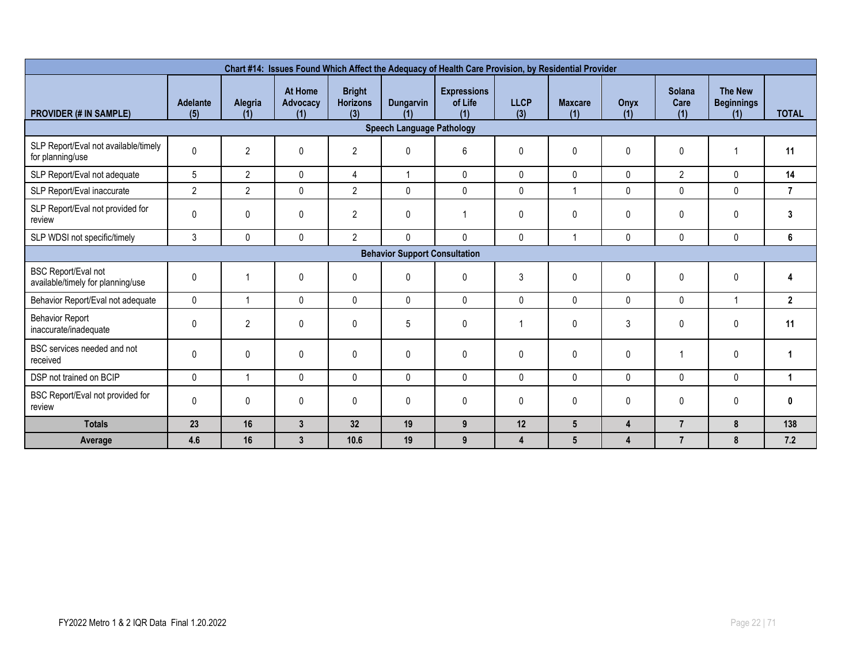| Chart #14: Issues Found Which Affect the Adequacy of Health Care Provision, by Residential Provider |                        |                |                                   |                                         |                                      |                                      |                    |                       |                         |                       |                                            |                |  |
|-----------------------------------------------------------------------------------------------------|------------------------|----------------|-----------------------------------|-----------------------------------------|--------------------------------------|--------------------------------------|--------------------|-----------------------|-------------------------|-----------------------|--------------------------------------------|----------------|--|
| <b>PROVIDER (# IN SAMPLE)</b>                                                                       | <b>Adelante</b><br>(5) | Alegria<br>(1) | At Home<br><b>Advocacv</b><br>(1) | <b>Bright</b><br><b>Horizons</b><br>(3) | <b>Dungarvin</b><br>(1)              | <b>Expressions</b><br>of Life<br>(1) | <b>LLCP</b><br>(3) | <b>Maxcare</b><br>(1) | Onyx<br>(1)             | Solana<br>Care<br>(1) | <b>The New</b><br><b>Beginnings</b><br>(1) | <b>TOTAL</b>   |  |
|                                                                                                     |                        |                |                                   |                                         | <b>Speech Language Pathology</b>     |                                      |                    |                       |                         |                       |                                            |                |  |
| SLP Report/Eval not available/timely<br>for planning/use                                            | 0                      | $\overline{2}$ | 0                                 | $\overline{2}$                          | $\mathbf 0$                          | 6                                    | 0                  | $\mathbf{0}$          | $\mathbf 0$             | 0                     |                                            | 11             |  |
| SLP Report/Eval not adequate                                                                        | 5                      | $\overline{2}$ | $\pmb{0}$                         | $\overline{4}$                          | $\overline{1}$                       | 0                                    | $\mathbf 0$        | $\Omega$              | $\mathbf{0}$            | $\overline{2}$        | 0                                          | 14             |  |
| SLP Report/Eval inaccurate                                                                          | $\overline{2}$         | $\overline{2}$ | $\pmb{0}$                         | $\overline{2}$                          | 0                                    | $\mathbf{0}$                         | $\Omega$           |                       | $\mathbf{0}$            | 0                     | $\mathbf{0}$                               | $\overline{7}$ |  |
| SLP Report/Eval not provided for<br>review                                                          | 0                      | 0              | 0                                 | $\mathbf{2}$                            | 0                                    |                                      | 0                  | $\mathbf{0}$          | 0                       | 0                     | 0                                          | 3              |  |
| SLP WDSI not specific/timely                                                                        | 3                      | 0              | $\pmb{0}$                         | $\overline{2}$                          | $\mathbf 0$                          | 0                                    | $\mathbf{0}$       |                       | $\mathbf 0$             | 0                     | $\mathbf{0}$                               | 6              |  |
|                                                                                                     |                        |                |                                   |                                         | <b>Behavior Support Consultation</b> |                                      |                    |                       |                         |                       |                                            |                |  |
| <b>BSC Report/Eval not</b><br>available/timely for planning/use                                     | 0                      |                | 0                                 | 0                                       | $\pmb{0}$                            | 0                                    | 3                  | $\mathbf{0}$          | $\pmb{0}$               | 0                     | 0                                          | 4              |  |
| Behavior Report/Eval not adequate                                                                   | $\mathbf{0}$           | 1              | 0                                 | $\Omega$                                | $\mathbf 0$                          | 0                                    | $\mathbf{0}$       | $\mathbf{0}$          | 0                       | 0                     |                                            | $\overline{2}$ |  |
| <b>Behavior Report</b><br>inaccurate/inadequate                                                     | 0                      | $\overline{2}$ | $\mathbf{0}$                      | $\mathbf{0}$                            | 5                                    | 0                                    |                    | $\mathbf{0}$          | 3                       | 0                     | 0                                          | 11             |  |
| BSC services needed and not<br>received                                                             | $\Omega$               | 0              | 0                                 | $\mathbf{0}$                            | $\mathbf 0$                          | 0                                    | $\mathbf{0}$       | $\Omega$              | $\mathbf{0}$            |                       | 0                                          |                |  |
| DSP not trained on BCIP                                                                             | $\mathbf{0}$           |                | 0                                 | $\Omega$                                | $\mathbf 0$                          | 0                                    | $\mathbf{0}$       | $\mathbf 0$           | $\mathbf 0$             | 0                     | $\mathbf{0}$                               |                |  |
| BSC Report/Eval not provided for<br>review                                                          | 0                      | 0              | 0                                 | $\mathbf{0}$                            | 0                                    | 0                                    | 0                  | $\mathbf{0}$          | 0                       | 0                     | 0                                          | 0              |  |
| <b>Totals</b>                                                                                       | 23                     | 16             | 3                                 | 32                                      | 19                                   | 9                                    | 12                 | 5 <sup>5</sup>        | $\overline{\mathbf{4}}$ | $\overline{7}$        | 8                                          | 138            |  |
| Average                                                                                             | 4.6                    | 16             | $\mathbf{3}$                      | 10.6                                    | 19                                   | 9                                    | 4                  | 5 <sup>5</sup>        | 4                       | $\overline{7}$        | 8                                          | 7.2            |  |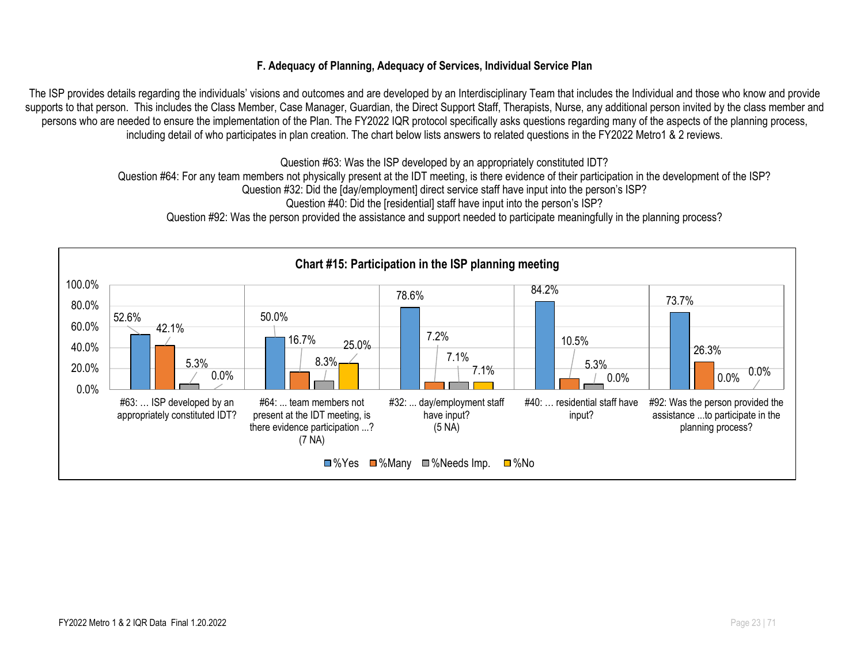#### **F. Adequacy of Planning, Adequacy of Services, Individual Service Plan**

The ISP provides details regarding the individuals' visions and outcomes and are developed by an Interdisciplinary Team that includes the Individual and those who know and provide supports to that person. This includes the Class Member, Case Manager, Guardian, the Direct Support Staff, Therapists, Nurse, any additional person invited by the class member and persons who are needed to ensure the implementation of the Plan. The FY2022 IQR protocol specifically asks questions regarding many of the aspects of the planning process, including detail of who participates in plan creation. The chart below lists answers to related questions in the FY2022 Metro1 & 2 reviews.

Question #63: Was the ISP developed by an appropriately constituted IDT?

Question #64: For any team members not physically present at the IDT meeting, is there evidence of their participation in the development of the ISP?

Question #32: Did the [day/employment] direct service staff have input into the person's ISP?

Question #40: Did the [residential] staff have input into the person's ISP?

Question #92: Was the person provided the assistance and support needed to participate meaningfully in the planning process?

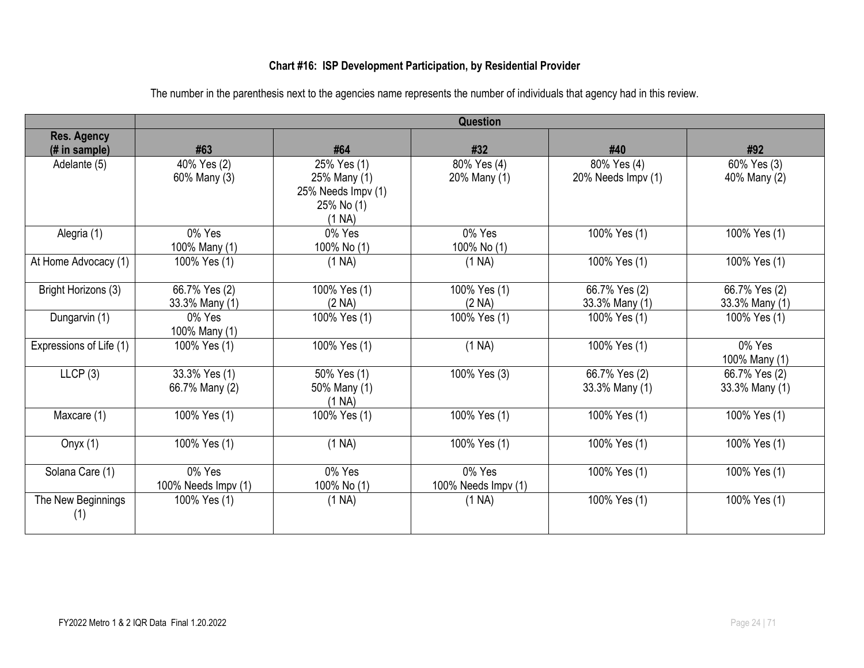#### **Chart #16: ISP Development Participation, by Residential Provider**

|                     |                                                                                                                    | <b>Question</b>                                                                                                                                      |                                                                              |                                                                                                                               |
|---------------------|--------------------------------------------------------------------------------------------------------------------|------------------------------------------------------------------------------------------------------------------------------------------------------|------------------------------------------------------------------------------|-------------------------------------------------------------------------------------------------------------------------------|
|                     |                                                                                                                    |                                                                                                                                                      |                                                                              |                                                                                                                               |
|                     |                                                                                                                    |                                                                                                                                                      |                                                                              | #92                                                                                                                           |
|                     |                                                                                                                    |                                                                                                                                                      |                                                                              | 60% Yes (3)                                                                                                                   |
|                     |                                                                                                                    |                                                                                                                                                      |                                                                              | 40% Many (2)                                                                                                                  |
|                     |                                                                                                                    |                                                                                                                                                      |                                                                              |                                                                                                                               |
|                     |                                                                                                                    |                                                                                                                                                      |                                                                              |                                                                                                                               |
| 0% Yes              | 0% Yes                                                                                                             | 0% Yes                                                                                                                                               | 100% Yes (1)                                                                 | 100% Yes (1)                                                                                                                  |
| 100% Many (1)       | 100% No (1)                                                                                                        | 100% No (1)                                                                                                                                          |                                                                              |                                                                                                                               |
| 100% Yes (1)        | (1 NA)                                                                                                             | (1 NA)                                                                                                                                               | 100% Yes (1)                                                                 | 100% Yes (1)                                                                                                                  |
|                     |                                                                                                                    |                                                                                                                                                      |                                                                              |                                                                                                                               |
|                     |                                                                                                                    |                                                                                                                                                      |                                                                              | 66.7% Yes (2)<br>33.3% Many (1)                                                                                               |
|                     |                                                                                                                    |                                                                                                                                                      |                                                                              | 100% Yes (1)                                                                                                                  |
|                     |                                                                                                                    |                                                                                                                                                      |                                                                              |                                                                                                                               |
| 100% Yes (1)        | 100% Yes (1)                                                                                                       | (1 NA)                                                                                                                                               | 100% Yes (1)                                                                 | 0% Yes                                                                                                                        |
|                     |                                                                                                                    |                                                                                                                                                      |                                                                              | 100% Many (1)                                                                                                                 |
| 33.3% Yes (1)       | 50% Yes (1)                                                                                                        | 100% Yes (3)                                                                                                                                         | 66.7% Yes (2)                                                                | 66.7% Yes (2)                                                                                                                 |
|                     |                                                                                                                    |                                                                                                                                                      |                                                                              | 33.3% Many (1)                                                                                                                |
| 100% Yes (1)        | 100% Yes (1)                                                                                                       | 100% Yes (1)                                                                                                                                         | 100% Yes (1)                                                                 | 100% Yes (1)                                                                                                                  |
|                     |                                                                                                                    |                                                                                                                                                      |                                                                              |                                                                                                                               |
| 100% Yes (1)        | (1 NA)                                                                                                             | 100% Yes (1)                                                                                                                                         | 100% Yes (1)                                                                 | 100% Yes (1)                                                                                                                  |
| 0% Yes              | 0% Yes                                                                                                             | 0% Yes                                                                                                                                               |                                                                              | 100% Yes (1)                                                                                                                  |
| 100% Needs Impv (1) | 100% No (1)                                                                                                        | 100% Needs Impv (1)                                                                                                                                  |                                                                              |                                                                                                                               |
| 100% Yes (1)        | (1 NA)                                                                                                             | (1 NA)                                                                                                                                               | 100% Yes (1)                                                                 | 100% Yes (1)                                                                                                                  |
|                     |                                                                                                                    |                                                                                                                                                      |                                                                              |                                                                                                                               |
|                     | #63<br>40% Yes (2)<br>60% Many (3)<br>66.7% Yes (2)<br>33.3% Many (1)<br>0% Yes<br>100% Many (1)<br>66.7% Many (2) | #64<br>25% Yes (1)<br>25% Many (1)<br>25% Needs Impv (1)<br>25% No (1)<br>(1 NA)<br>100% Yes (1)<br>(2 NA)<br>100% Yes (1)<br>50% Many (1)<br>(1 NA) | #32<br>80% Yes (4)<br>20% Many (1)<br>100% Yes (1)<br>(2 NA)<br>100% Yes (1) | #40<br>80% Yes (4)<br>20% Needs Impv (1)<br>66.7% Yes (2)<br>33.3% Many (1)<br>100% Yes (1)<br>33.3% Many (1)<br>100% Yes (1) |

The number in the parenthesis next to the agencies name represents the number of individuals that agency had in this review.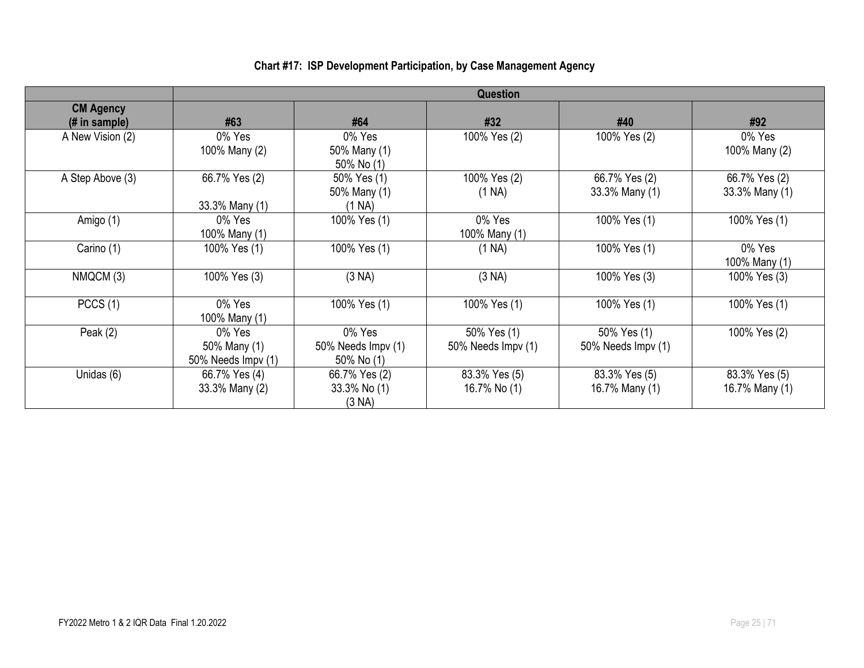#### **Question CM Agency (# in sample) #63 #64 #32 #40 #92** A New Vision (2) 0% Yes 100% Many (2) 0% Yes 50% Many (1) 50% No (1) 100% Yes (2) 100% Yes (2) 0% Yes 100% Many (2) A Step Above (3) 66.7% Yes (2) 33.3% Many (1) 50% Yes (1) 50% Many (1) (1 NA) 100% Yes (2) (1 NA) 66.7% Yes (2) 33.3% Many (1) 66.7% Yes (2) 33.3% Many (1) Amigo (1)  $\qquad \qquad$  0% Yes 100% Many (1) 100% Yes (1) 0% Yes 100% Many (1) 100% Yes (1) 100% Yes (1) Carino (1) | 100% Yes (1) | 100% Yes (1) | (1 NA) | 100% Yes (1) | 0% Yes 100% Many (1) NMQCM (3) | 100% Yes (3) | (3 NA) | (3 NA) | 100% Yes (3) | 100% Yes (3) PCCS (1) 0% Yes 100% Many (1) 100% Yes (1) 100% Yes (1) 100% Yes (1) 100% Yes (1) 100% Yes (1) Peak (2) 0% Yes 50% Many (1) 50% Needs Impv (1) 0% Yes 50% Needs Impv (1) 50% No (1) 50% Yes (1) 50% Needs Impv (1) 50% Yes (1) 50% Needs Impv (1) 100% Yes (2) Unidas (6)  $\vert$  66.7% Yes (4) 33.3% Many (2) 66.7% Yes (2) 33.3% No (1) (3 NA) 83.3% Yes (5) 16.7% No (1) 83.3% Yes (5) 16.7% Many (1) 83.3% Yes (5) 16.7% Many (1)

#### **Chart #17: ISP Development Participation, by Case Management Agency**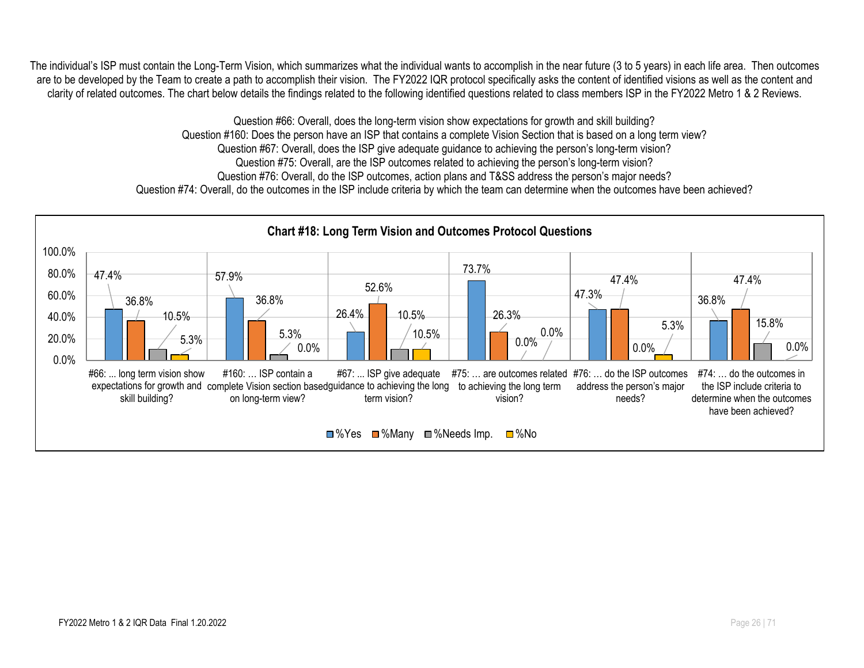The individual's ISP must contain the Long-Term Vision, which summarizes what the individual wants to accomplish in the near future (3 to 5 years) in each life area. Then outcomes are to be developed by the Team to create a path to accomplish their vision. The FY2022 IQR protocol specifically asks the content of identified visions as well as the content and clarity of related outcomes. The chart below details the findings related to the following identified questions related to class members ISP in the FY2022 Metro 1 & 2 Reviews.

> Question #66: Overall, does the long-term vision show expectations for growth and skill building? Question #160: Does the person have an ISP that contains a complete Vision Section that is based on a long term view? Question #67: Overall, does the ISP give adequate guidance to achieving the person's long-term vision? Question #75: Overall, are the ISP outcomes related to achieving the person's long-term vision? Question #76: Overall, do the ISP outcomes, action plans and T&SS address the person's major needs? Question #74: Overall, do the outcomes in the ISP include criteria by which the team can determine when the outcomes have been achieved?

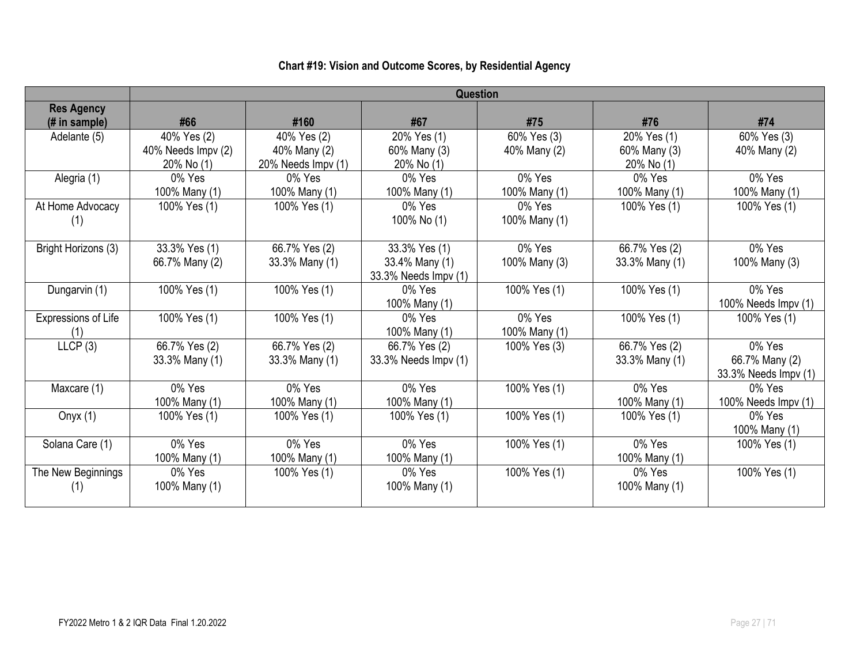|                                     |                                                 |                                                   |                                                         | Question                    |                                           |                                                  |
|-------------------------------------|-------------------------------------------------|---------------------------------------------------|---------------------------------------------------------|-----------------------------|-------------------------------------------|--------------------------------------------------|
| <b>Res Agency</b><br>$#$ in sample) | #66                                             | #160                                              | #67                                                     | #75                         | #76                                       | #74                                              |
| Adelante (5)                        | 40% Yes (2)<br>40% Needs Impv (2)<br>20% No (1) | 40% Yes (2)<br>40% Many (2)<br>20% Needs Impv (1) | 20% Yes (1)<br>60% Many (3)<br>20% No (1)               | 60% Yes (3)<br>40% Many (2) | 20% Yes (1)<br>60% Many (3)<br>20% No (1) | 60% Yes (3)<br>40% Many (2)                      |
| Alegria (1)                         | 0% Yes<br>100% Many (1)                         | 0% Yes<br>100% Many (1)                           | 0% Yes<br>100% Many (1)                                 | 0% Yes<br>100% Many (1)     | 0% Yes<br>100% Many (1)                   | 0% Yes<br>100% Many (1)                          |
| At Home Advocacy<br>(1)             | 100% Yes (1)                                    | 100% Yes (1)                                      | 0% Yes<br>100% No (1)                                   | 0% Yes<br>100% Many (1)     | 100% Yes (1)                              | 100% Yes (1)                                     |
| Bright Horizons (3)                 | 33.3% Yes (1)<br>66.7% Many (2)                 | 66.7% Yes (2)<br>33.3% Many (1)                   | 33.3% Yes (1)<br>33.4% Many (1)<br>33.3% Needs Impv (1) | 0% Yes<br>100% Many (3)     | 66.7% Yes (2)<br>33.3% Many (1)           | 0% Yes<br>100% Many (3)                          |
| Dungarvin (1)                       | 100% Yes (1)                                    | 100% Yes (1)                                      | 0% Yes<br>100% Many (1)                                 | 100% Yes (1)                | 100% Yes (1)                              | 0% Yes<br>100% Needs Impv (1)                    |
| Expressions of Life<br>(1)          | 100% Yes (1)                                    | 100% Yes (1)                                      | 0% Yes<br>100% Many (1)                                 | 0% Yes<br>100% Many (1)     | 100% Yes (1)                              | 100% Yes (1)                                     |
| LLCP(3)                             | 66.7% Yes (2)<br>33.3% Many (1)                 | 66.7% Yes (2)<br>33.3% Many (1)                   | 66.7% Yes (2)<br>33.3% Needs Impv (1)                   | 100% Yes (3)                | 66.7% Yes (2)<br>33.3% Many (1)           | 0% Yes<br>66.7% Many (2)<br>33.3% Needs Impv (1) |
| Maxcare (1)                         | 0% Yes<br>100% Many (1)                         | 0% Yes<br>100% Many (1)                           | 0% Yes<br>100% Many (1)                                 | 100% Yes (1)                | 0% Yes<br>100% Many (1)                   | 0% Yes<br>100% Needs Impv (1)                    |
| Onyx $(1)$                          | 100% Yes (1)                                    | 100% Yes (1)                                      | 100% Yes (1)                                            | 100% Yes (1)                | 100% Yes (1)                              | $0\%$ Yes<br>100% Many (1)                       |
| Solana Care (1)                     | 0% Yes<br>100% Many (1)                         | 0% Yes<br>100% Many (1)                           | 0% Yes<br>100% Many (1)                                 | 100% Yes (1)                | 0% Yes<br>100% Many (1)                   | 100% Yes (1)                                     |
| The New Beginnings<br>(1)           | 0% Yes<br>100% Many (1)                         | 100% Yes (1)                                      | $0\%$ Yes<br>100% Many (1)                              | 100% Yes (1)                | $0\%$ Yes<br>100% Many (1)                | 100% Yes (1)                                     |

## **Chart #19: Vision and Outcome Scores, by Residential Agency**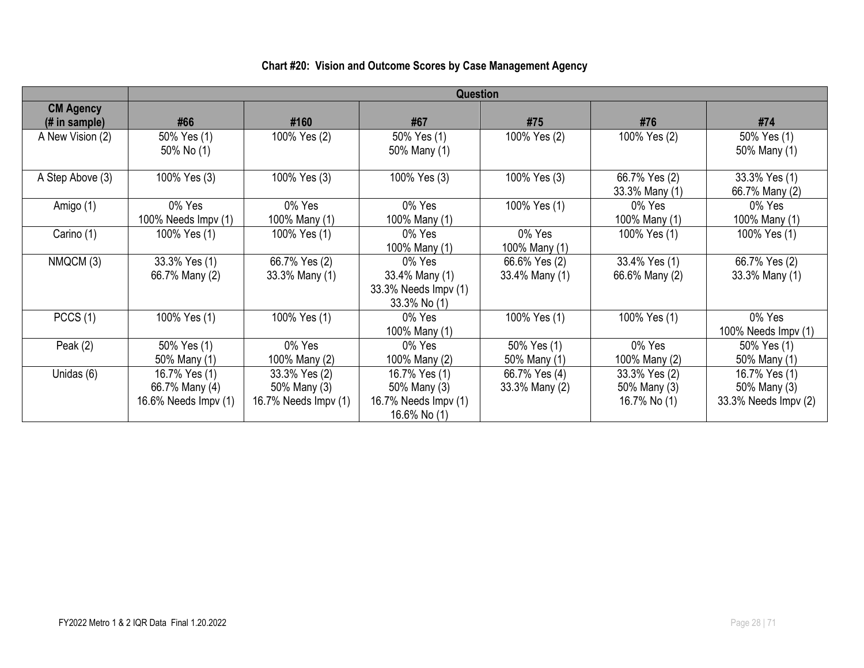|                                   |                      |                      | Question             |                |                |                      |
|-----------------------------------|----------------------|----------------------|----------------------|----------------|----------------|----------------------|
|                                   |                      |                      |                      |                |                |                      |
| <b>CM Agency</b><br>(# in sample) | #66                  | #160                 | #67                  | #75            | #76            | #74                  |
|                                   |                      |                      |                      |                |                |                      |
| A New Vision (2)                  | 50% Yes (1)          | 100% Yes (2)         | 50% Yes (1)          | 100% Yes (2)   | 100% Yes (2)   | 50% Yes (1)          |
|                                   | 50% No (1)           |                      | 50% Many (1)         |                |                | 50% Many (1)         |
| A Step Above (3)                  | 100% Yes (3)         | 100% Yes (3)         | 100% Yes (3)         | 100% Yes (3)   | 66.7% Yes (2)  | 33.3% Yes (1)        |
|                                   |                      |                      |                      |                | 33.3% Many (1) | 66.7% Many (2)       |
| Amigo (1)                         | 0% Yes               | 0% Yes               | 0% Yes               | 100% Yes (1)   | 0% Yes         | 0% Yes               |
|                                   | 100% Needs Impv (1)  | 100% Many (1)        | 100% Many (1)        |                | 100% Many (1)  | 100% Many (1)        |
| Carino (1)                        | 100% Yes (1)         | 100% Yes (1)         | 0% Yes               | 0% Yes         | 100% Yes (1)   | 100% Yes (1)         |
|                                   |                      |                      | 100% Many (1)        | 100% Many (1)  |                |                      |
| NMQCM (3)                         | 33.3% Yes (1)        | 66.7% Yes (2)        | 0% Yes               | 66.6% Yes (2)  | 33.4% Yes (1)  | 66.7% Yes (2)        |
|                                   | 66.7% Many (2)       | 33.3% Many (1)       | 33.4% Many (1)       | 33.4% Many (1) | 66.6% Many (2) | 33.3% Many (1)       |
|                                   |                      |                      | 33.3% Needs Impv (1) |                |                |                      |
|                                   |                      |                      | 33.3% No (1)         |                |                |                      |
| PCCS(1)                           | 100% Yes (1)         | 100% Yes (1)         | 0% Yes               | 100% Yes (1)   | 100% Yes (1)   | 0% Yes               |
|                                   |                      |                      | 100% Many (1)        |                |                | 100% Needs Impv (1)  |
| Peak $(2)$                        | 50% Yes (1)          | 0% Yes               | 0% Yes               | 50% Yes (1)    | 0% Yes         | 50% Yes (1)          |
|                                   | 50% Many (1)         | 100% Many (2)        | 100% Many (2)        | 50% Many (1)   | 100% Many (2)  | 50% Many (1)         |
| Unidas (6)                        | 16.7% Yes (1)        | 33.3% Yes (2)        | 16.7% Yes (1)        | 66.7% Yes (4)  | 33.3% Yes (2)  | 16.7% Yes (1)        |
|                                   | 66.7% Many (4)       | 50% Many (3)         | 50% Many (3)         | 33.3% Many (2) | 50% Many (3)   | 50% Many (3)         |
|                                   | 16.6% Needs Impv (1) | 16.7% Needs Impv (1) | 16.7% Needs Impv (1) |                | 16.7% No (1)   | 33.3% Needs Impv (2) |
|                                   |                      |                      | 16.6% No (1)         |                |                |                      |

## **Chart #20: Vision and Outcome Scores by Case Management Agency**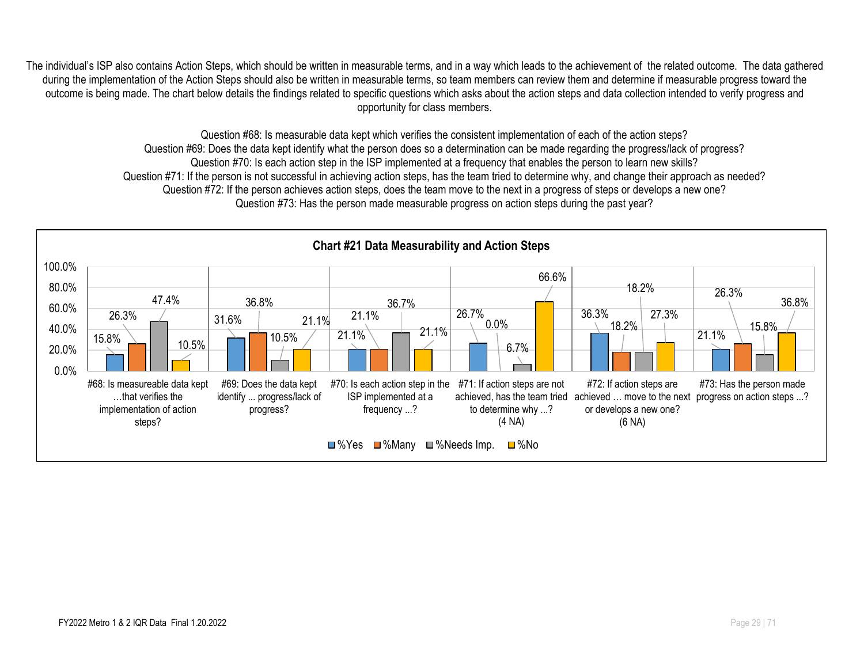The individual's ISP also contains Action Steps, which should be written in measurable terms, and in a way which leads to the achievement of the related outcome. The data gathered during the implementation of the Action Steps should also be written in measurable terms, so team members can review them and determine if measurable progress toward the outcome is being made. The chart below details the findings related to specific questions which asks about the action steps and data collection intended to verify progress and opportunity for class members.

> Question #68: Is measurable data kept which verifies the consistent implementation of each of the action steps? Question #69: Does the data kept identify what the person does so a determination can be made regarding the progress/lack of progress? Question #70: Is each action step in the ISP implemented at a frequency that enables the person to learn new skills? Question #71: If the person is not successful in achieving action steps, has the team tried to determine why, and change their approach as needed? Question #72: If the person achieves action steps, does the team move to the next in a progress of steps or develops a new one? Question #73: Has the person made measurable progress on action steps during the past year?

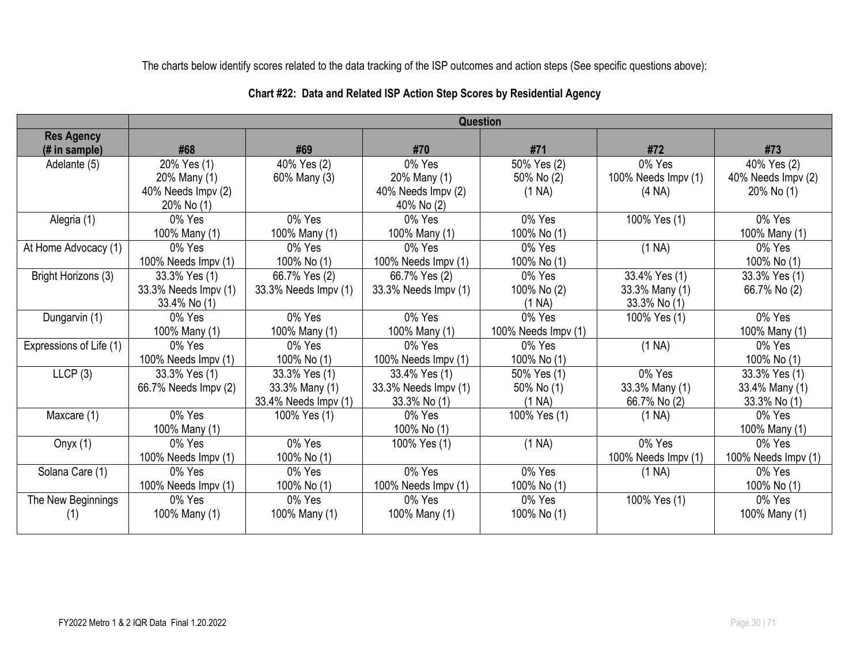The charts below identify scores related to the data tracking of the ISP outcomes and action steps (See specific questions above):

|                         |                      |                      | Question             |                     |                     |                             |
|-------------------------|----------------------|----------------------|----------------------|---------------------|---------------------|-----------------------------|
| <b>Res Agency</b>       |                      |                      |                      |                     |                     |                             |
| $#$ in sample)          | #68                  | #69                  | #70                  | #71                 | #72                 | #73                         |
| Adelante (5)            | 20% Yes (1)          | 40% Yes (2)          | 0% Yes               | 50% Yes (2)         | 0% Yes              | 40% Yes (2)                 |
|                         | 20% Many (1)         | 60% Many (3)         | 20% Many (1)         | 50% No (2)          | 100% Needs Impv (1) | 40% Needs Impv (2)          |
|                         | 40% Needs Impv (2)   |                      | 40% Needs Impv (2)   | (1 NA)              | (4 NA)              | 20% No (1)                  |
|                         | 20% No (1)           |                      | 40% No (2)           |                     |                     |                             |
| Alegria (1)             | $0\%$ Yes            | 0% Yes               | 0% Yes               | 0% Yes              | 100% Yes (1)        | 0% Yes                      |
|                         | 100% Many (1)        | 100% Many (1)        | 100% Many (1)        | 100% No (1)         |                     | 100% Many (1)               |
| At Home Advocacy (1)    | 0% Yes               | 0% Yes               | 0% Yes               | 0% Yes              | (1 NA)              | $0\%$ Yes                   |
|                         | 100% Needs Impv (1)  | 100% No (1)          | 100% Needs Impv (1)  | 100% No (1)         |                     | 100% No (1)                 |
| Bright Horizons (3)     | 33.3% Yes (1)        | 66.7% Yes (2)        | 66.7% Yes (2)        | 0% Yes              | 33.4% Yes (1)       | 33.3% Yes (1)               |
|                         | 33.3% Needs Impv (1) | 33.3% Needs Impv (1) | 33.3% Needs Impv (1) | 100% No (2)         | 33.3% Many (1)      | 66.7% No (2)                |
|                         | 33.4% No (1)         |                      |                      | (1 NA)              | 33.3% No (1)        |                             |
| Dungarvin (1)           | 0% Yes               | 0% Yes               | 0% Yes               | 0% Yes              | 100% Yes (1)        | 0% Yes                      |
|                         | 100% Many (1)        | 100% Many (1)        | 100% Many (1)        | 100% Needs Impv (1) |                     | 100% Many (1)               |
| Expressions of Life (1) | $0\%$ Yes            | 0% Yes               | $0\%$ Yes            | 0% Yes              | (1 NA)              | $0\%$ Yes                   |
|                         | 100% Needs Impv (1)  | 100% No (1)          | 100% Needs Impv (1)  | 100% No (1)         |                     | 100% No (1)                 |
| LLCP(3)                 | 33.3% Yes (1)        | 33.3% Yes (1)        | 33.4% Yes (1)        | 50% Yes (1)         | 0% Yes              | 33.3% Yes (1)               |
|                         | 66.7% Needs Impv (2) | 33.3% Many (1)       | 33.3% Needs Impv (1) | 50% No (1)          | 33.3% Many (1)      | 33.4% Many (1)              |
|                         |                      | 33.4% Needs Impv (1) | 33.3% No (1)         | (1 NA)              | 66.7% No (2)        | 33.3% No (1)                |
| Maxcare (1)             | 0% Yes               | 100% Yes (1)         | 0% Yes               | 100% Yes (1)        | (1 NA)              | 0% Yes                      |
|                         | 100% Many (1)        |                      | 100% No (1)          |                     |                     | 100% Many (1)               |
| Onyx $(1)$              | 0% Yes               | 0% Yes               | 100% Yes (1)         | (1 NA)              | 0% Yes              | 0% Yes                      |
|                         | 100% Needs Impv (1)  | 100% No (1)          |                      |                     | 100% Needs Impv (1) | 100% Needs $\text{Impv}(1)$ |
| Solana Care (1)         | 0% Yes               | 0% Yes               | 0% Yes               | 0% Yes              | (1 NA)              | 0% Yes                      |
|                         | 100% Needs Impv (1)  | 100% No (1)          | 100% Needs Impv (1)  | 100% No (1)         |                     | 100% No (1)                 |
| The New Beginnings      | 0% Yes               | 0% Yes               | 0% Yes               | 0% Yes              | 100% Yes (1)        | 0% Yes                      |
| (1)                     | 100% Many (1)        | 100% Many (1)        | 100% Many (1)        | 100% No (1)         |                     | 100% Many (1)               |
|                         |                      |                      |                      |                     |                     |                             |

### **Chart #22: Data and Related ISP Action Step Scores by Residential Agency**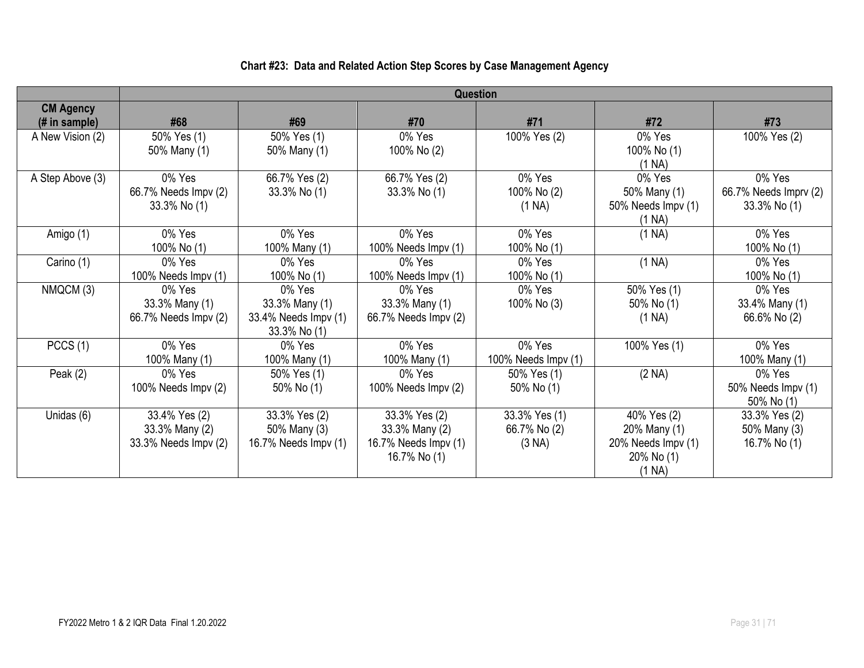## **Chart #23: Data and Related Action Step Scores by Case Management Agency**

|                                    | <b>Question</b>                                         |                                                                  |                                                                         |                                         |                                                                                |                                                    |  |
|------------------------------------|---------------------------------------------------------|------------------------------------------------------------------|-------------------------------------------------------------------------|-----------------------------------------|--------------------------------------------------------------------------------|----------------------------------------------------|--|
| <b>CM Agency</b><br>$#$ in sample) | #68                                                     | #69                                                              | #70                                                                     | #71                                     | #72                                                                            | #73                                                |  |
| A New Vision (2)                   | 50% Yes (1)<br>50% Many (1)                             | 50% Yes (1)<br>50% Many (1)                                      | 0% Yes<br>100% No (2)                                                   | 100% Yes (2)                            | 0% Yes<br>100% No (1)<br>(1 NA)                                                | 100% Yes (2)                                       |  |
| A Step Above (3)                   | 0% Yes<br>66.7% Needs Impv (2)<br>$33.3\%$ No (1)       | 66.7% Yes (2)<br>33.3% No (1)                                    | 66.7% Yes (2)<br>33.3% No (1)                                           | 0% Yes<br>100% No (2)<br>(1 NA)         | 0% Yes<br>50% Many (1)<br>50% Needs Impv (1)<br>(1 NA)                         | 0% Yes<br>66.7% Needs Imprv (2)<br>$33.3\%$ No (1) |  |
| Amigo (1)                          | 0% Yes<br>100% No (1)                                   | 0% Yes<br>100% Many (1)                                          | 0% Yes<br>100% Needs Impv (1)                                           | 0% Yes<br>100% No (1)                   | (1 NA)                                                                         | 0% Yes<br>100% No (1)                              |  |
| Carino (1)                         | 0% Yes<br>100% Needs Impv (1)                           | 0% Yes<br>100% No (1)                                            | 0% Yes<br>100% Needs Impv (1)                                           | 0% Yes<br>100% No (1)                   | (1 NA)                                                                         | 0% Yes<br>100% No (1)                              |  |
| NMQCM (3)                          | 0% Yes<br>33.3% Many (1)<br>66.7% Needs Impv (2)        | 0% Yes<br>33.3% Many (1)<br>33.4% Needs Impv (1)<br>33.3% No (1) | 0% Yes<br>33.3% Many (1)<br>66.7% Needs Impv (2)                        | 0% Yes<br>100% No (3)                   | 50% Yes (1)<br>$50\%$ No $(1)$<br>(1 NA)                                       | 0% Yes<br>33.4% Many (1)<br>66.6% No (2)           |  |
| PCCS(1)                            | 0% Yes<br>100% Many (1)                                 | 0% Yes<br>100% Many (1)                                          | 0% Yes<br>100% Many (1)                                                 | 0% Yes<br>100% Needs Impv (1)           | 100% Yes (1)                                                                   | 0% Yes<br>100% Many (1)                            |  |
| Peak $(2)$                         | 0% Yes<br>100% Needs Impv (2)                           | 50% Yes (1)<br>50% No $(1)$                                      | 0% Yes<br>100% Needs Impv (2)                                           | 50% Yes (1)<br>50% No (1)               | (2 NA)                                                                         | 0% Yes<br>50% Needs Impv (1)<br>50% No (1)         |  |
| Unidas (6)                         | 33.4% Yes (2)<br>33.3% Many (2)<br>33.3% Needs Impv (2) | 33.3% Yes (2)<br>50% Many (3)<br>16.7% Needs Impv (1)            | 33.3% Yes (2)<br>33.3% Many (2)<br>16.7% Needs Impv (1)<br>16.7% No (1) | 33.3% Yes (1)<br>66.7% No (2)<br>(3 NA) | 40% Yes (2)<br>20% Many (1)<br>20% Needs Impv (1)<br>$20\%$ No $(1)$<br>(1 NA) | 33.3% Yes (2)<br>50% Many (3)<br>16.7% No (1)      |  |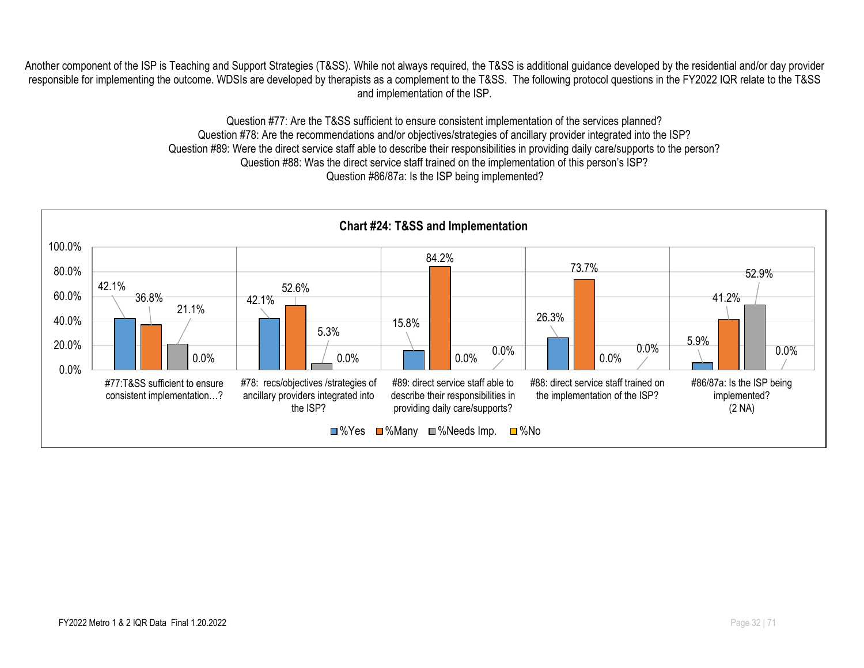Another component of the ISP is Teaching and Support Strategies (T&SS). While not always required, the T&SS is additional guidance developed by the residential and/or day provider responsible for implementing the outcome. WDSIs are developed by therapists as a complement to the T&SS. The following protocol questions in the FY2022 IQR relate to the T&SS and implementation of the ISP.

> Question #77: Are the T&SS sufficient to ensure consistent implementation of the services planned? Question #78: Are the recommendations and/or objectives/strategies of ancillary provider integrated into the ISP? Question #89: Were the direct service staff able to describe their responsibilities in providing daily care/supports to the person? Question #88: Was the direct service staff trained on the implementation of this person's ISP? Question #86/87a: Is the ISP being implemented?

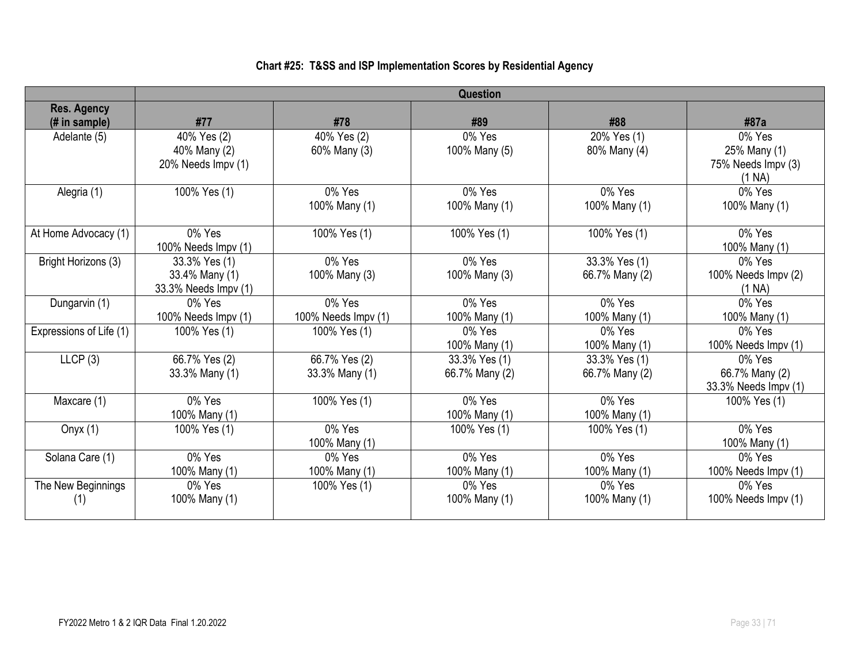### **Chart #25: T&SS and ISP Implementation Scores by Residential Agency**

|                         | Question             |                     |                |                |                      |  |  |
|-------------------------|----------------------|---------------------|----------------|----------------|----------------------|--|--|
| <b>Res. Agency</b>      |                      |                     |                |                |                      |  |  |
| (# in sample)           | #77                  | #78                 | #89            | #88            | #87a                 |  |  |
| Adelante (5)            | 40% Yes (2)          | 40% Yes (2)         | 0% Yes         | 20% Yes (1)    | 0% Yes               |  |  |
|                         | 40% Many (2)         | 60% Many (3)        | 100% Many (5)  | 80% Many (4)   | 25% Many (1)         |  |  |
|                         | 20% Needs Impv (1)   |                     |                |                | 75% Needs Impv (3)   |  |  |
|                         |                      |                     |                |                | (1 NA)               |  |  |
| Alegria (1)             | 100% Yes (1)         | 0% Yes              | 0% Yes         | 0% Yes         | 0% Yes               |  |  |
|                         |                      | 100% Many (1)       | 100% Many (1)  | 100% Many (1)  | 100% Many (1)        |  |  |
|                         |                      |                     |                |                |                      |  |  |
| At Home Advocacy (1)    | 0% Yes               | 100% Yes (1)        | 100% Yes (1)   | 100% Yes (1)   | 0% Yes               |  |  |
|                         | 100% Needs Impv (1)  |                     |                |                | 100% Many (1)        |  |  |
| Bright Horizons (3)     | 33.3% Yes (1)        | 0% Yes              | 0% Yes         | 33.3% Yes (1)  | 0% Yes               |  |  |
|                         | 33.4% Many (1)       | 100% Many (3)       | 100% Many (3)  | 66.7% Many (2) | 100% Needs Impv (2)  |  |  |
|                         | 33.3% Needs Impv (1) |                     |                |                | (1 NA)               |  |  |
| Dungarvin (1)           | $0\%$ Yes            | 0% Yes              | 0% Yes         | 0% Yes         | 0% Yes               |  |  |
|                         | 100% Needs Impv (1)  | 100% Needs Impv (1) | 100% Many (1)  | 100% Many (1)  | 100% Many (1)        |  |  |
| Expressions of Life (1) | 100% Yes (1)         | 100% Yes (1)        | 0% Yes         | $0\%$ Yes      | $0\%$ Yes            |  |  |
|                         |                      |                     | 100% Many (1)  | 100% Many (1)  | 100% Needs Impv (1)  |  |  |
| LLCP(3)                 | 66.7% Yes (2)        | 66.7% Yes (2)       | 33.3% Yes (1)  | 33.3% Yes (1)  | 0% Yes               |  |  |
|                         | 33.3% Many (1)       | 33.3% Many (1)      | 66.7% Many (2) | 66.7% Many (2) | 66.7% Many (2)       |  |  |
|                         |                      |                     |                |                | 33.3% Needs Impv (1) |  |  |
| Maxcare (1)             | 0% Yes               | 100% Yes (1)        | 0% Yes         | 0% Yes         | 100% Yes (1)         |  |  |
|                         | 100% Many (1)        |                     | 100% Many (1)  | 100% Many (1)  |                      |  |  |
| Onyx $(1)$              | 100% Yes (1)         | 0% Yes              | 100% Yes (1)   | 100% Yes (1)   | 0% Yes               |  |  |
|                         |                      | 100% Many (1)       |                |                | 100% Many (1)        |  |  |
| Solana Care (1)         | 0% Yes               | 0% Yes              | 0% Yes         | 0% Yes         | 0% Yes               |  |  |
|                         | 100% Many (1)        | 100% Many (1)       | 100% Many (1)  | 100% Many (1)  | 100% Needs $Impv(1)$ |  |  |
| The New Beginnings      | 0% Yes               | 100% Yes (1)        | 0% Yes         | 0% Yes         | $0\%$ Yes            |  |  |
| (1)                     | 100% Many (1)        |                     | 100% Many (1)  | 100% Many (1)  | 100% Needs Impv (1)  |  |  |
|                         |                      |                     |                |                |                      |  |  |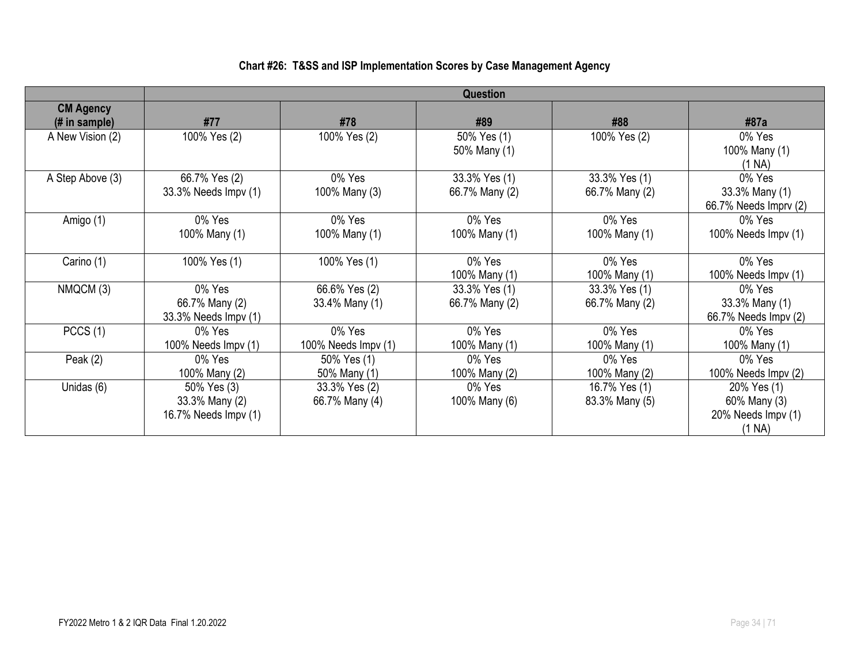### **Chart #26: T&SS and ISP Implementation Scores by Case Management Agency**

|                                    | <b>Question</b>                                       |                                 |                                 |                                 |                                                             |  |  |
|------------------------------------|-------------------------------------------------------|---------------------------------|---------------------------------|---------------------------------|-------------------------------------------------------------|--|--|
| <b>CM Agency</b><br>$#$ in sample) | #77                                                   | #78                             | #89                             | #88                             | #87a                                                        |  |  |
| A New Vision (2)                   | 100% Yes (2)                                          | 100% Yes (2)                    | 50% Yes (1)<br>50% Many (1)     | 100% Yes (2)                    | 0% Yes<br>100% Many (1)<br>(1 NA)                           |  |  |
| A Step Above (3)                   | 66.7% Yes (2)<br>33.3% Needs Impv (1)                 | 0% Yes<br>100% Many (3)         | 33.3% Yes (1)<br>66.7% Many (2) | 33.3% Yes (1)<br>66.7% Many (2) | 0% Yes<br>33.3% Many (1)<br>66.7% Needs Imprv (2)           |  |  |
| Amigo (1)                          | 0% Yes<br>100% Many (1)                               | 0% Yes<br>100% Many (1)         | 0% Yes<br>100% Many (1)         | 0% Yes<br>100% Many (1)         | 0% Yes<br>100% Needs Impv (1)                               |  |  |
| Carino (1)                         | 100% Yes (1)                                          | 100% Yes (1)                    | 0% Yes<br>100% Many (1)         | 0% Yes<br>100% Many (1)         | 0% Yes<br>100% Needs Impv (1)                               |  |  |
| NMQCM (3)                          | 0% Yes<br>66.7% Many (2)<br>33.3% Needs Impv (1)      | 66.6% Yes (2)<br>33.4% Many (1) | 33.3% Yes (1)<br>66.7% Many (2) | 33.3% Yes (1)<br>66.7% Many (2) | 0% Yes<br>33.3% Many (1)<br>66.7% Needs Impv (2)            |  |  |
| PCCS(1)                            | 0% Yes<br>100% Needs $\text{Impv}(1)$                 | 0% Yes<br>100% Needs $Impv(1)$  | 0% Yes<br>100% Many (1)         | 0% Yes<br>100% Many (1)         | 0% Yes<br>100% Many (1)                                     |  |  |
| Peak $(2)$                         | 0% Yes<br>100% Many (2)                               | 50% Yes (1)<br>50% Many (1)     | 0% Yes<br>100% Many (2)         | 0% Yes<br>100% Many (2)         | 0% Yes<br>100% Needs Impv (2)                               |  |  |
| Unidas (6)                         | 50% Yes (3)<br>33.3% Many (2)<br>16.7% Needs Impv (1) | 33.3% Yes (2)<br>66.7% Many (4) | 0% Yes<br>100% Many (6)         | 16.7% Yes (1)<br>83.3% Many (5) | 20% Yes (1)<br>60% Many (3)<br>20% Needs Impv (1)<br>(1 NA) |  |  |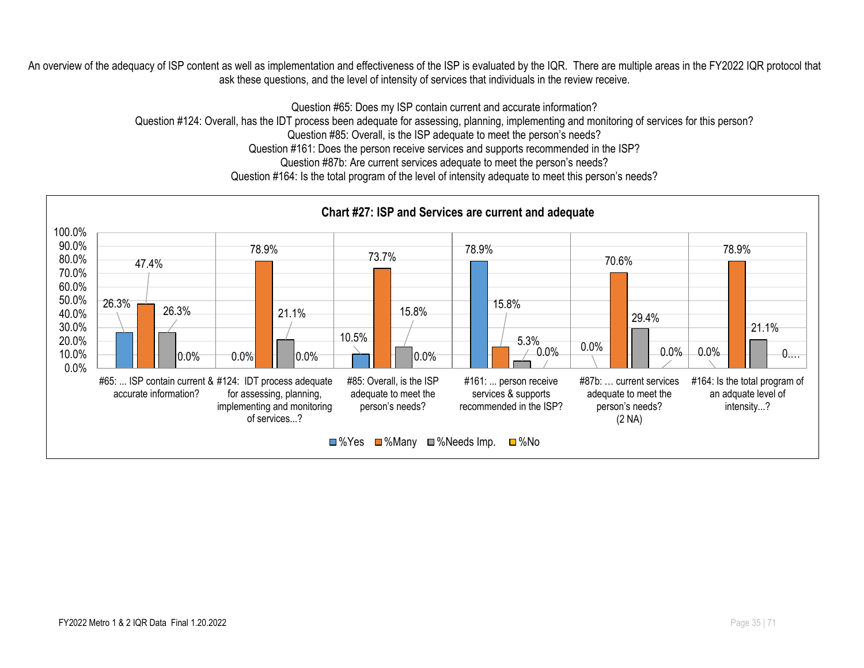An overview of the adequacy of ISP content as well as implementation and effectiveness of the ISP is evaluated by the IQR. There are multiple areas in the FY2022 IQR protocol that ask these questions, and the level of intensity of services that individuals in the review receive.

Question #65: Does my ISP contain current and accurate information?

Question #124: Overall, has the IDT process been adequate for assessing, planning, implementing and monitoring of services for this person?

Question #85: Overall, is the ISP adequate to meet the person's needs?

Question #161: Does the person receive services and supports recommended in the ISP?

Question #87b: Are current services adequate to meet the person's needs?

Question #164: Is the total program of the level of intensity adequate to meet this person's needs?

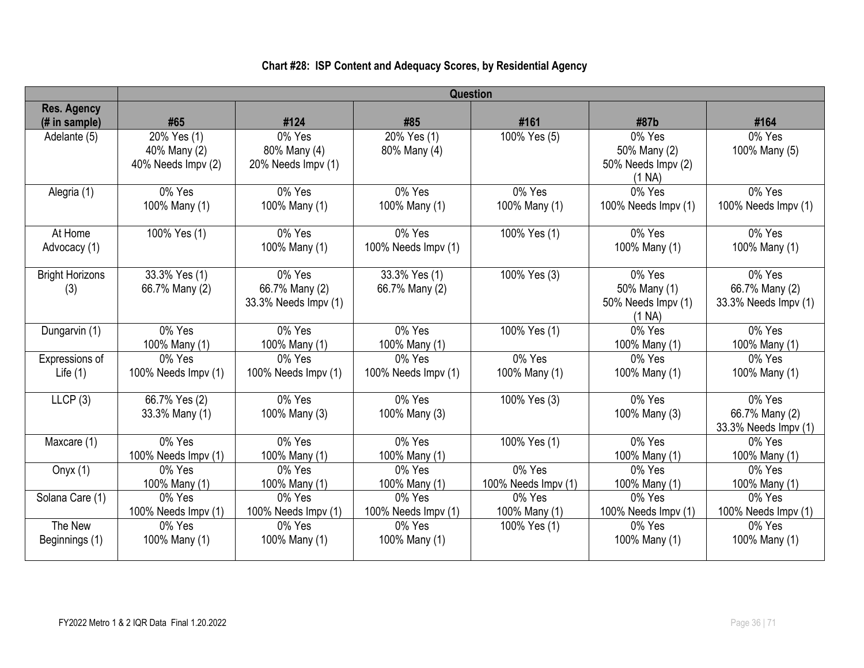|                               | <b>Question</b>                                   |                                                  |                                 |                               |                                                        |                                                  |  |
|-------------------------------|---------------------------------------------------|--------------------------------------------------|---------------------------------|-------------------------------|--------------------------------------------------------|--------------------------------------------------|--|
| <b>Res. Agency</b>            |                                                   |                                                  |                                 |                               |                                                        |                                                  |  |
| (# in sample)                 | #65                                               | #124                                             | #85                             | #161                          | #87b                                                   | #164                                             |  |
| Adelante (5)                  | 20% Yes (1)<br>40% Many (2)<br>40% Needs Impv (2) | 0% Yes<br>80% Many (4)<br>20% Needs Impv (1)     | 20% Yes (1)<br>80% Many (4)     | 100% Yes (5)                  | 0% Yes<br>50% Many (2)<br>50% Needs Impv (2)<br>(1 NA) | 0% Yes<br>100% Many (5)                          |  |
| Alegria (1)                   | 0% Yes<br>100% Many (1)                           | 0% Yes<br>100% Many (1)                          | 0% Yes<br>100% Many (1)         | 0% Yes<br>100% Many (1)       | 0% Yes<br>100% Needs Impv (1)                          | 0% Yes<br>100% Needs Impv (1)                    |  |
| At Home<br>Advocacy (1)       | 100% Yes (1)                                      | 0% Yes<br>100% Many (1)                          | 0% Yes<br>100% Needs Impv (1)   | 100% Yes (1)                  | 0% Yes<br>100% Many (1)                                | 0% Yes<br>100% Many (1)                          |  |
| <b>Bright Horizons</b><br>(3) | 33.3% Yes (1)<br>66.7% Many (2)                   | 0% Yes<br>66.7% Many (2)<br>33.3% Needs Impv (1) | 33.3% Yes (1)<br>66.7% Many (2) | 100% Yes (3)                  | 0% Yes<br>50% Many (1)<br>50% Needs Impv (1)<br>(1 NA) | 0% Yes<br>66.7% Many (2)<br>33.3% Needs Impv (1) |  |
| Dungarvin (1)                 | 0% Yes<br>100% Many (1)                           | 0% Yes<br>100% Many (1)                          | 0% Yes<br>100% Many (1)         | 100% Yes (1)                  | 0% Yes<br>100% Many (1)                                | 0% Yes<br>100% Many (1)                          |  |
| Expressions of                | 0% Yes                                            | 0% Yes                                           | 0% Yes                          | 0% Yes                        | 0% Yes                                                 | 0% Yes                                           |  |
| Life $(1)$                    | 100% Needs Impv (1)                               | 100% Needs Impv (1)                              | 100% Needs Impv (1)             | 100% Many (1)                 | 100% Many (1)                                          | 100% Many (1)                                    |  |
| LLCP(3)                       | 66.7% Yes (2)<br>33.3% Many (1)                   | 0% Yes<br>100% Many (3)                          | 0% Yes<br>100% Many (3)         | 100% Yes (3)                  | 0% Yes<br>100% Many (3)                                | 0% Yes<br>66.7% Many (2)<br>33.3% Needs Impv (1) |  |
| Maxcare (1)                   | 0% Yes<br>100% Needs Impv (1)                     | 0% Yes<br>100% Many (1)                          | 0% Yes<br>100% Many (1)         | 100% Yes (1)                  | 0% Yes<br>100% Many (1)                                | 0% Yes<br>100% Many (1)                          |  |
| Onyx $(1)$                    | 0% Yes<br>100% Many (1)                           | 0% Yes<br>100% Many (1)                          | 0% Yes<br>100% Many (1)         | 0% Yes<br>100% Needs Impv (1) | 0% Yes<br>100% Many (1)                                | 0% Yes<br>100% Many (1)                          |  |
| Solana Care (1)               | 0% Yes<br>100% Needs Impv (1)                     | 0% Yes<br>100% Needs Impv (1)                    | 0% Yes<br>100% Needs Impv (1)   | 0% Yes<br>100% Many (1)       | 0% Yes<br>100% Needs Impv (1)                          | 0% Yes<br>100% Needs Impv (1)                    |  |
| The New<br>Beginnings (1)     | 0% Yes<br>100% Many (1)                           | 0% Yes<br>100% Many (1)                          | 0% Yes<br>100% Many (1)         | 100% Yes (1)                  | 0% Yes<br>100% Many (1)                                | 0% Yes<br>100% Many (1)                          |  |

## **Chart #28: ISP Content and Adequacy Scores, by Residential Agency**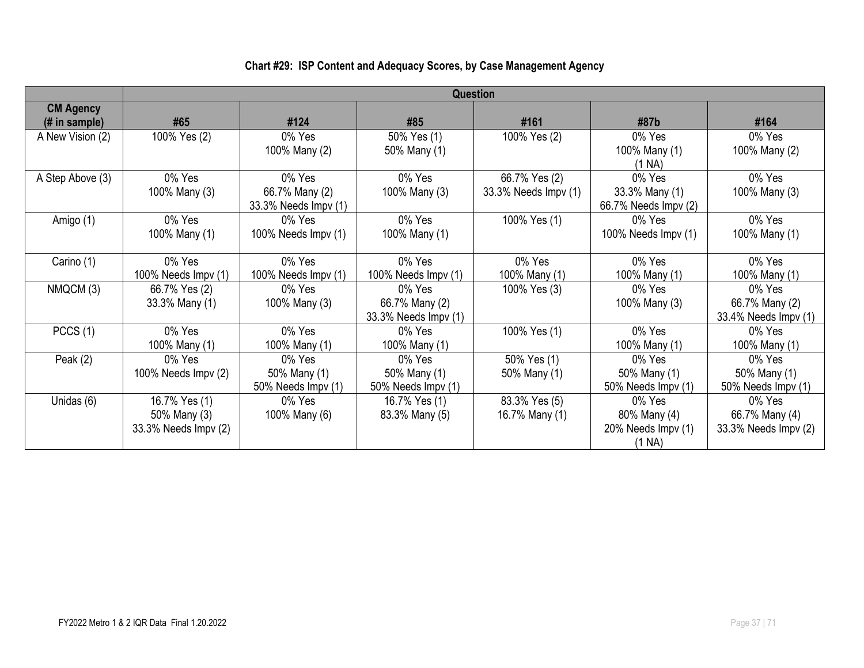## **Chart #29: ISP Content and Adequacy Scores, by Case Management Agency**

|                                    |                                                       | Question                                         |                                                  |                                       |                                                        |                                                  |  |  |
|------------------------------------|-------------------------------------------------------|--------------------------------------------------|--------------------------------------------------|---------------------------------------|--------------------------------------------------------|--------------------------------------------------|--|--|
| <b>CM Agency</b><br>$#$ in sample) | #65                                                   | #124                                             | #85                                              | #161                                  | #87b                                                   | #164                                             |  |  |
| A New Vision (2)                   | 100% Yes (2)                                          | 0% Yes<br>100% Many (2)                          | 50% Yes (1)<br>50% Many (1)                      | 100% Yes (2)                          | 0% Yes<br>100% Many (1)<br>(1 N <sub>A</sub> )         | 0% Yes<br>100% Many (2)                          |  |  |
| A Step Above (3)                   | 0% Yes<br>100% Many (3)                               | 0% Yes<br>66.7% Many (2)<br>33.3% Needs Impv (1) | 0% Yes<br>100% Many (3)                          | 66.7% Yes (2)<br>33.3% Needs Impv (1) | 0% Yes<br>33.3% Many (1)<br>66.7% Needs Impv (2)       | 0% Yes<br>100% Many (3)                          |  |  |
| Amigo (1)                          | 0% Yes<br>100% Many (1)                               | $0\%$ Yes<br>100% Needs Impv (1)                 | 0% Yes<br>100% Many (1)                          | 100% Yes (1)                          | 0% Yes<br>100% Needs Impv (1)                          | 0% Yes<br>100% Many (1)                          |  |  |
| Carino (1)                         | 0% Yes<br>100% Needs Impv (1)                         | 0% Yes<br>100% Needs Impv (1)                    | 0% Yes<br>100% Needs Impv (1)                    | 0% Yes<br>100% Many (1)               | 0% Yes<br>100% Many (1)                                | 0% Yes<br>100% Many (1)                          |  |  |
| NMQCM (3)                          | 66.7% Yes (2)<br>33.3% Many (1)                       | 0% Yes<br>100% Many (3)                          | 0% Yes<br>66.7% Many (2)<br>33.3% Needs Impv (1) | 100% Yes (3)                          | 0% Yes<br>100% Many (3)                                | 0% Yes<br>66.7% Many (2)<br>33.4% Needs Impv (1) |  |  |
| PCCS(1)                            | 0% Yes<br>100% Many (1)                               | 0% Yes<br>100% Many (1)                          | 0% Yes<br>100% Many (1)                          | 100% Yes (1)                          | 0% Yes<br>100% Many (1)                                | 0% Yes<br>100% Many (1)                          |  |  |
| Peak $(2)$                         | 0% Yes<br>100% Needs Impv (2)                         | 0% Yes<br>50% Many (1)<br>50% Needs Impv (1)     | 0% Yes<br>50% Many (1)<br>50% Needs Impv (1)     | 50% Yes (1)<br>50% Many (1)           | 0% Yes<br>50% Many (1)<br>50% Needs Impv (1)           | 0% Yes<br>50% Many (1)<br>50% Needs Impv (1)     |  |  |
| Unidas (6)                         | 16.7% Yes (1)<br>50% Many (3)<br>33.3% Needs Impv (2) | 0% Yes<br>100% Many (6)                          | 16.7% Yes (1)<br>83.3% Many (5)                  | 83.3% Yes (5)<br>16.7% Many (1)       | 0% Yes<br>80% Many (4)<br>20% Needs Impv (1)<br>(1 NA) | 0% Yes<br>66.7% Many (4)<br>33.3% Needs Impv (2) |  |  |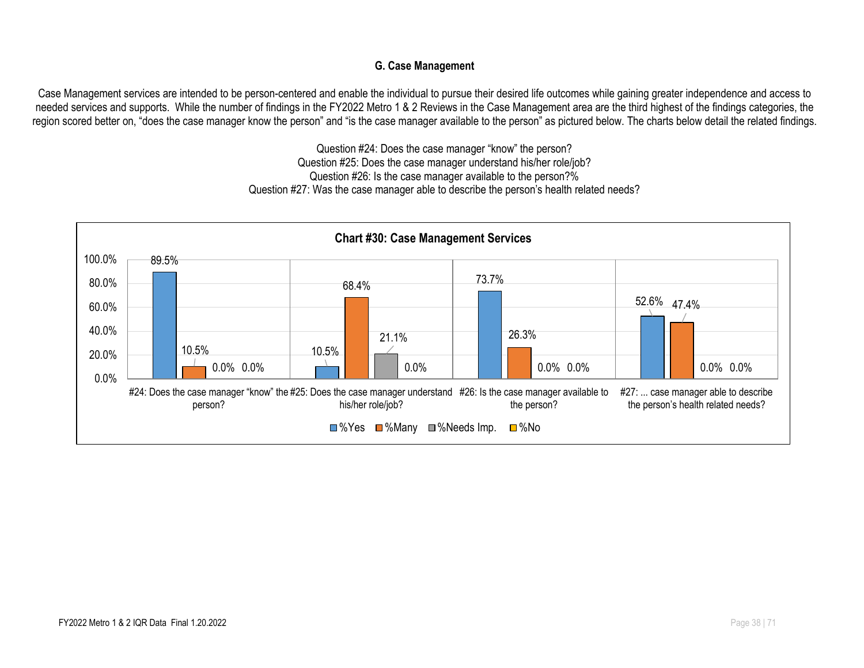#### **G. Case Management**

Case Management services are intended to be person-centered and enable the individual to pursue their desired life outcomes while gaining greater independence and access to needed services and supports. While the number of findings in the FY2022 Metro 1 & 2 Reviews in the Case Management area are the third highest of the findings categories, the region scored better on, "does the case manager know the person" and "is the case manager available to the person" as pictured below. The charts below detail the related findings.

> Question #24: Does the case manager "know" the person? Question #25: Does the case manager understand his/her role/job? Question #26: Is the case manager available to the person?% Question #27: Was the case manager able to describe the person's health related needs?

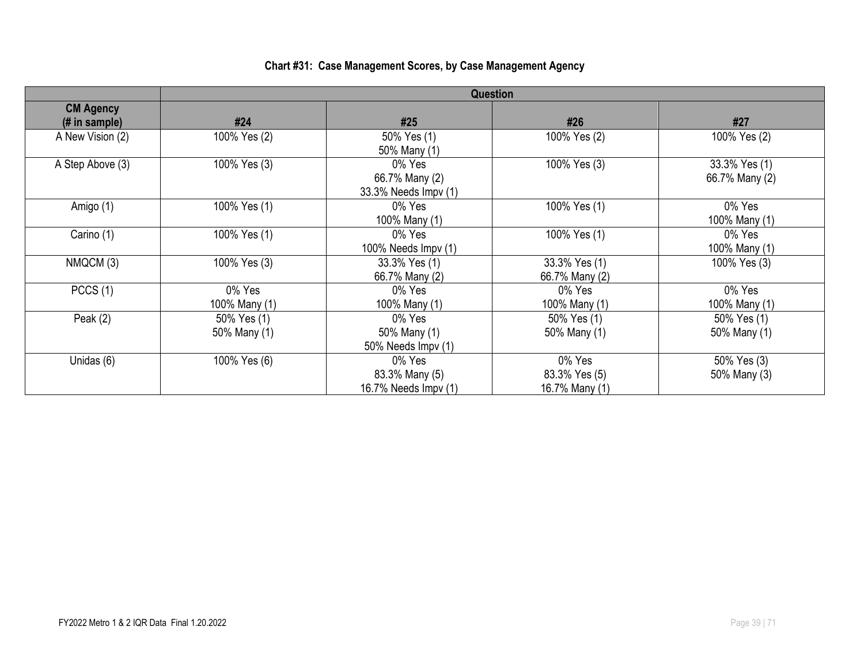## **Chart #31: Case Management Scores, by Case Management Agency**

|                                    | <b>Question</b>             |                                                  |                                           |                                 |  |  |  |
|------------------------------------|-----------------------------|--------------------------------------------------|-------------------------------------------|---------------------------------|--|--|--|
| <b>CM Agency</b><br>$#$ in sample) | #24                         | #25                                              | #26                                       | #27                             |  |  |  |
| A New Vision (2)                   | 100% Yes (2)                | 50% Yes (1)<br>50% Many (1)                      | 100% Yes (2)                              | 100% Yes (2)                    |  |  |  |
| A Step Above (3)                   | 100% Yes (3)                | 0% Yes<br>66.7% Many (2)<br>33.3% Needs Impv (1) | 100% Yes (3)                              | 33.3% Yes (1)<br>66.7% Many (2) |  |  |  |
| Amigo (1)                          | 100% Yes (1)                | 0% Yes<br>100% Many (1)                          | 100% Yes (1)                              | 0% Yes<br>100% Many (1)         |  |  |  |
| Carino (1)                         | 100% Yes (1)                | 0% Yes<br>100% Needs $Impv(1)$                   | 100% Yes (1)                              | 0% Yes<br>100% Many (1)         |  |  |  |
| NMQCM (3)                          | 100% Yes (3)                | 33.3% Yes (1)<br>66.7% Many (2)                  | 33.3% Yes (1)<br>66.7% Many (2)           | 100% Yes (3)                    |  |  |  |
| PCCS(1)                            | 0% Yes<br>100% Many (1)     | 0% Yes<br>100% Many (1)                          | 0% Yes<br>100% Many (1)                   | 0% Yes<br>100% Many (1)         |  |  |  |
| Peak $(2)$                         | 50% Yes (1)<br>50% Many (1) | 0% Yes<br>50% Many (1)<br>50% Needs Impv (1)     | 50% Yes (1)<br>50% Many (1)               | 50% Yes (1)<br>50% Many (1)     |  |  |  |
| Unidas (6)                         | 100% Yes (6)                | 0% Yes<br>83.3% Many (5)<br>16.7% Needs Impv (1) | 0% Yes<br>83.3% Yes (5)<br>16.7% Many (1) | 50% Yes (3)<br>50% Many (3)     |  |  |  |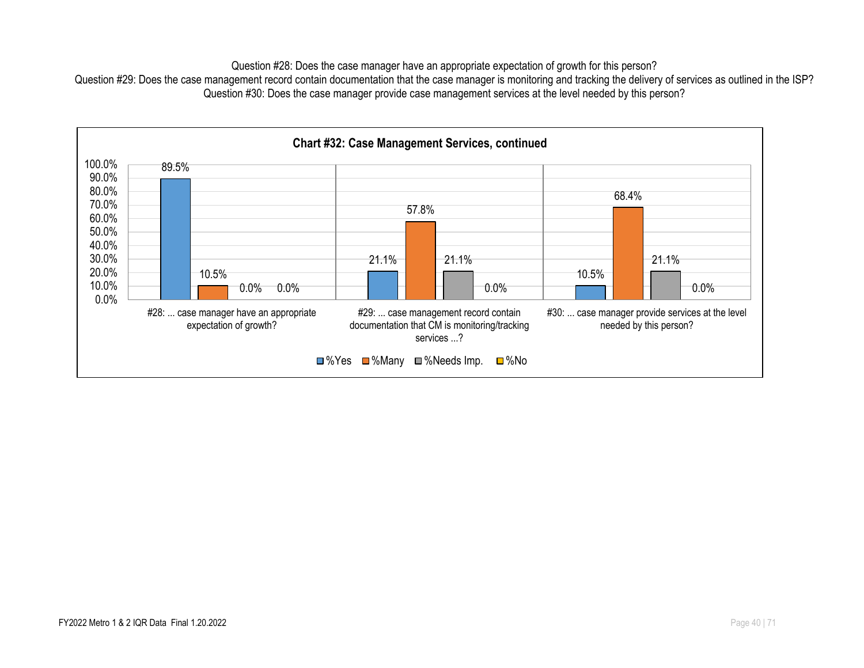Question #28: Does the case manager have an appropriate expectation of growth for this person?

Question #29: Does the case management record contain documentation that the case manager is monitoring and tracking the delivery of services as outlined in the ISP? Question #30: Does the case manager provide case management services at the level needed by this person?

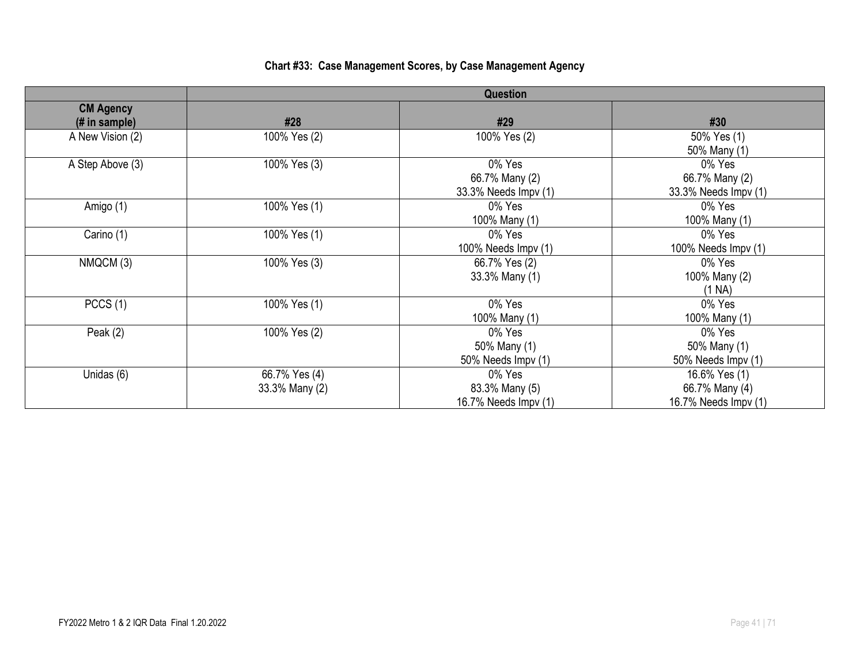| Chart #33: Case Management Scores, by Case Management Agency |  |  |
|--------------------------------------------------------------|--|--|
|                                                              |  |  |

|                                                     | Question                        |                                                  |                                                         |  |  |  |
|-----------------------------------------------------|---------------------------------|--------------------------------------------------|---------------------------------------------------------|--|--|--|
| <b>CM Agency</b><br>$(H \in \mathbb{R})$ in sample) | #28                             | #29                                              | #30                                                     |  |  |  |
| A New Vision (2)                                    | 100% Yes (2)                    | 100% Yes (2)                                     | 50% Yes (1)<br>50% Many (1)                             |  |  |  |
| A Step Above (3)                                    | 100% Yes (3)                    | 0% Yes<br>66.7% Many (2)<br>33.3% Needs Impv (1) | 0% Yes<br>66.7% Many (2)<br>33.3% Needs Impv (1)        |  |  |  |
| Amigo (1)                                           | 100% Yes (1)                    | 0% Yes<br>100% Many (1)                          | 0% Yes<br>100% Many (1)                                 |  |  |  |
| Carino (1)                                          | 100% Yes (1)                    | 0% Yes<br>100% Needs Impv (1)                    | 0% Yes<br>100% Needs Impv (1)                           |  |  |  |
| NMQCM (3)                                           | 100% Yes (3)                    | 66.7% Yes (2)<br>33.3% Many (1)                  | 0% Yes<br>100% Many (2)<br>(1 NA)                       |  |  |  |
| PCCS(1)                                             | 100% Yes (1)                    | 0% Yes<br>100% Many (1)                          | 0% Yes<br>100% Many (1)                                 |  |  |  |
| Peak $(2)$                                          | 100% Yes (2)                    | 0% Yes<br>50% Many (1)<br>50% Needs Impv (1)     | 0% Yes<br>50% Many (1)<br>50% Needs Impv (1)            |  |  |  |
| Unidas (6)                                          | 66.7% Yes (4)<br>33.3% Many (2) | 0% Yes<br>83.3% Many (5)<br>16.7% Needs Impv (1) | 16.6% Yes (1)<br>66.7% Many (4)<br>16.7% Needs Impv (1) |  |  |  |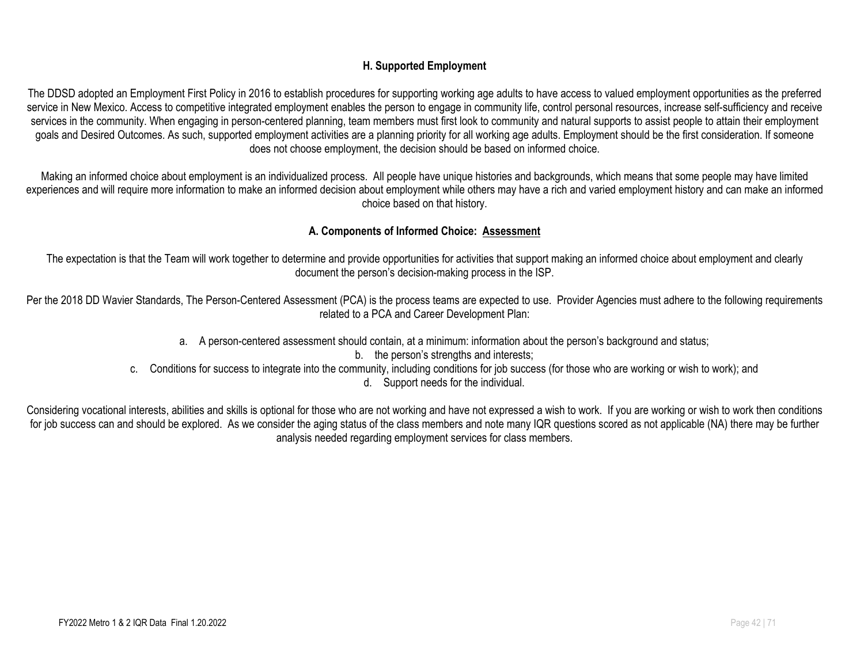#### **H. Supported Employment**

The DDSD adopted an Employment First Policy in 2016 to establish procedures for supporting working age adults to have access to valued employment opportunities as the preferred service in New Mexico. Access to competitive integrated employment enables the person to engage in community life, control personal resources, increase self-sufficiency and receive services in the community. When engaging in person-centered planning, team members must first look to community and natural supports to assist people to attain their employment goals and Desired Outcomes. As such, supported employment activities are a planning priority for all working age adults. Employment should be the first consideration. If someone does not choose employment, the decision should be based on informed choice.

Making an informed choice about employment is an individualized process. All people have unique histories and backgrounds, which means that some people may have limited experiences and will require more information to make an informed decision about employment while others may have a rich and varied employment history and can make an informed choice based on that history.

#### **A. Components of Informed Choice: Assessment**

The expectation is that the Team will work together to determine and provide opportunities for activities that support making an informed choice about employment and clearly document the person's decision-making process in the ISP.

Per the 2018 DD Wavier Standards, The Person-Centered Assessment (PCA) is the process teams are expected to use. Provider Agencies must adhere to the following requirements related to a PCA and Career Development Plan:

- a. A person-centered assessment should contain, at a minimum: information about the person's background and status;
	- b. the person's strengths and interests;
- c. Conditions for success to integrate into the community, including conditions for job success (for those who are working or wish to work); and

d. Support needs for the individual.

Considering vocational interests, abilities and skills is optional for those who are not working and have not expressed a wish to work. If you are working or wish to work then conditions for job success can and should be explored. As we consider the aging status of the class members and note many IQR questions scored as not applicable (NA) there may be further analysis needed regarding employment services for class members.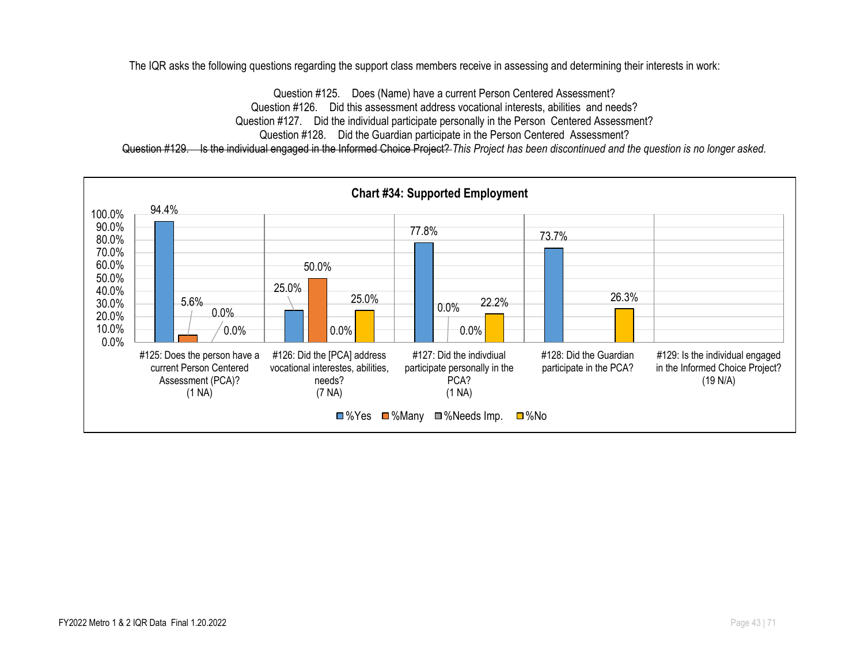The IQR asks the following questions regarding the support class members receive in assessing and determining their interests in work:

Question #125. Does (Name) have a current Person Centered Assessment? Question #126. Did this assessment address vocational interests, abilities and needs? Question #127. Did the individual participate personally in the Person Centered Assessment? Question #128. Did the Guardian participate in the Person Centered Assessment? Question #129. Is the individual engaged in the Informed Choice Project? *This Project has been discontinued and the question is no longer asked.*

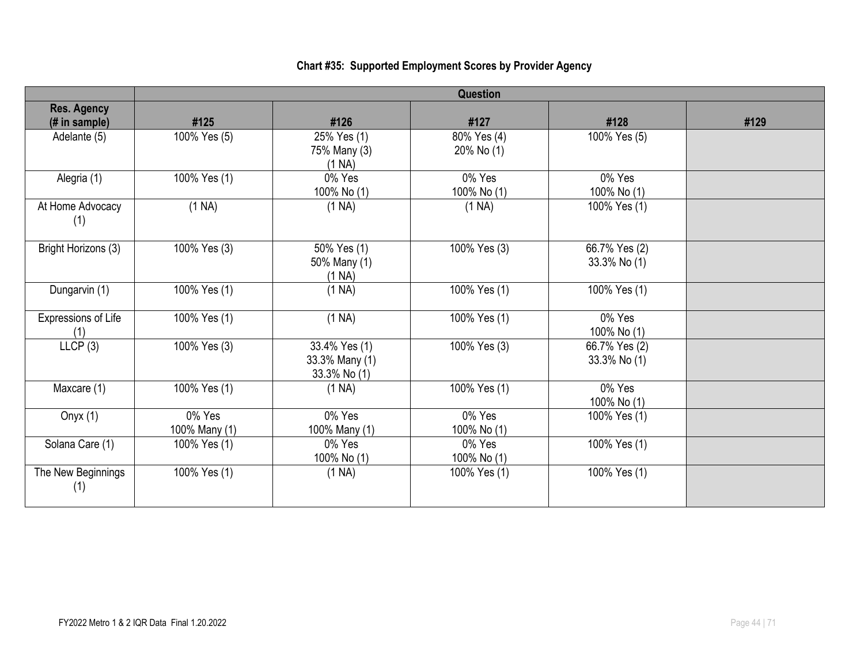# **Chart #35: Supported Employment Scores by Provider Agency**

|                                     | <b>Question</b>         |                                                    |                           |                               |      |  |
|-------------------------------------|-------------------------|----------------------------------------------------|---------------------------|-------------------------------|------|--|
| <b>Res. Agency</b><br>(# in sample) | #125                    | #126                                               | #127                      | #128                          | #129 |  |
| Adelante (5)                        | 100% Yes (5)            | 25% Yes (1)<br>75% Many (3)<br>(1 NA)              | 80% Yes (4)<br>20% No (1) | 100% Yes (5)                  |      |  |
| Alegria (1)                         | 100% Yes (1)            | 0% Yes<br>100% No (1)                              | 0% Yes<br>100% No (1)     | 0% Yes<br>100% No (1)         |      |  |
| At Home Advocacy<br>(1)             | (1 NA)                  | (1 NA)                                             | (1 NA)                    | 100% Yes (1)                  |      |  |
| Bright Horizons (3)                 | 100% Yes (3)            | $\frac{1}{50\%}$ Yes (1)<br>50% Many (1)<br>(1 NA) | 100% Yes (3)              | 66.7% Yes (2)<br>33.3% No (1) |      |  |
| Dungarvin (1)                       | 100% Yes (1)            | (1 NA)                                             | 100% Yes (1)              | 100% Yes (1)                  |      |  |
| Expressions of Life<br>(1)          | 100% Yes (1)            | (1 NA)                                             | 100% Yes (1)              | 0% Yes<br>100% No (1)         |      |  |
| LLCP(3)                             | 100% Yes (3)            | 33.4% Yes (1)<br>33.3% Many (1)<br>33.3% No (1)    | 100% Yes (3)              | 66.7% Yes (2)<br>33.3% No (1) |      |  |
| Maxcare (1)                         | 100% Yes (1)            | (1 NA)                                             | 100% Yes (1)              | 0% Yes<br>100% No (1)         |      |  |
| Onyx $(1)$                          | 0% Yes<br>100% Many (1) | 0% Yes<br>100% Many (1)                            | 0% Yes<br>100% No (1)     | 100% Yes (1)                  |      |  |
| Solana Care (1)                     | 100% Yes (1)            | 0% Yes<br>100% No (1)                              | 0% Yes<br>100% No (1)     | 100% Yes (1)                  |      |  |
| The New Beginnings<br>(1)           | 100% Yes (1)            | (1 NA)                                             | 100% Yes (1)              | 100% Yes (1)                  |      |  |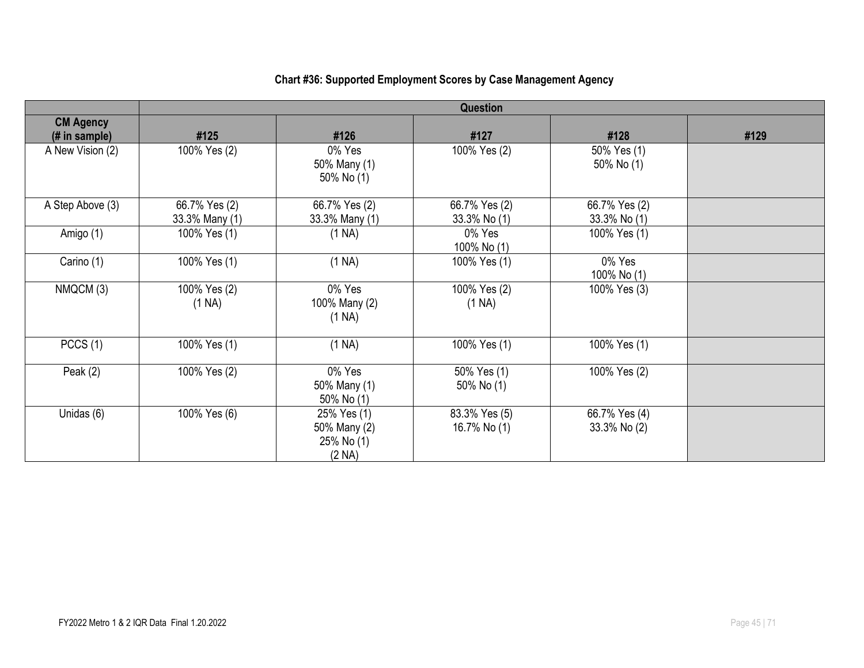#### **Question CM Agency (# in sample) #125 #126 #127 #128 #129** A New Vision (2) 100% Yes (2) 0% Yes 50% Many (1) 50% No (1) 100% Yes (2) 70% Yes (1) 50% No (1) A Step Above  $(3)$  66.7% Yes  $(2)$ 33.3% Many (1) 66.7% Yes (2) 33.3% Many (1) 66.7% Yes (2) 33.3% No (1) 66.7% Yes (2) 33.3% No (1) Amigo (1) 100% Yes (1) (1 NA) 0% Yes 100% No (1) 100% Yes (1) Carino (1)  $\vert$  100% Yes (1)  $\vert$  (1 NA)  $\vert$  100% Yes (1)  $\vert$  0% Yes 100% No (1) NMQCM (3) 100% Yes (2) (1 NA) 0% Yes 100% Many (2) (1 NA) 100% Yes (2) (1 NA) 100% Yes (3) PCCS (1) | 100% Yes (1) | (1 NA) | 100% Yes (1) | 100% Yes (1) Peak (2) 100% Yes (2) 0% Yes 50% Many (1) 50% No (1) 50% Yes (1) 50% No (1) 100% Yes (2) Unidas (6)  $\vert$  100% Yes (6)  $\vert$  25% Yes (1) 50% Many (2) 25% No (1) (2 NA) 83.3% Yes (5) 16.7% No (1) 66.7% Yes (4) 33.3% No (2)

#### **Chart #36: Supported Employment Scores by Case Management Agency**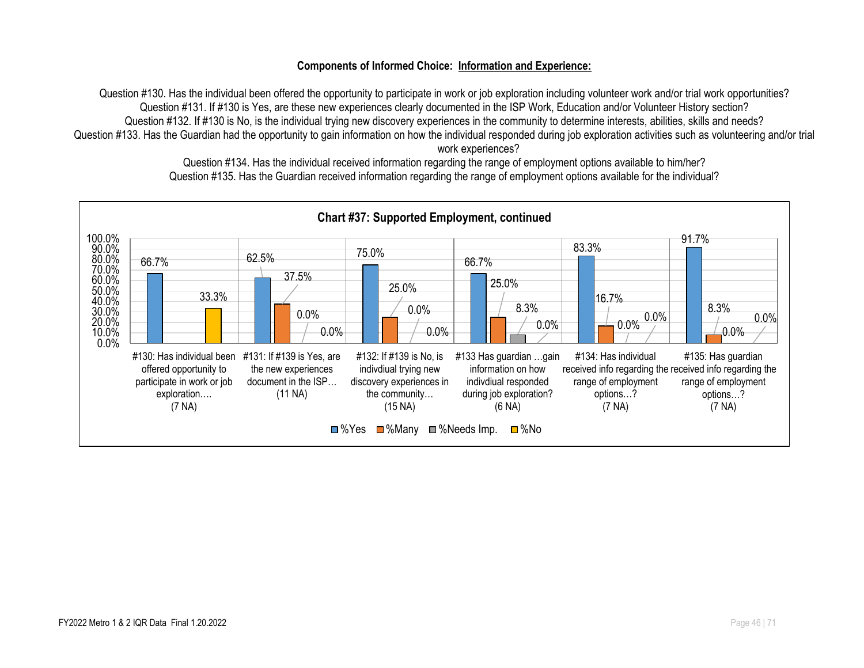#### **Components of Informed Choice: Information and Experience:**

Question #130. Has the individual been offered the opportunity to participate in work or job exploration including volunteer work and/or trial work opportunities? Question #131. If #130 is Yes, are these new experiences clearly documented in the ISP Work, Education and/or Volunteer History section? Question #132. If #130 is No, is the individual trying new discovery experiences in the community to determine interests, abilities, skills and needs? Question #133. Has the Guardian had the opportunity to gain information on how the individual responded during job exploration activities such as volunteering and/or trial work experiences?

> Question #134. Has the individual received information regarding the range of employment options available to him/her? Question #135. Has the Guardian received information regarding the range of employment options available for the individual?

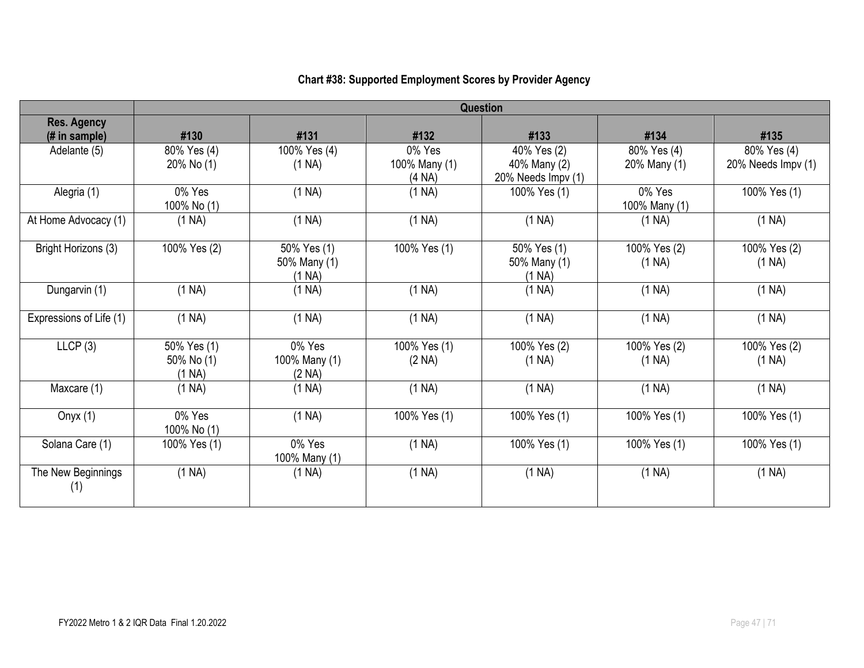|                                      | <b>Question</b>                     |                                       |                                   |                                                   |                             |                                   |  |
|--------------------------------------|-------------------------------------|---------------------------------------|-----------------------------------|---------------------------------------------------|-----------------------------|-----------------------------------|--|
| <b>Res. Agency</b><br>$#$ in sample) | #130                                | #131                                  | #132                              | #133                                              | #134                        | #135                              |  |
| Adelante (5)                         | 80% Yes (4)<br>20% No (1)           | 100% Yes (4)<br>(1 NA)                | 0% Yes<br>100% Many (1)<br>(4 NA) | 40% Yes (2)<br>40% Many (2)<br>20% Needs Impv (1) | 80% Yes (4)<br>20% Many (1) | 80% Yes (4)<br>20% Needs Impv (1) |  |
| Alegria (1)                          | 0% Yes<br>100% No (1)               | (1 NA)                                | (1 NA)                            | 100% Yes (1)                                      | 0% Yes<br>100% Many (1)     | 100% Yes (1)                      |  |
| At Home Advocacy (1)                 | (1 NA)                              | (1 NA)                                | (1 NA)                            | (1 NA)                                            | (1 NA)                      | (1 NA)                            |  |
| Bright Horizons (3)                  | 100% Yes (2)                        | 50% Yes (1)<br>50% Many (1)<br>(1 NA) | 100% Yes (1)                      | 50% Yes (1)<br>50% Many (1)<br>(1 NA)             | 100% Yes (2)<br>(1 NA)      | 100% Yes (2)<br>(1 NA)            |  |
| Dungarvin (1)                        | (1 NA)                              | (1 NA)                                | (1 NA)                            | (1 NA)                                            | (1 NA)                      | (1 NA)                            |  |
| Expressions of Life (1)              | (1 NA)                              | (1 NA)                                | (1 NA)                            | (1 NA)                                            | (1 NA)                      | (1 NA)                            |  |
| LLCP(3)                              | 50% Yes (1)<br>50% No (1)<br>(1 NA) | 0% Yes<br>100% Many (1)<br>(2 NA)     | 100% Yes (1)<br>(2 NA)            | 100% Yes (2)<br>(1 NA)                            | 100% Yes (2)<br>(1 NA)      | 100% Yes (2)<br>(1 NA)            |  |
| Maxcare (1)                          | (1 NA)                              | (1 NA)                                | (1 NA)                            | (1 NA)                                            | (1 NA)                      | (1 NA)                            |  |
| Onyx $(1)$                           | 0% Yes<br>100% No (1)               | (1 NA)                                | 100% Yes (1)                      | 100% Yes (1)                                      | 100% Yes (1)                | 100% Yes (1)                      |  |
| Solana Care (1)                      | 100% Yes (1)                        | 0% Yes<br>100% Many (1)               | (1 NA)                            | 100% Yes (1)                                      | 100% Yes (1)                | 100% Yes (1)                      |  |
| The New Beginnings<br>(1)            | (1 NA)                              | (1 NA)                                | (1 NA)                            | (1 NA)                                            | (1 NA)                      | (1 NA)                            |  |

# **Chart #38: Supported Employment Scores by Provider Agency**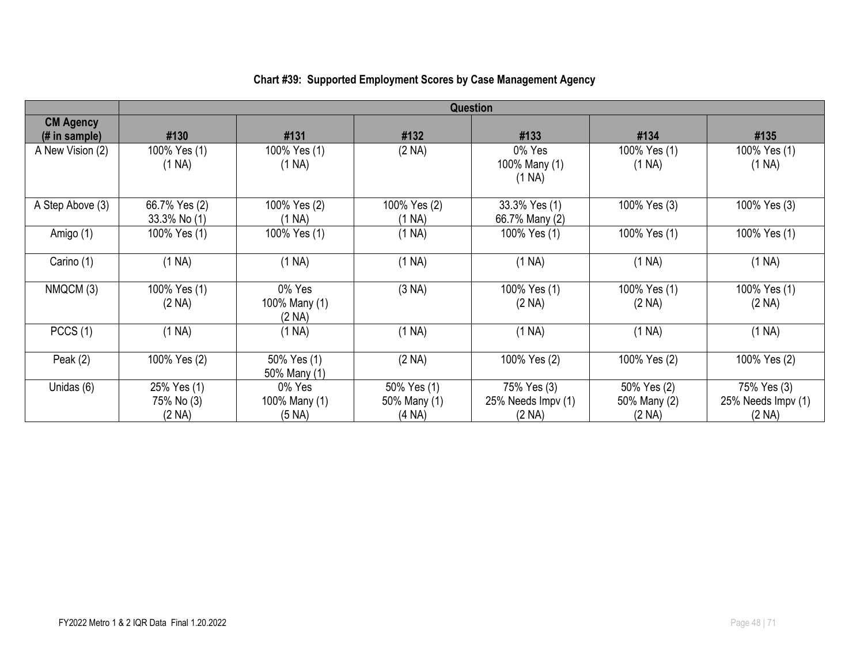|                                    | <b>Question</b>                     |                                   |                                       |                                             |                                       |                                             |  |
|------------------------------------|-------------------------------------|-----------------------------------|---------------------------------------|---------------------------------------------|---------------------------------------|---------------------------------------------|--|
| <b>CM Agency</b><br>$#$ in sample) | #130                                | #131                              | #132                                  | #133                                        | #134                                  | #135                                        |  |
| A New Vision (2)                   | 100% Yes (1)<br>(1 NA)              | 100% Yes (1)<br>(1 NA)            | (2 NA)                                | 0% Yes<br>100% Many (1)<br>(1 NA)           | 100% Yes (1)<br>(1 NA)                | 100% Yes (1)<br>(1 NA)                      |  |
| A Step Above (3)                   | 66.7% Yes (2)<br>33.3% No (1)       | 100% Yes (2)<br>(1 NA)            | 100% Yes (2)<br>(1 NA)                | 33.3% Yes (1)<br>66.7% Many (2)             | 100% Yes (3)                          | 100% Yes (3)                                |  |
| Amigo (1)                          | 100% Yes (1)                        | 100% Yes (1)                      | (1 NA)                                | 100% Yes (1)                                | 100% Yes (1)                          | 100% Yes (1)                                |  |
| Carino (1)                         | (1 NA)                              | (1 NA)                            | (1 NA)                                | (1 NA)                                      | (1 NA)                                | (1 NA)                                      |  |
| NMQCM (3)                          | 100% Yes (1)<br>(2 NA)              | 0% Yes<br>100% Many (1)<br>(2 NA) | (3 NA)                                | 100% Yes (1)<br>(2 NA)                      | 100% Yes (1)<br>(2 NA)                | 100% Yes (1)<br>(2 NA)                      |  |
| PCCS(1)                            | (1 NA)                              | (1 NA)                            | (1 NA)                                | (1 NA)                                      | (1 NA)                                | (1 NA)                                      |  |
| Peak $(2)$                         | 100% Yes (2)                        | 50% Yes (1)<br>50% Many (1)       | (2 NA)                                | 100% Yes (2)                                | 100% Yes (2)                          | 100% Yes (2)                                |  |
| Unidas (6)                         | 25% Yes (1)<br>75% No (3)<br>(2 NA) | 0% Yes<br>100% Many (1)<br>(5 NA) | 50% Yes (1)<br>50% Many (1)<br>(4 NA) | 75% Yes (3)<br>25% Needs Impv (1)<br>(2 NA) | 50% Yes (2)<br>50% Many (2)<br>(2 NA) | 75% Yes (3)<br>25% Needs Impv (1)<br>(2 NA) |  |

## **Chart #39: Supported Employment Scores by Case Management Agency**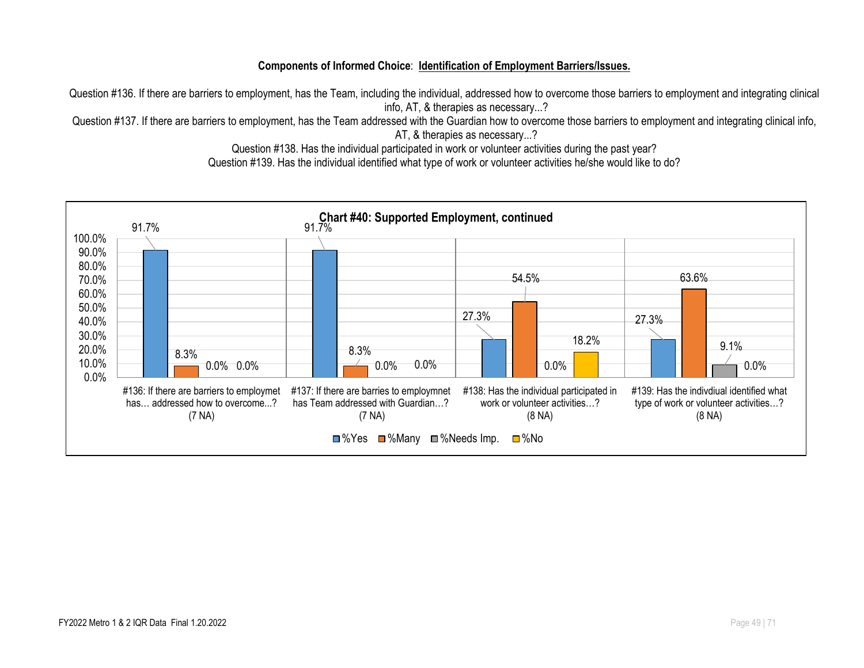#### **Components of Informed Choice**: **Identification of Employment Barriers/Issues.**

Question #136. If there are barriers to employment, has the Team, including the individual, addressed how to overcome those barriers to employment and integrating clinical info, AT, & therapies as necessary...?

Question #137. If there are barriers to employment, has the Team addressed with the Guardian how to overcome those barriers to employment and integrating clinical info, AT, & therapies as necessary...?

Question #138. Has the individual participated in work or volunteer activities during the past year?

Question #139. Has the individual identified what type of work or volunteer activities he/she would like to do?

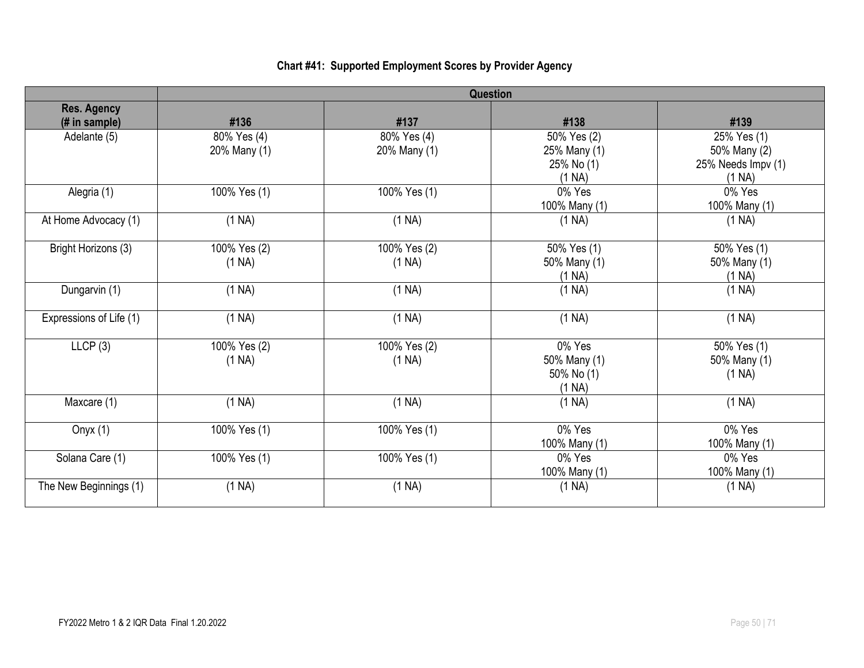### **Chart #41: Supported Employment Scores by Provider Agency**

|                         | <b>Question</b> |              |                      |                              |  |  |
|-------------------------|-----------------|--------------|----------------------|------------------------------|--|--|
| <b>Res. Agency</b>      |                 |              |                      |                              |  |  |
| (# in sample)           | #136            | #137         | #138                 | #139                         |  |  |
| Adelante (5)            | 80% Yes (4)     | 80% Yes (4)  | 50% Yes (2)          | 25% Yes (1)                  |  |  |
|                         | 20% Many (1)    | 20% Many (1) | 25% Many (1)         | 50% Many (2)                 |  |  |
|                         |                 |              | 25% No (1)<br>(1 NA) | 25% Needs Impv (1)<br>(1 NA) |  |  |
| Alegria (1)             | 100% Yes (1)    | 100% Yes (1) | 0% Yes               | 0% Yes                       |  |  |
|                         |                 |              | 100% Many (1)        | 100% Many (1)                |  |  |
| At Home Advocacy (1)    | (1 NA)          | (1 NA)       | (1 NA)               | (1 NA)                       |  |  |
| Bright Horizons (3)     | 100% Yes (2)    | 100% Yes (2) | 50% Yes (1)          | 50% Yes (1)                  |  |  |
|                         | (1 NA)          | (1 NA)       | 50% Many (1)         | 50% Many (1)                 |  |  |
|                         |                 |              | (1 NA)               | (1 NA)                       |  |  |
| Dungarvin (1)           | (1 NA)          | (1 NA)       | (1 NA)               | (1 NA)                       |  |  |
| Expressions of Life (1) | (1 NA)          | (1 NA)       | (1 NA)               | (1 NA)                       |  |  |
| LLCP(3)                 | 100% Yes (2)    | 100% Yes (2) | 0% Yes               | 50% Yes (1)                  |  |  |
|                         | (1 NA)          | (1 NA)       | 50% Many (1)         | 50% Many (1)                 |  |  |
|                         |                 |              | 50% No (1)           | (1 NA)                       |  |  |
|                         |                 |              | (1 NA)               |                              |  |  |
| Maxcare (1)             | (1 NA)          | (1 NA)       | (1 NA)               | (1 NA)                       |  |  |
| Onyx $(1)$              | 100% Yes (1)    | 100% Yes (1) | 0% Yes               | 0% Yes                       |  |  |
|                         |                 |              | 100% Many (1)        | 100% Many (1)                |  |  |
| Solana Care (1)         | 100% Yes (1)    | 100% Yes (1) | 0% Yes               | 0% Yes                       |  |  |
|                         |                 |              | 100% Many (1)        | 100% Many (1)                |  |  |
| The New Beginnings (1)  | (1 NA)          | (1 NA)       | (1 NA)               | (1 NA)                       |  |  |
|                         |                 |              |                      |                              |  |  |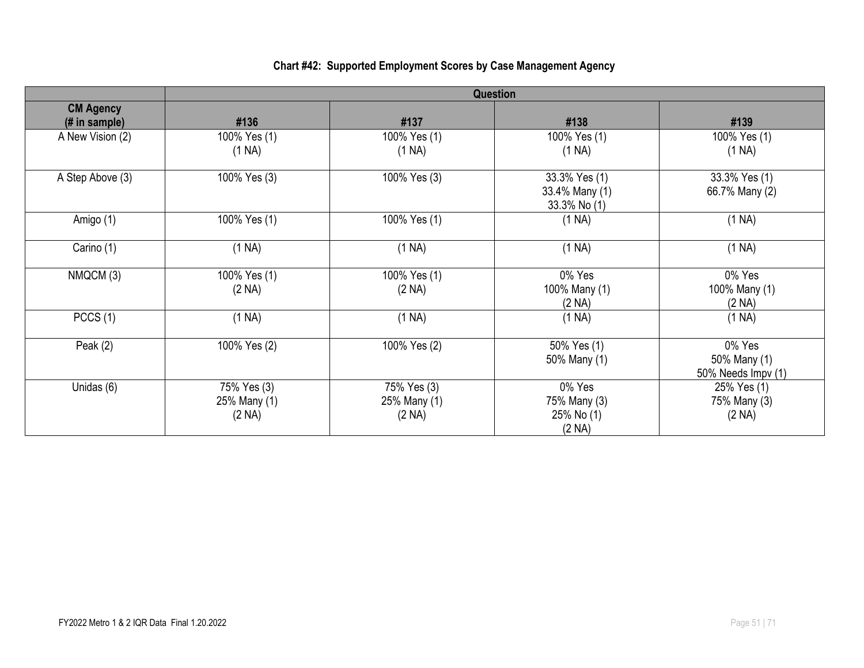#### **Question CM Agency (# in sample) #136 #137 #138 #139** A New Vision (2) 100% Yes (1) (1 NA) 100% Yes (1) (1 NA) 100% Yes (1) (1 NA) 100% Yes (1) (1 NA) A Step Above (3) 100% Yes (3) 100% Yes (3) 100% Yes (3) 33.3% Yes (1) 33.4% Many (1) 33.3% No (1) 33.3% Yes (1) 66.7% Many (2) Amigo (1) | 100% Yes (1) | 100% Yes (1) | (1 NA) (1 NA) Carino (1) (1 NA) (1 NA) (1 NA) NMQCM (3) 100% Yes (1) (2 NA) 100% Yes (1) (2 NA) 0% Yes 100% Many (1) (2 NA) 0% Yes 100% Many (1) (2 NA) PCCS (1) (1 NA) (1 NA) (1 NA) Peak (2) 100% Yes (2) 100% Yes (2) 100% Yes (2) 50% Yes (1) 50% Many (1) 0% Yes 50% Many (1) 50% Needs Impv (1) Unidas (6) 75% Yes (3) 25% Many (1) (2 NA) 75% Yes (3) 25% Many (1) (2 NA) 0% Yes 75% Many (3) 25% No (1) (2 NA) 25% Yes (1) 75% Many (3) (2 NA)

#### **Chart #42: Supported Employment Scores by Case Management Agency**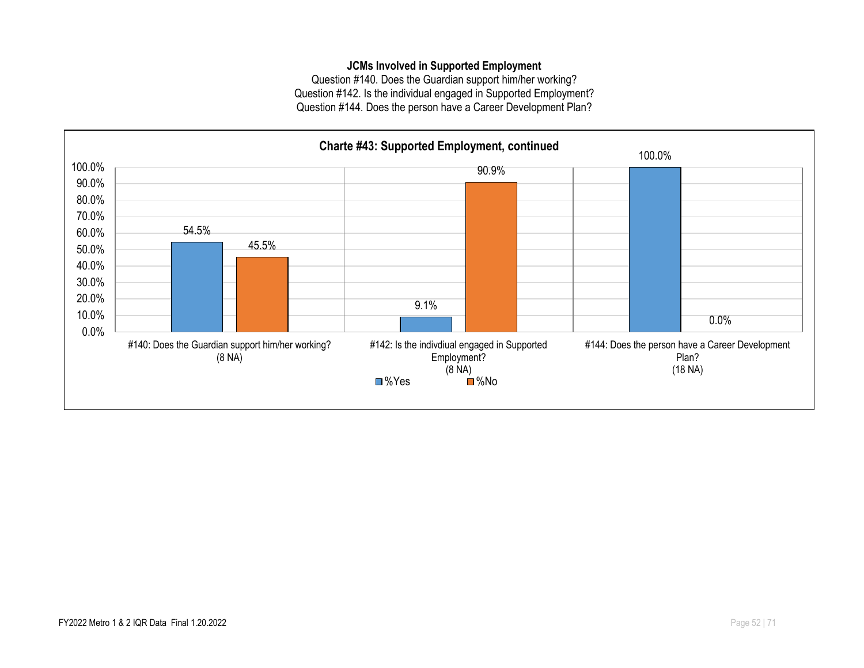#### **JCMs Involved in Supported Employment**

Question #140. Does the Guardian support him/her working? Question #142. Is the individual engaged in Supported Employment? Question #144. Does the person have a Career Development Plan?

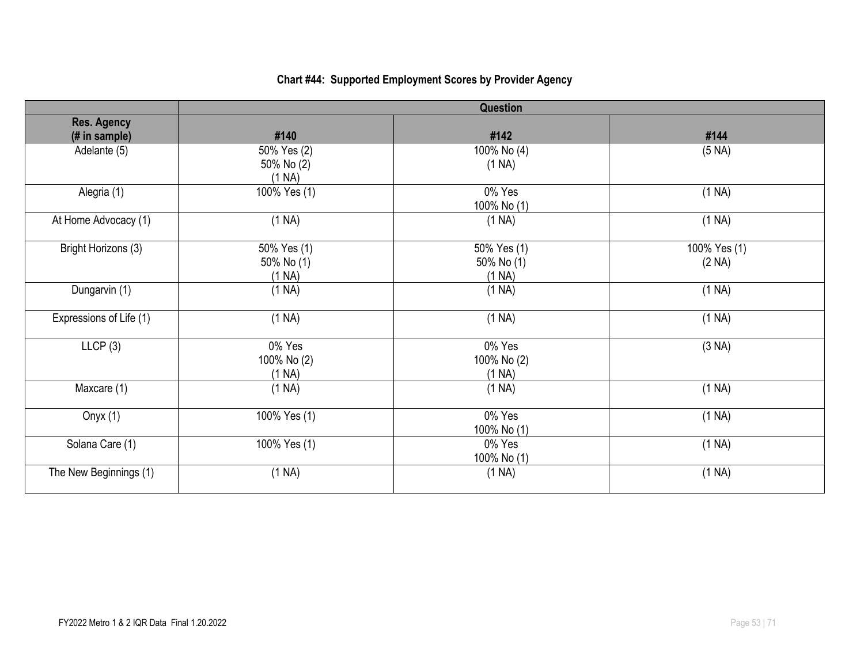# **Chart #44: Supported Employment Scores by Provider Agency**

|                                     |                                     | <b>Question</b>                     |                        |
|-------------------------------------|-------------------------------------|-------------------------------------|------------------------|
| <b>Res. Agency</b><br>(# in sample) | #140                                | #142                                | #144                   |
| Adelante (5)                        | 50% Yes (2)<br>50% No (2)<br>(1 NA) | 100% No (4)<br>(1 NA)               | (5 NA)                 |
| Alegria (1)                         | 100% Yes (1)                        | 0% Yes<br>100% No (1)               | (1 NA)                 |
| At Home Advocacy (1)                | (1 NA)                              | (1 NA)                              | (1 NA)                 |
| Bright Horizons (3)                 | 50% Yes (1)<br>50% No (1)<br>(1 NA) | 50% Yes (1)<br>50% No (1)<br>(1 NA) | 100% Yes (1)<br>(2 NA) |
| Dungarvin (1)                       | (1 NA)                              | (1 NA)                              | (1 NA)                 |
| Expressions of Life (1)             | (1 NA)                              | (1 NA)                              | (1 NA)                 |
| LICP(3)                             | 0% Yes<br>100% No (2)<br>(1 NA)     | 0% Yes<br>100% No (2)<br>(1 NA)     | (3 NA)                 |
| Maxcare (1)                         | (1 NA)                              | (1 NA)                              | (1 NA)                 |
| Onyx $(1)$                          | 100% Yes (1)                        | 0% Yes<br>100% No (1)               | (1 NA)                 |
| Solana Care (1)                     | 100% Yes (1)                        | 0% Yes<br>100% No (1)               | (1 NA)                 |
| The New Beginnings (1)              | (1 NA)                              | (1 NA)                              | (1 NA)                 |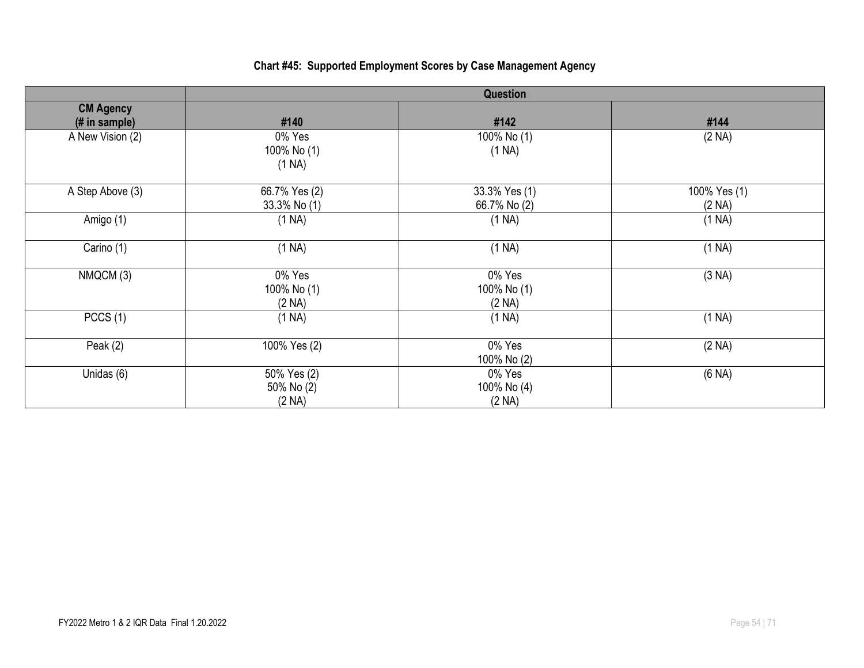## **Chart #45: Supported Employment Scores by Case Management Agency**

|                                   | Question                            |                                 |                           |
|-----------------------------------|-------------------------------------|---------------------------------|---------------------------|
| <b>CM Agency</b><br>(# in sample) | #140                                | #142                            | #144                      |
| A New Vision (2)                  | 0% Yes<br>100% No (1)<br>(1 NA)     | 100% No (1)<br>(1 NA)           | (2 NA)                    |
| A Step Above (3)                  | 66.7% Yes (2)<br>33.3% No (1)       | 33.3% Yes (1)<br>66.7% No (2)   | $100\%$ Yes (1)<br>(2 NA) |
| Amigo (1)                         | (1 NA)                              | (1 NA)                          | (1 NA)                    |
| Carino (1)                        | (1 NA)                              | (1 NA)                          | (1 NA)                    |
| NMQCM (3)                         | 0% Yes<br>100% No (1)<br>(2 NA)     | 0% Yes<br>100% No (1)<br>(2 NA) | (3 NA)                    |
| PCCS(1)                           | (1 NA)                              | (1 NA)                          | (1 NA)                    |
| Peak $(2)$                        | 100% Yes (2)                        | 0% Yes<br>100% No (2)           | (2 NA)                    |
| Unidas (6)                        | 50% Yes (2)<br>50% No (2)<br>(2 NA) | 0% Yes<br>100% No (4)<br>(2 NA) | (6 NA)                    |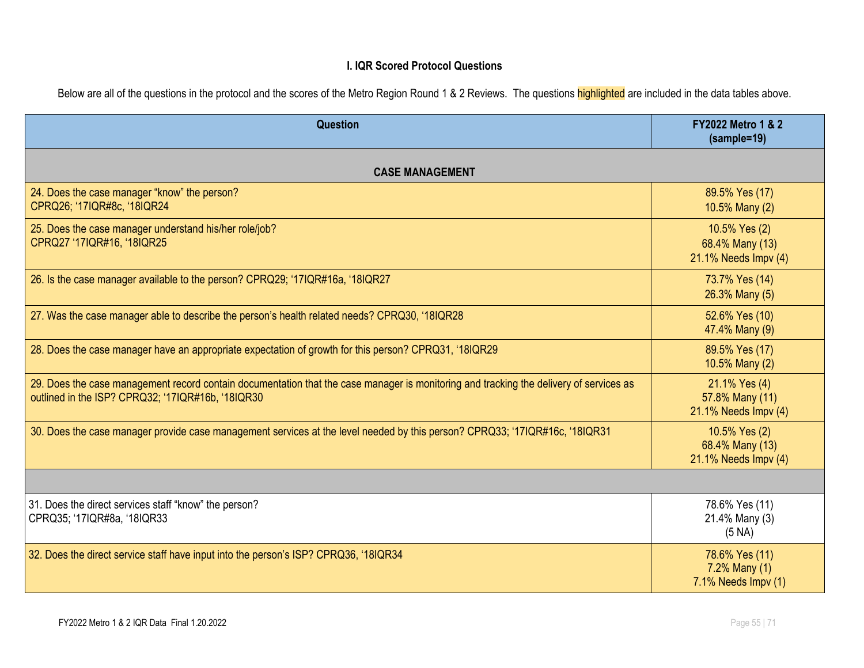#### **I. IQR Scored Protocol Questions**

Below are all of the questions in the protocol and the scores of the Metro Region Round 1 & 2 Reviews. The questions highlighted are included in the data tables above.

| Question                                                                                                                                                                                    | <b>FY2022 Metro 1 &amp; 2</b><br>(sample=19)              |  |  |
|---------------------------------------------------------------------------------------------------------------------------------------------------------------------------------------------|-----------------------------------------------------------|--|--|
| <b>CASE MANAGEMENT</b>                                                                                                                                                                      |                                                           |  |  |
| 24. Does the case manager "know" the person?<br>CPRQ26; '17IQR#8c, '18IQR24                                                                                                                 | 89.5% Yes (17)<br>10.5% Many (2)                          |  |  |
| 25. Does the case manager understand his/her role/job?<br>CPRQ27 '17IQR#16, '18IQR25                                                                                                        | 10.5% Yes (2)<br>68.4% Many (13)<br>21.1% Needs Impv (4)  |  |  |
| 26. Is the case manager available to the person? CPRQ29; '17IQR#16a, '18IQR27                                                                                                               | 73.7% Yes (14)<br>26.3% Many (5)                          |  |  |
| 27. Was the case manager able to describe the person's health related needs? CPRQ30, '18IQR28                                                                                               | 52.6% Yes (10)<br>47.4% Many (9)                          |  |  |
| 28. Does the case manager have an appropriate expectation of growth for this person? CPRQ31, '18IQR29                                                                                       | 89.5% Yes (17)<br>10.5% Many (2)                          |  |  |
| 29. Does the case management record contain documentation that the case manager is monitoring and tracking the delivery of services as<br>outlined in the ISP? CPRQ32; '17IQR#16b, '18IQR30 | 21.1% Yes (4)<br>57.8% Many (11)<br>21.1% Needs Impv (4)  |  |  |
| 30. Does the case manager provide case management services at the level needed by this person? CPRQ33; '17IQR#16c, '18IQR31                                                                 | 10.5% Yes (2)<br>68.4% Many (13)<br>21.1% Needs Impv (4)  |  |  |
|                                                                                                                                                                                             |                                                           |  |  |
| 31. Does the direct services staff "know" the person?<br>CPRQ35; '17IQR#8a, '18IQR33                                                                                                        | 78.6% Yes (11)<br>21.4% Many (3)<br>(5 NA)                |  |  |
| 32. Does the direct service staff have input into the person's ISP? CPRQ36, '18IQR34                                                                                                        | 78.6% Yes (11)<br>$7.2\%$ Many (1)<br>7.1% Needs Impv (1) |  |  |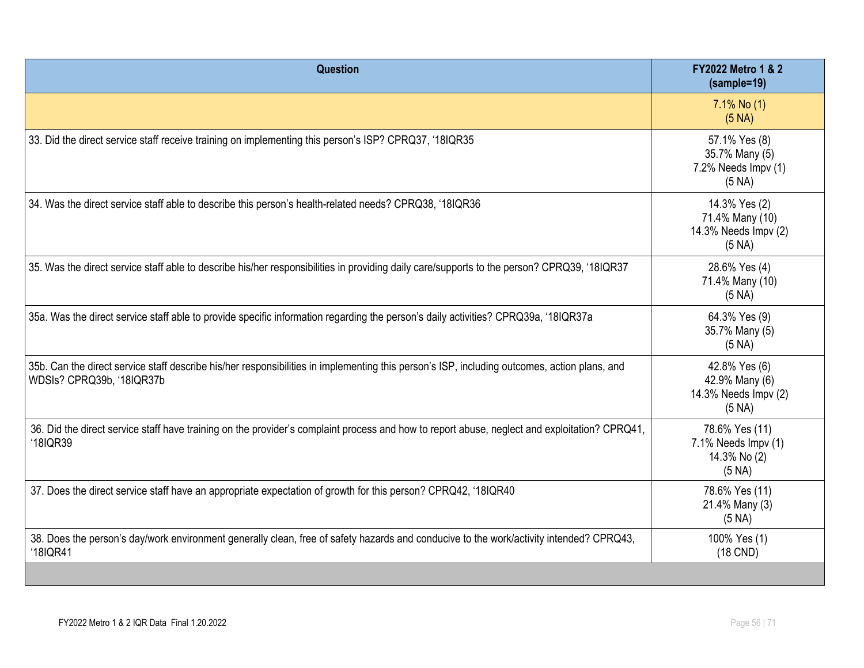| Question                                                                                                                                                                  | <b>FY2022 Metro 1 &amp; 2</b><br>(sample=19)                       |
|---------------------------------------------------------------------------------------------------------------------------------------------------------------------------|--------------------------------------------------------------------|
|                                                                                                                                                                           | $7.1\%$ No (1)<br>(5 NA)                                           |
| 33. Did the direct service staff receive training on implementing this person's ISP? CPRQ37, '18IQR35                                                                     | 57.1% Yes (8)<br>35.7% Many (5)<br>7.2% Needs Impv (1)<br>(5 NA)   |
| 34. Was the direct service staff able to describe this person's health-related needs? CPRQ38, '18IQR36                                                                    | 14.3% Yes (2)<br>71.4% Many (10)<br>14.3% Needs Impv (2)<br>(5 NA) |
| 35. Was the direct service staff able to describe his/her responsibilities in providing daily care/supports to the person? CPRQ39, '18IQR37                               | 28.6% Yes (4)<br>71.4% Many (10)<br>(5 NA)                         |
| 35a. Was the direct service staff able to provide specific information regarding the person's daily activities? CPRQ39a, '18IQR37a                                        | 64.3% Yes (9)<br>35.7% Many (5)<br>(5 NA)                          |
| 35b. Can the direct service staff describe his/her responsibilities in implementing this person's ISP, including outcomes, action plans, and<br>WDSIs? CPRQ39b, '18IQR37b | 42.8% Yes (6)<br>42.9% Many (6)<br>14.3% Needs Impv (2)<br>(5 NA)  |
| 36. Did the direct service staff have training on the provider's complaint process and how to report abuse, neglect and exploitation? CPRQ41,<br>'18IQR39                 | 78.6% Yes (11)<br>7.1% Needs Impv (1)<br>14.3% No (2)<br>(5 NA)    |
| 37. Does the direct service staff have an appropriate expectation of growth for this person? CPRQ42, '18IQR40                                                             | 78.6% Yes (11)<br>21.4% Many (3)<br>(5 NA)                         |
| 38. Does the person's day/work environment generally clean, free of safety hazards and conducive to the work/activity intended? CPRQ43,<br>'18IQR41                       | 100% Yes (1)<br>$(18$ CND)                                         |
|                                                                                                                                                                           |                                                                    |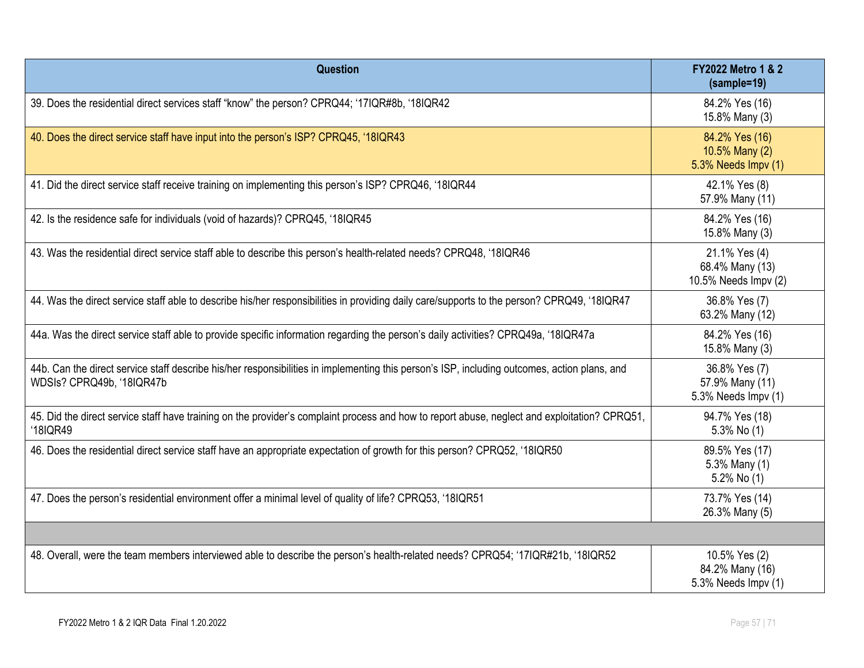| Question                                                                                                                                                                  | FY2022 Metro 1 & 2<br>(sample=19)                        |
|---------------------------------------------------------------------------------------------------------------------------------------------------------------------------|----------------------------------------------------------|
| 39. Does the residential direct services staff "know" the person? CPRQ44; '17IQR#8b, '18IQR42                                                                             | 84.2% Yes (16)<br>15.8% Many (3)                         |
| 40. Does the direct service staff have input into the person's ISP? CPRQ45, '18IQR43                                                                                      | 84.2% Yes (16)<br>10.5% Many (2)<br>5.3% Needs Impv (1)  |
| 41. Did the direct service staff receive training on implementing this person's ISP? CPRQ46, '18IQR44                                                                     | 42.1% Yes (8)<br>57.9% Many (11)                         |
| 42. Is the residence safe for individuals (void of hazards)? CPRQ45, '18IQR45                                                                                             | 84.2% Yes (16)<br>15.8% Many (3)                         |
| 43. Was the residential direct service staff able to describe this person's health-related needs? CPRQ48, '18IQR46                                                        | 21.1% Yes (4)<br>68.4% Many (13)<br>10.5% Needs Impv (2) |
| 44. Was the direct service staff able to describe his/her responsibilities in providing daily care/supports to the person? CPRQ49, '18IQR47                               | 36.8% Yes (7)<br>63.2% Many (12)                         |
| 44a. Was the direct service staff able to provide specific information regarding the person's daily activities? CPRQ49a, '18IQR47a                                        | 84.2% Yes (16)<br>15.8% Many (3)                         |
| 44b. Can the direct service staff describe his/her responsibilities in implementing this person's ISP, including outcomes, action plans, and<br>WDSIs? CPRQ49b, '18IQR47b | 36.8% Yes (7)<br>57.9% Many (11)<br>5.3% Needs Impv (1)  |
| 45. Did the direct service staff have training on the provider's complaint process and how to report abuse, neglect and exploitation? CPRQ51,<br>'18IQR49                 | 94.7% Yes (18)<br>$5.3\%$ No $(1)$                       |
| 46. Does the residential direct service staff have an appropriate expectation of growth for this person? CPRQ52, '18IQR50                                                 | 89.5% Yes (17)<br>5.3% Many (1)<br>5.2% No (1)           |
| 47. Does the person's residential environment offer a minimal level of quality of life? CPRQ53, '18IQR51                                                                  | 73.7% Yes (14)<br>26.3% Many (5)                         |
|                                                                                                                                                                           |                                                          |
| 48. Overall, were the team members interviewed able to describe the person's health-related needs? CPRQ54; '17IQR#21b, '18IQR52                                           | 10.5% Yes (2)<br>84.2% Many (16)<br>5.3% Needs Impv (1)  |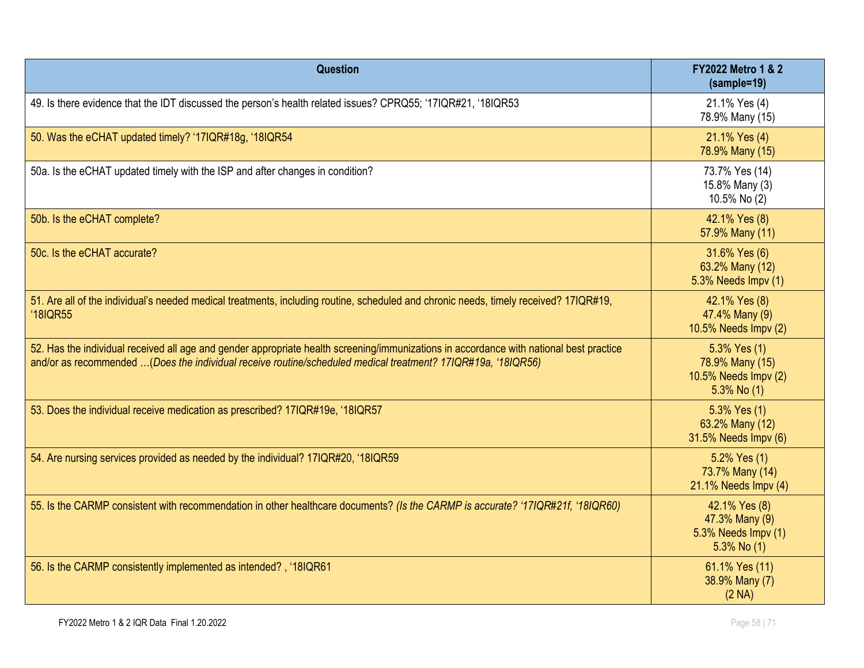| Question                                                                                                                                                                                                                                                | <b>FY2022 Metro 1 &amp; 2</b><br>(sample=19)                                |
|---------------------------------------------------------------------------------------------------------------------------------------------------------------------------------------------------------------------------------------------------------|-----------------------------------------------------------------------------|
| 49. Is there evidence that the IDT discussed the person's health related issues? CPRQ55; '17IQR#21, '18IQR53                                                                                                                                            | 21.1% Yes (4)<br>78.9% Many (15)                                            |
| 50. Was the eCHAT updated timely? '17IQR#18g, '18IQR54                                                                                                                                                                                                  | 21.1% Yes (4)<br>78.9% Many (15)                                            |
| 50a. Is the eCHAT updated timely with the ISP and after changes in condition?                                                                                                                                                                           | 73.7% Yes (14)<br>15.8% Many (3)<br>10.5% No (2)                            |
| 50b. Is the eCHAT complete?                                                                                                                                                                                                                             | 42.1% Yes (8)<br>57.9% Many (11)                                            |
| 50c. Is the eCHAT accurate?                                                                                                                                                                                                                             | 31.6% Yes (6)<br>63.2% Many (12)<br>5.3% Needs Impv (1)                     |
| 51. Are all of the individual's needed medical treatments, including routine, scheduled and chronic needs, timely received? 17IQR#19,<br><b>'18IQR55</b>                                                                                                | 42.1% Yes (8)<br>47.4% Many (9)<br>10.5% Needs Impv (2)                     |
| 52. Has the individual received all age and gender appropriate health screening/immunizations in accordance with national best practice<br>and/or as recommended (Does the individual receive routine/scheduled medical treatment? 17IQR#19a, '18IQR56) | 5.3% Yes (1)<br>78.9% Many (15)<br>10.5% Needs Impv (2)<br>$5.3\%$ No $(1)$ |
| 53. Does the individual receive medication as prescribed? 17IQR#19e, '18IQR57                                                                                                                                                                           | 5.3% Yes (1)<br>63.2% Many (12)<br>31.5% Needs Impv (6)                     |
| 54. Are nursing services provided as needed by the individual? 17IQR#20, '18IQR59                                                                                                                                                                       | 5.2% Yes (1)<br>73.7% Many (14)<br>21.1% Needs Impv (4)                     |
| 55. Is the CARMP consistent with recommendation in other healthcare documents? (Is the CARMP is accurate? '17IQR#21f, '18IQR60)                                                                                                                         | 42.1% Yes (8)<br>47.3% Many (9)<br>5.3% Needs Impv (1)<br>$5.3\%$ No (1)    |
| 56. Is the CARMP consistently implemented as intended?, '18IQR61                                                                                                                                                                                        | 61.1% Yes (11)<br>38.9% Many (7)<br>(2 NA)                                  |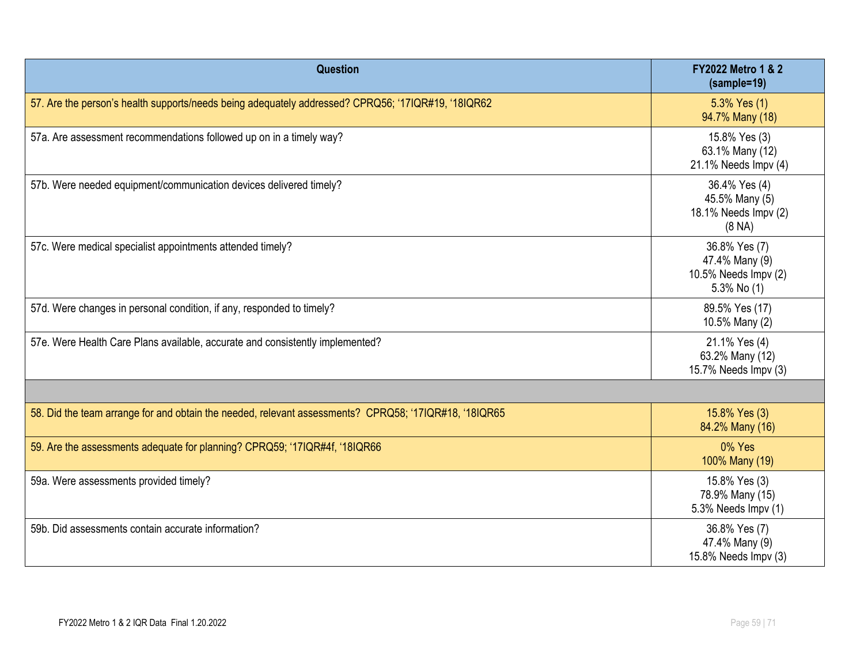| <b>Question</b>                                                                                       | <b>FY2022 Metro 1 &amp; 2</b><br>(sample=19)                           |
|-------------------------------------------------------------------------------------------------------|------------------------------------------------------------------------|
| 57. Are the person's health supports/needs being adequately addressed? CPRQ56; '17IQR#19, '18IQR62    | 5.3% Yes (1)<br>94.7% Many (18)                                        |
| 57a. Are assessment recommendations followed up on in a timely way?                                   | 15.8% Yes (3)<br>63.1% Many (12)<br>21.1% Needs Impv (4)               |
| 57b. Were needed equipment/communication devices delivered timely?                                    | 36.4% Yes (4)<br>45.5% Many (5)<br>18.1% Needs Impv (2)<br>(8 NA)      |
| 57c. Were medical specialist appointments attended timely?                                            | 36.8% Yes (7)<br>47.4% Many (9)<br>10.5% Needs Impv (2)<br>5.3% No (1) |
| 57d. Were changes in personal condition, if any, responded to timely?                                 | 89.5% Yes (17)<br>10.5% Many (2)                                       |
| 57e. Were Health Care Plans available, accurate and consistently implemented?                         | 21.1% Yes (4)<br>63.2% Many (12)<br>15.7% Needs Impv (3)               |
|                                                                                                       |                                                                        |
| 58. Did the team arrange for and obtain the needed, relevant assessments? CPRQ58; '17IQR#18, '18IQR65 | 15.8% Yes (3)<br>84.2% Many (16)                                       |
| 59. Are the assessments adequate for planning? CPRQ59; '17IQR#4f, '18IQR66                            | 0% Yes<br>100% Many (19)                                               |
| 59a. Were assessments provided timely?                                                                | 15.8% Yes (3)<br>78.9% Many (15)<br>5.3% Needs Impv (1)                |
| 59b. Did assessments contain accurate information?                                                    | 36.8% Yes (7)<br>47.4% Many (9)<br>15.8% Needs Impv (3)                |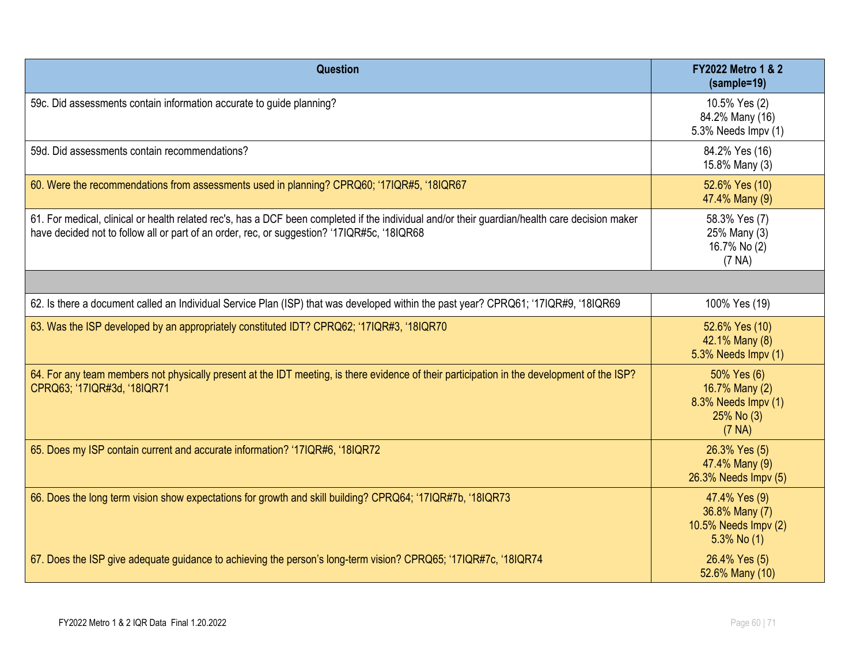| <b>Question</b>                                                                                                                                                                                                                               | <b>FY2022 Metro 1 &amp; 2</b><br>(sample=19)                                 |
|-----------------------------------------------------------------------------------------------------------------------------------------------------------------------------------------------------------------------------------------------|------------------------------------------------------------------------------|
| 59c. Did assessments contain information accurate to guide planning?                                                                                                                                                                          | 10.5% Yes (2)<br>84.2% Many (16)<br>5.3% Needs Impv (1)                      |
| 59d. Did assessments contain recommendations?                                                                                                                                                                                                 | 84.2% Yes (16)<br>15.8% Many (3)                                             |
| 60. Were the recommendations from assessments used in planning? CPRQ60; '17IQR#5, '18IQR67                                                                                                                                                    | 52.6% Yes (10)<br>47.4% Many (9)                                             |
| 61. For medical, clinical or health related rec's, has a DCF been completed if the individual and/or their guardian/health care decision maker<br>have decided not to follow all or part of an order, rec, or suggestion? '17IQR#5c, '18IQR68 | 58.3% Yes (7)<br>25% Many (3)<br>16.7% No (2)<br>(7 NA)                      |
|                                                                                                                                                                                                                                               |                                                                              |
| 62. Is there a document called an Individual Service Plan (ISP) that was developed within the past year? CPRQ61; '17IQR#9, '18IQR69                                                                                                           | 100% Yes (19)                                                                |
| 63. Was the ISP developed by an appropriately constituted IDT? CPRQ62; '17IQR#3, '18IQR70                                                                                                                                                     | 52.6% Yes (10)<br>42.1% Many (8)<br>5.3% Needs Impv (1)                      |
| 64. For any team members not physically present at the IDT meeting, is there evidence of their participation in the development of the ISP?<br>CPRQ63; '17IQR#3d, '18IQR71                                                                    | 50% Yes (6)<br>16.7% Many (2)<br>8.3% Needs Impv (1)<br>25% No (3)<br>(7 NA) |
| 65. Does my ISP contain current and accurate information? '17IQR#6, '18IQR72                                                                                                                                                                  | 26.3% Yes (5)<br>47.4% Many (9)<br>26.3% Needs Impv (5)                      |
| 66. Does the long term vision show expectations for growth and skill building? CPRQ64; '17IQR#7b, '18IQR73                                                                                                                                    | 47.4% Yes (9)<br>36.8% Many (7)<br>10.5% Needs Impv (2)<br>$5.3\%$ No $(1)$  |
| 67. Does the ISP give adequate guidance to achieving the person's long-term vision? CPRQ65; '17IQR#7c, '18IQR74                                                                                                                               | 26.4% Yes (5)<br>52.6% Many (10)                                             |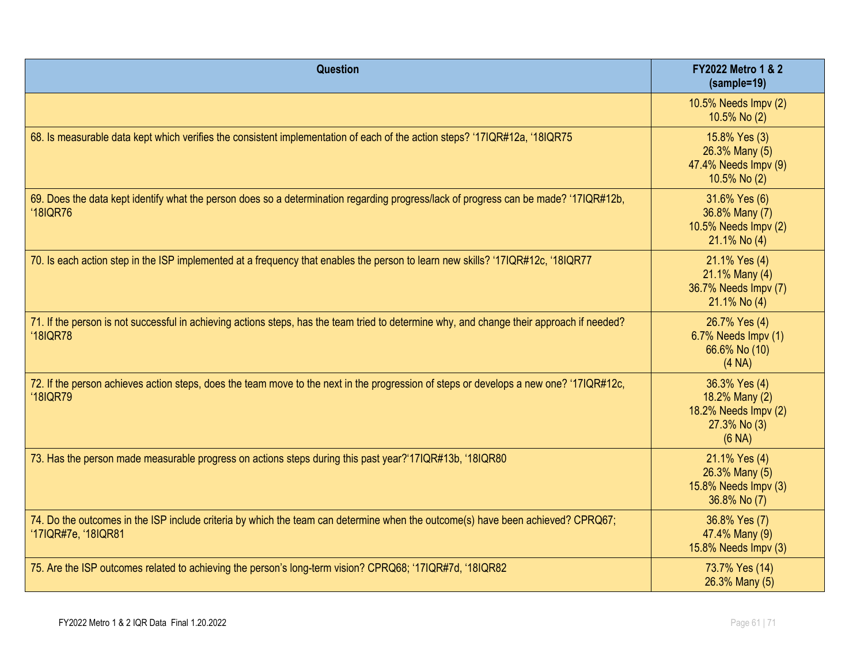| <b>Question</b>                                                                                                                                              | <b>FY2022 Metro 1 &amp; 2</b><br>(sample=19)                                      |
|--------------------------------------------------------------------------------------------------------------------------------------------------------------|-----------------------------------------------------------------------------------|
|                                                                                                                                                              | 10.5% Needs Impv (2)<br>10.5% No (2)                                              |
| 68. Is measurable data kept which verifies the consistent implementation of each of the action steps? '17IQR#12a, '18IQR75                                   | 15.8% Yes (3)<br>26.3% Many (5)<br>47.4% Needs Impv (9)<br>10.5% No (2)           |
| 69. Does the data kept identify what the person does so a determination regarding progress/lack of progress can be made? '17IQR#12b,<br><b>'18IQR76</b>      | 31.6% Yes (6)<br>36.8% Many (7)<br>10.5% Needs Impv (2)<br>21.1% No (4)           |
| 70. Is each action step in the ISP implemented at a frequency that enables the person to learn new skills? '17IQR#12c, '18IQR77                              | 21.1% Yes (4)<br>21.1% Many (4)<br>36.7% Needs Impv (7)<br>21.1% No (4)           |
| 71. If the person is not successful in achieving actions steps, has the team tried to determine why, and change their approach if needed?<br><b>'18IQR78</b> | 26.7% Yes (4)<br>6.7% Needs Impv (1)<br>66.6% No (10)<br>(4 NA)                   |
| 72. If the person achieves action steps, does the team move to the next in the progression of steps or develops a new one? '17IQR#12c,<br><b>'18IQR79</b>    | 36.3% Yes (4)<br>18.2% Many (2)<br>18.2% Needs Impv (2)<br>27.3% No (3)<br>(6 NA) |
| 73. Has the person made measurable progress on actions steps during this past year?'17IQR#13b, '18IQR80                                                      | 21.1% Yes (4)<br>26.3% Many (5)<br>15.8% Needs Impv (3)<br>36.8% No (7)           |
| 74. Do the outcomes in the ISP include criteria by which the team can determine when the outcome(s) have been achieved? CPRQ67;<br>'17IQR#7e, '18IQR81       | 36.8% Yes (7)<br>47.4% Many (9)<br>15.8% Needs Impv (3)                           |
| 75. Are the ISP outcomes related to achieving the person's long-term vision? CPRQ68; '17IQR#7d, '18IQR82                                                     | 73.7% Yes (14)<br>26.3% Many (5)                                                  |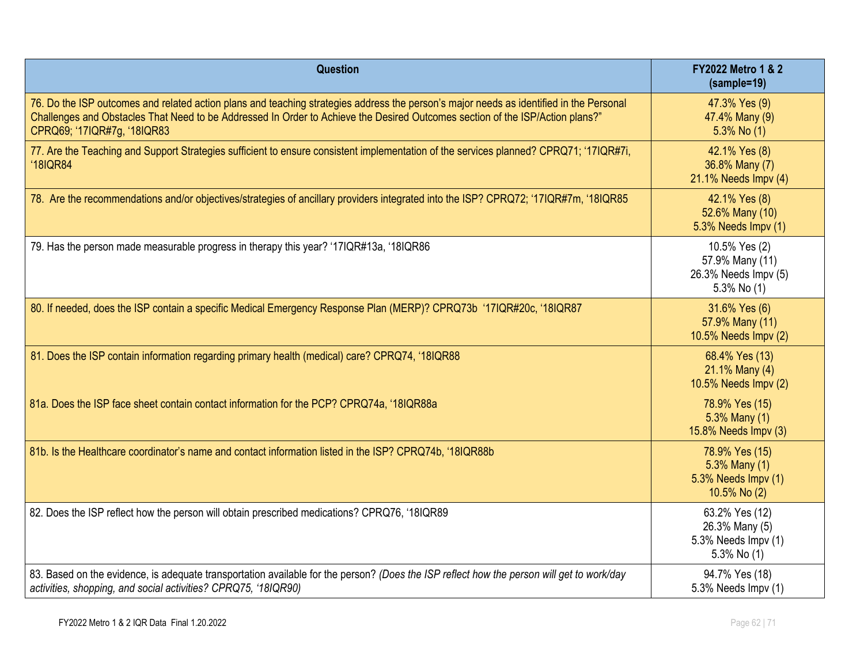| <b>Question</b>                                                                                                                                                                                                                                                                                         | <b>FY2022 Metro 1 &amp; 2</b><br>$(sample=19)$                          |
|---------------------------------------------------------------------------------------------------------------------------------------------------------------------------------------------------------------------------------------------------------------------------------------------------------|-------------------------------------------------------------------------|
| 76. Do the ISP outcomes and related action plans and teaching strategies address the person's major needs as identified in the Personal<br>Challenges and Obstacles That Need to be Addressed In Order to Achieve the Desired Outcomes section of the ISP/Action plans?"<br>CPRQ69; '17IQR#7g, '18IQR83 | 47.3% Yes (9)<br>47.4% Many (9)<br>$5.3\%$ No (1)                       |
| 77. Are the Teaching and Support Strategies sufficient to ensure consistent implementation of the services planned? CPRQ71; '17IQR#7i,<br><b>'18IQR84</b>                                                                                                                                               | 42.1% Yes (8)<br>36.8% Many (7)<br>21.1% Needs Impv (4)                 |
| 78. Are the recommendations and/or objectives/strategies of ancillary providers integrated into the ISP? CPRQ72; '17IQR#7m, '18IQR85                                                                                                                                                                    | 42.1% Yes (8)<br>52.6% Many (10)<br>5.3% Needs Impv (1)                 |
| 79. Has the person made measurable progress in therapy this year? '17IQR#13a, '18IQR86                                                                                                                                                                                                                  | 10.5% Yes (2)<br>57.9% Many (11)<br>26.3% Needs Impv (5)<br>5.3% No (1) |
| 80. If needed, does the ISP contain a specific Medical Emergency Response Plan (MERP)? CPRQ73b '17IQR#20c, '18IQR87                                                                                                                                                                                     | 31.6% Yes (6)<br>57.9% Many (11)<br>10.5% Needs Impv (2)                |
| 81. Does the ISP contain information regarding primary health (medical) care? CPRQ74, '18IQR88                                                                                                                                                                                                          | 68.4% Yes (13)<br>21.1% Many (4)<br>10.5% Needs Impv (2)                |
| 81a. Does the ISP face sheet contain contact information for the PCP? CPRQ74a, '18IQR88a                                                                                                                                                                                                                | 78.9% Yes (15)<br>5.3% Many (1)<br>15.8% Needs Impv (3)                 |
| 81b. Is the Healthcare coordinator's name and contact information listed in the ISP? CPRQ74b, '18IQR88b                                                                                                                                                                                                 | 78.9% Yes (15)<br>5.3% Many (1)<br>5.3% Needs Impv (1)<br>10.5% No (2)  |
| 82. Does the ISP reflect how the person will obtain prescribed medications? CPRQ76, '18IQR89                                                                                                                                                                                                            | 63.2% Yes (12)<br>26.3% Many (5)<br>5.3% Needs Impv (1)<br>5.3% No (1)  |
| 83. Based on the evidence, is adequate transportation available for the person? (Does the ISP reflect how the person will get to work/day<br>activities, shopping, and social activities? CPRQ75, '18IQR90)                                                                                             | 94.7% Yes (18)<br>5.3% Needs Impv (1)                                   |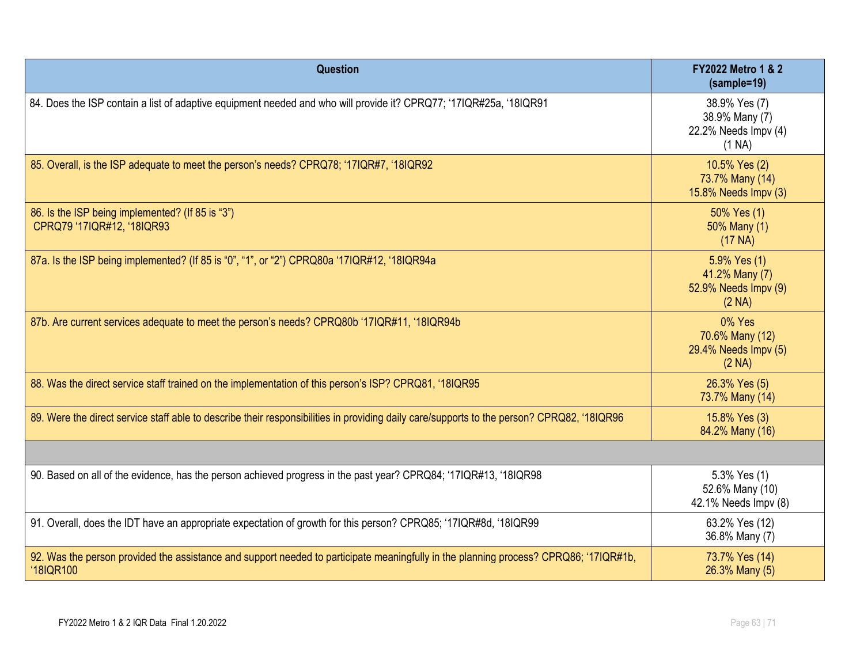| Question                                                                                                                                           | <b>FY2022 Metro 1 &amp; 2</b><br>(sample=19)                      |
|----------------------------------------------------------------------------------------------------------------------------------------------------|-------------------------------------------------------------------|
| 84. Does the ISP contain a list of adaptive equipment needed and who will provide it? CPRQ77; '17IQR#25a, '18IQR91                                 | 38.9% Yes (7)<br>38.9% Many (7)<br>22.2% Needs Impv (4)<br>(1 NA) |
| 85. Overall, is the ISP adequate to meet the person's needs? CPRQ78; '17IQR#7, '18IQR92                                                            | 10.5% Yes (2)<br>73.7% Many (14)<br>15.8% Needs Impv (3)          |
| 86. Is the ISP being implemented? (If 85 is "3")<br>CPRQ79 '17IQR#12, '18IQR93                                                                     | 50% Yes (1)<br>50% Many (1)<br>(17 <sub>NA</sub> )                |
| 87a. Is the ISP being implemented? (If 85 is "0", "1", or "2") CPRQ80a '17IQR#12, '18IQR94a                                                        | 5.9% Yes (1)<br>41.2% Many (7)<br>52.9% Needs Impv (9)<br>(2 NA)  |
| 87b. Are current services adequate to meet the person's needs? CPRQ80b '17IQR#11, '18IQR94b                                                        | 0% Yes<br>70.6% Many (12)<br>29.4% Needs Impv (5)<br>(2 NA)       |
| 88. Was the direct service staff trained on the implementation of this person's ISP? CPRQ81, '18IQR95                                              | 26.3% Yes (5)<br>73.7% Many (14)                                  |
| 89. Were the direct service staff able to describe their responsibilities in providing daily care/supports to the person? CPRQ82, '18IQR96         | 15.8% Yes (3)<br>84.2% Many (16)                                  |
|                                                                                                                                                    |                                                                   |
| 90. Based on all of the evidence, has the person achieved progress in the past year? CPRQ84; '17IQR#13, '18IQR98                                   | 5.3% Yes (1)<br>52.6% Many (10)<br>42.1% Needs Impv (8)           |
| 91. Overall, does the IDT have an appropriate expectation of growth for this person? CPRQ85; '17IQR#8d, '18IQR99                                   | 63.2% Yes (12)<br>36.8% Many (7)                                  |
| 92. Was the person provided the assistance and support needed to participate meaningfully in the planning process? CPRQ86; '17IQR#1b,<br>'18IQR100 | 73.7% Yes (14)<br>26.3% Many (5)                                  |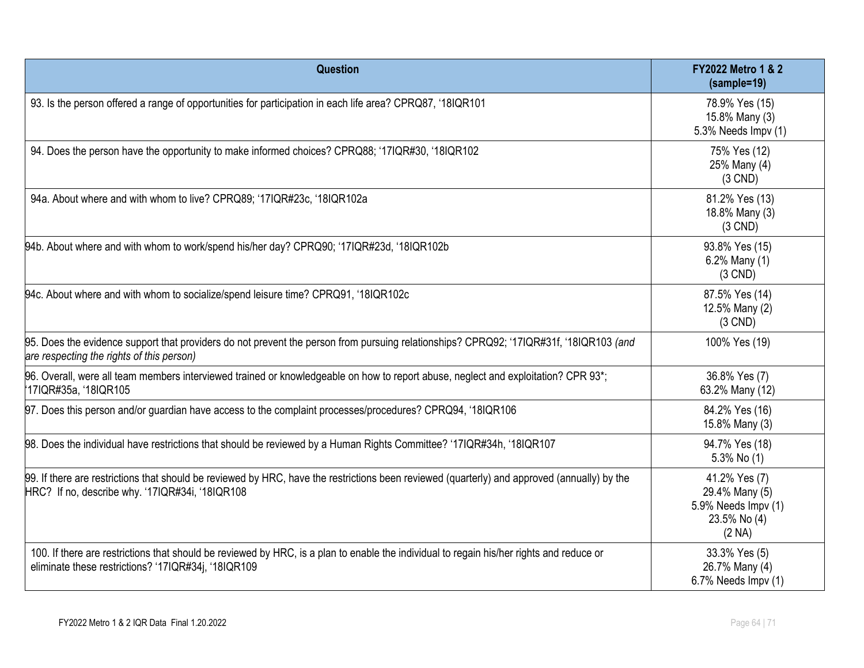| Question                                                                                                                                                                                        | FY2022 Metro 1 & 2<br>(sample=19)                                                |
|-------------------------------------------------------------------------------------------------------------------------------------------------------------------------------------------------|----------------------------------------------------------------------------------|
| 93. Is the person offered a range of opportunities for participation in each life area? CPRQ87, '18IQR101                                                                                       | 78.9% Yes (15)<br>15.8% Many (3)<br>5.3% Needs Impv (1)                          |
| 94. Does the person have the opportunity to make informed choices? CPRQ88; '17IQR#30, '18IQR102                                                                                                 | 75% Yes (12)<br>25% Many (4)<br>$(3$ CND)                                        |
| 94a. About where and with whom to live? CPRQ89; '17IQR#23c, '18IQR102a                                                                                                                          | 81.2% Yes (13)<br>18.8% Many (3)<br>$(3$ CND)                                    |
| 94b. About where and with whom to work/spend his/her day? CPRQ90; '17IQR#23d, '18IQR102b                                                                                                        | 93.8% Yes (15)<br>6.2% Many (1)<br>$(3$ CND)                                     |
| 94c. About where and with whom to socialize/spend leisure time? CPRQ91, '18IQR102c                                                                                                              | 87.5% Yes (14)<br>12.5% Many (2)<br>$(3$ CND)                                    |
| 95. Does the evidence support that providers do not prevent the person from pursuing relationships? CPRQ92; '17IQR#31f, '18IQR103 (and<br>are respecting the rights of this person)             | 100% Yes (19)                                                                    |
| 96. Overall, were all team members interviewed trained or knowledgeable on how to report abuse, neglect and exploitation? CPR 93*;<br>17IQR#35a, '18IQR105                                      | 36.8% Yes (7)<br>63.2% Many (12)                                                 |
| 97. Does this person and/or guardian have access to the complaint processes/procedures? CPRQ94, '18IQR106                                                                                       | 84.2% Yes (16)<br>15.8% Many (3)                                                 |
| 98. Does the individual have restrictions that should be reviewed by a Human Rights Committee? '17IQR#34h, '18IQR107                                                                            | 94.7% Yes (18)<br>5.3% No (1)                                                    |
| 99. If there are restrictions that should be reviewed by HRC, have the restrictions been reviewed (quarterly) and approved (annually) by the<br>HRC? If no, describe why. '17IQR#34i, '18IQR108 | 41.2% Yes (7)<br>29.4% Many (5)<br>5.9% Needs Impv (1)<br>23.5% No (4)<br>(2 NA) |
| 100. If there are restrictions that should be reviewed by HRC, is a plan to enable the individual to regain his/her rights and reduce or<br>eliminate these restrictions? '17IQR#34j, '18IQR109 | 33.3% Yes (5)<br>26.7% Many (4)<br>6.7% Needs Impv (1)                           |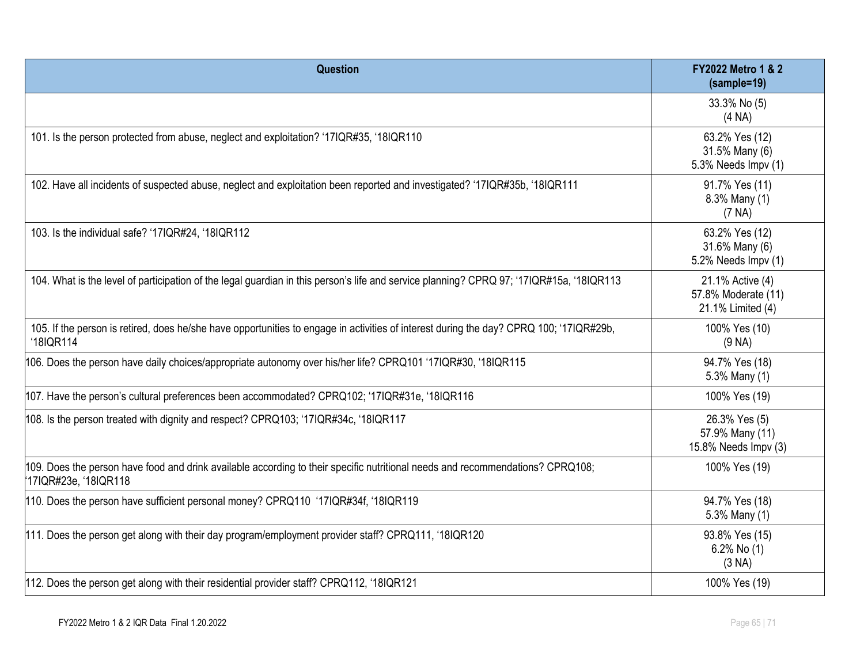| Question                                                                                                                                                | <b>FY2022 Metro 1 &amp; 2</b><br>(sample=19)                 |
|---------------------------------------------------------------------------------------------------------------------------------------------------------|--------------------------------------------------------------|
|                                                                                                                                                         | 33.3% No (5)<br>(4 NA)                                       |
| 101. Is the person protected from abuse, neglect and exploitation? '17IQR#35, '18IQR110                                                                 | 63.2% Yes (12)<br>31.5% Many (6)<br>5.3% Needs Impv (1)      |
| 102. Have all incidents of suspected abuse, neglect and exploitation been reported and investigated? '17IQR#35b, '18IQR111                              | 91.7% Yes (11)<br>8.3% Many (1)<br>(7 NA)                    |
| 103. Is the individual safe? '17IQR#24, '18IQR112                                                                                                       | 63.2% Yes (12)<br>31.6% Many (6)<br>5.2% Needs Impv (1)      |
| 104. What is the level of participation of the legal guardian in this person's life and service planning? CPRQ 97; '17IQR#15a, '18IQR113                | 21.1% Active (4)<br>57.8% Moderate (11)<br>21.1% Limited (4) |
| 105. If the person is retired, does he/she have opportunities to engage in activities of interest during the day? CPRQ 100; '17IQR#29b,<br>'18IQR114    | 100% Yes (10)<br>$(9 \text{NA})$                             |
| 106. Does the person have daily choices/appropriate autonomy over his/her life? CPRQ101 '17IQR#30, '18IQR115                                            | 94.7% Yes (18)<br>5.3% Many (1)                              |
| 107. Have the person's cultural preferences been accommodated? CPRQ102; '17IQR#31e, '18IQR116                                                           | 100% Yes (19)                                                |
| 108. Is the person treated with dignity and respect? CPRQ103; '17IQR#34c, '18IQR117                                                                     | 26.3% Yes (5)<br>57.9% Many (11)<br>15.8% Needs Impv (3)     |
| 109. Does the person have food and drink available according to their specific nutritional needs and recommendations? CPRQ108;<br>17IQR#23e, '18IQR118' | 100% Yes (19)                                                |
| 110. Does the person have sufficient personal money? CPRQ110 '17IQR#34f, '18IQR119                                                                      | 94.7% Yes (18)<br>5.3% Many (1)                              |
| 111. Does the person get along with their day program/employment provider staff? CPRQ111, '18IQR120                                                     | 93.8% Yes (15)<br>6.2% No $(1)$<br>(3 NA)                    |
| 112. Does the person get along with their residential provider staff? CPRQ112, '18IQR121                                                                | 100% Yes (19)                                                |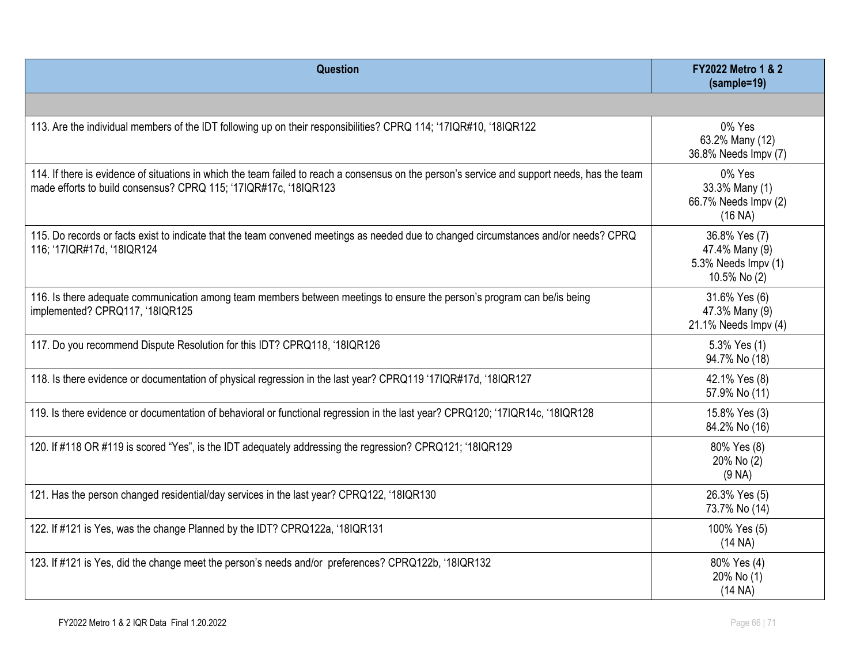| Question                                                                                                                                                                                                          | <b>FY2022 Metro 1 &amp; 2</b><br>(sample=19)                           |
|-------------------------------------------------------------------------------------------------------------------------------------------------------------------------------------------------------------------|------------------------------------------------------------------------|
|                                                                                                                                                                                                                   |                                                                        |
| 113. Are the individual members of the IDT following up on their responsibilities? CPRQ 114; '17IQR#10, '18IQR122                                                                                                 | 0% Yes<br>63.2% Many (12)<br>36.8% Needs Impv (7)                      |
| 114. If there is evidence of situations in which the team failed to reach a consensus on the person's service and support needs, has the team<br>made efforts to build consensus? CPRQ 115; '17IQR#17c, '18IQR123 | 0% Yes<br>33.3% Many (1)<br>66.7% Needs Impv (2)<br>(16 NA)            |
| 115. Do records or facts exist to indicate that the team convened meetings as needed due to changed circumstances and/or needs? CPRQ<br>116; '17IQR#17d, '18IQR124                                                | 36.8% Yes (7)<br>47.4% Many (9)<br>5.3% Needs Impv (1)<br>10.5% No (2) |
| 116. Is there adequate communication among team members between meetings to ensure the person's program can be/is being<br>implemented? CPRQ117, '18IQR125                                                        | 31.6% Yes (6)<br>47.3% Many (9)<br>21.1% Needs Impv (4)                |
| 117. Do you recommend Dispute Resolution for this IDT? CPRQ118, '18IQR126                                                                                                                                         | 5.3% Yes (1)<br>94.7% No (18)                                          |
| 118. Is there evidence or documentation of physical regression in the last year? CPRQ119 '17IQR#17d, '18IQR127                                                                                                    | 42.1% Yes (8)<br>57.9% No (11)                                         |
| 119. Is there evidence or documentation of behavioral or functional regression in the last year? CPRQ120; '17IQR14c, '18IQR128                                                                                    | 15.8% Yes (3)<br>84.2% No (16)                                         |
| 120. If #118 OR #119 is scored "Yes", is the IDT adequately addressing the regression? CPRQ121; '18IQR129                                                                                                         | 80% Yes (8)<br>20% No (2)<br>(9 NA)                                    |
| 121. Has the person changed residential/day services in the last year? CPRQ122, '18IQR130                                                                                                                         | 26.3% Yes (5)<br>73.7% No (14)                                         |
| 122. If #121 is Yes, was the change Planned by the IDT? CPRQ122a, '18IQR131                                                                                                                                       | 100% Yes (5)<br>(14 NA)                                                |
| 123. If #121 is Yes, did the change meet the person's needs and/or preferences? CPRQ122b, '18IQR132                                                                                                               | 80% Yes (4)<br>20% No (1)<br>(14 NA)                                   |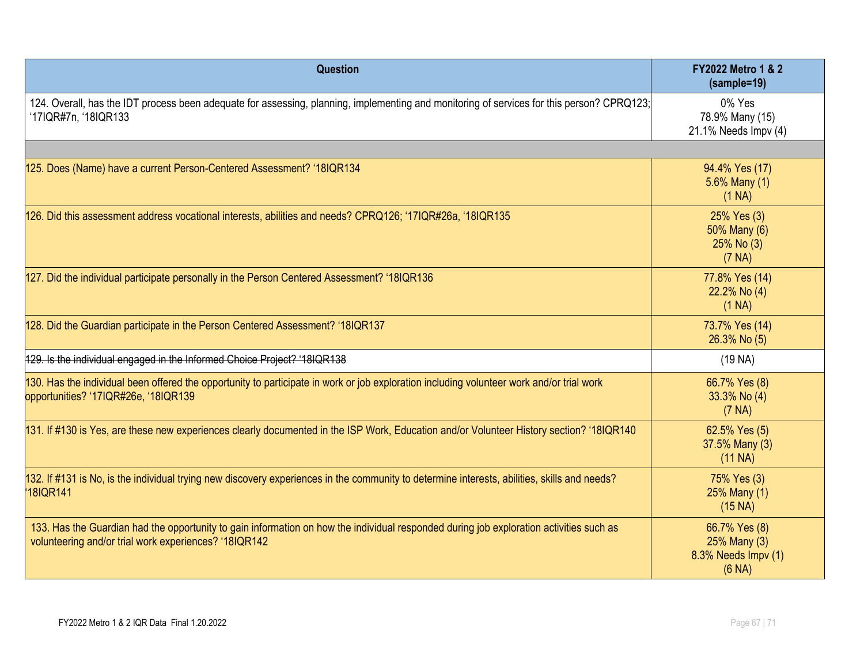| Question                                                                                                                                                                                         | <b>FY2022 Metro 1 &amp; 2</b><br>(sample=19)                   |
|--------------------------------------------------------------------------------------------------------------------------------------------------------------------------------------------------|----------------------------------------------------------------|
| 124. Overall, has the IDT process been adequate for assessing, planning, implementing and monitoring of services for this person? CPRQ123;<br>'17IQR#7n, '18IQR133                               | 0% Yes<br>78.9% Many (15)<br>21.1% Needs Impv (4)              |
|                                                                                                                                                                                                  |                                                                |
| 125. Does (Name) have a current Person-Centered Assessment? '18IQR134                                                                                                                            | 94.4% Yes (17)<br>5.6% Many (1)<br>(1 NA)                      |
| 126. Did this assessment address vocational interests, abilities and needs? CPRQ126; '17IQR#26a, '18IQR135                                                                                       | 25% Yes (3)<br>50% Many (6)<br>25% No (3)<br>(7 NA)            |
| 127. Did the individual participate personally in the Person Centered Assessment? '18IQR136                                                                                                      | 77.8% Yes (14)<br>22.2% No (4)<br>(1 NA)                       |
| 128. Did the Guardian participate in the Person Centered Assessment? '18IQR137                                                                                                                   | 73.7% Yes (14)<br>26.3% No (5)                                 |
| 129. Is the individual engaged in the Informed Choice Project? '18IQR138                                                                                                                         | (19 <sub>NA</sub> )                                            |
| 130. Has the individual been offered the opportunity to participate in work or job exploration including volunteer work and/or trial work<br>opportunities? '17IQR#26e, '18IQR139                | 66.7% Yes (8)<br>33.3% No (4)<br>(7 NA)                        |
| 131. If #130 is Yes, are these new experiences clearly documented in the ISP Work, Education and/or Volunteer History section? '18IQR140                                                         | 62.5% Yes (5)<br>37.5% Many (3)<br>$(11$ NA)                   |
| 132. If #131 is No, is the individual trying new discovery experiences in the community to determine interests, abilities, skills and needs?<br>18IQR141                                         | 75% Yes (3)<br>25% Many (1)<br>$(15 \text{ NA})$               |
| 133. Has the Guardian had the opportunity to gain information on how the individual responded during job exploration activities such as<br>volunteering and/or trial work experiences? '18IQR142 | 66.7% Yes (8)<br>25% Many (3)<br>8.3% Needs Impv (1)<br>(6 NA) |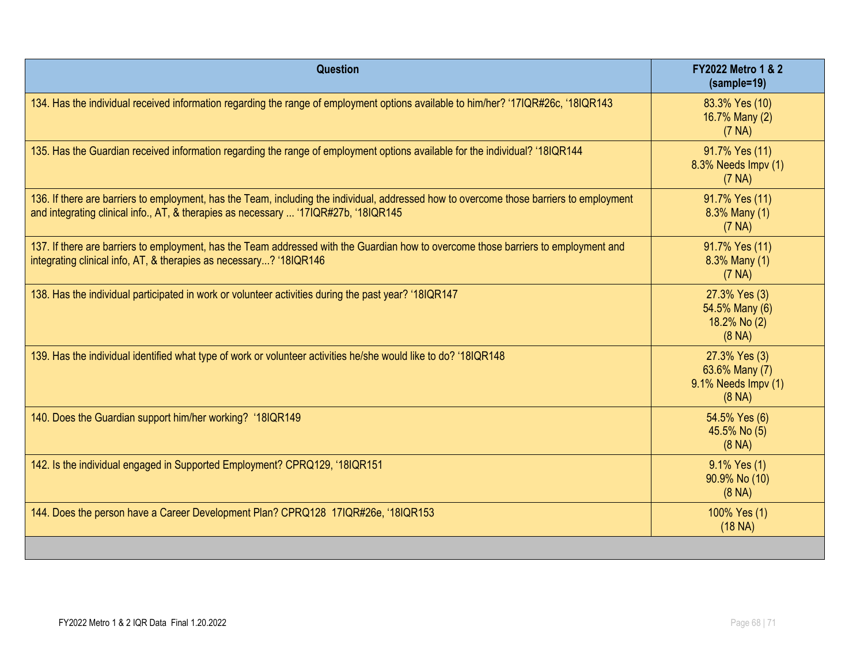| <b>Question</b>                                                                                                                                                                                                                 | <b>FY2022 Metro 1 &amp; 2</b><br>$(sample=19)$                             |
|---------------------------------------------------------------------------------------------------------------------------------------------------------------------------------------------------------------------------------|----------------------------------------------------------------------------|
| 134. Has the individual received information regarding the range of employment options available to him/her? '17IQR#26c, '18IQR143                                                                                              | 83.3% Yes (10)<br>16.7% Many (2)<br>(7 NA)                                 |
| 135. Has the Guardian received information regarding the range of employment options available for the individual? '18IQR144                                                                                                    | 91.7% Yes (11)<br>8.3% Needs Impv (1)<br>(7 NA)                            |
| 136. If there are barriers to employment, has the Team, including the individual, addressed how to overcome those barriers to employment<br>and integrating clinical info., AT, & therapies as necessary  '17IQR#27b, '18IQR145 | 91.7% Yes (11)<br>8.3% Many (1)<br>(7 NA)                                  |
| 137. If there are barriers to employment, has the Team addressed with the Guardian how to overcome those barriers to employment and<br>integrating clinical info, AT, & therapies as necessary? '18IQR146                       | 91.7% Yes (11)<br>8.3% Many (1)<br>(7 NA)                                  |
| 138. Has the individual participated in work or volunteer activities during the past year? '18IQR147                                                                                                                            | 27.3% Yes (3)<br>54.5% Many (6)<br>18.2% No (2)<br>$(8 \text{ NA})$        |
| 139. Has the individual identified what type of work or volunteer activities he/she would like to do? '18IQR148                                                                                                                 | 27.3% Yes (3)<br>63.6% Many (7)<br>9.1% Needs Impv (1)<br>$(8 \text{ NA})$ |
| 140. Does the Guardian support him/her working? '18IQR149                                                                                                                                                                       | 54.5% Yes (6)<br>45.5% No (5)<br>$(8 \text{ NA})$                          |
| 142. Is the individual engaged in Supported Employment? CPRQ129, '18IQR151                                                                                                                                                      | 9.1% Yes (1)<br>90.9% No (10)<br>$(8 \text{ NA})$                          |
| 144. Does the person have a Career Development Plan? CPRQ128 17IQR#26e, '18IQR153                                                                                                                                               | 100% Yes (1)<br>$(18 \text{ NA})$                                          |
|                                                                                                                                                                                                                                 |                                                                            |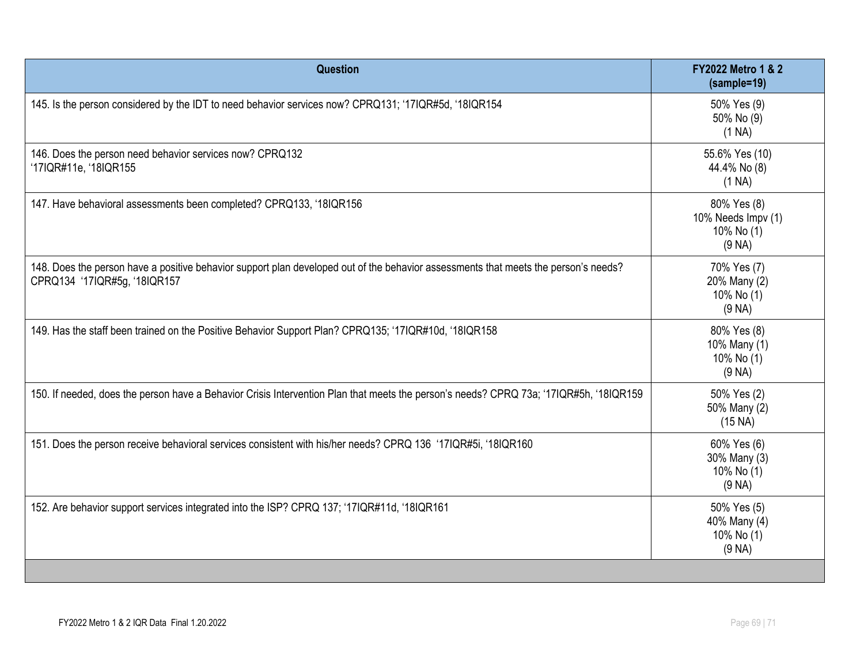| Question                                                                                                                                                            | <b>FY2022 Metro 1 &amp; 2</b><br>(sample=19)                    |
|---------------------------------------------------------------------------------------------------------------------------------------------------------------------|-----------------------------------------------------------------|
| 145. Is the person considered by the IDT to need behavior services now? CPRQ131; '17IQR#5d, '18IQR154                                                               | 50% Yes (9)<br>50% No (9)<br>(1 NA)                             |
| 146. Does the person need behavior services now? CPRQ132<br>'17IQR#11e, '18IQR155                                                                                   | 55.6% Yes (10)<br>44.4% No (8)<br>(1 NA)                        |
| 147. Have behavioral assessments been completed? CPRQ133, '18IQR156                                                                                                 | 80% Yes (8)<br>10% Needs Impv (1)<br>10% No (1)<br>(9 NA)       |
| 148. Does the person have a positive behavior support plan developed out of the behavior assessments that meets the person's needs?<br>CPRQ134 '17IQR#5g, '18IQR157 | 70% Yes (7)<br>20% Many (2)<br>10% No (1)<br>(9 <sub>NA</sub> ) |
| 149. Has the staff been trained on the Positive Behavior Support Plan? CPRQ135; '17IQR#10d, '18IQR158                                                               | 80% Yes (8)<br>10% Many (1)<br>10% No (1)<br>(9 NA)             |
| 150. If needed, does the person have a Behavior Crisis Intervention Plan that meets the person's needs? CPRQ 73a; '17IQR#5h, '18IQR159                              | 50% Yes (2)<br>50% Many (2)<br>(15 NA)                          |
| 151. Does the person receive behavioral services consistent with his/her needs? CPRQ 136 '17IQR#5i, '18IQR160                                                       | 60% Yes (6)<br>30% Many (3)<br>10% No (1)<br>(9 NA)             |
| 152. Are behavior support services integrated into the ISP? CPRQ 137; '17IQR#11d, '18IQR161                                                                         | 50% Yes (5)<br>40% Many (4)<br>10% No (1)<br>(9 NA)             |
|                                                                                                                                                                     |                                                                 |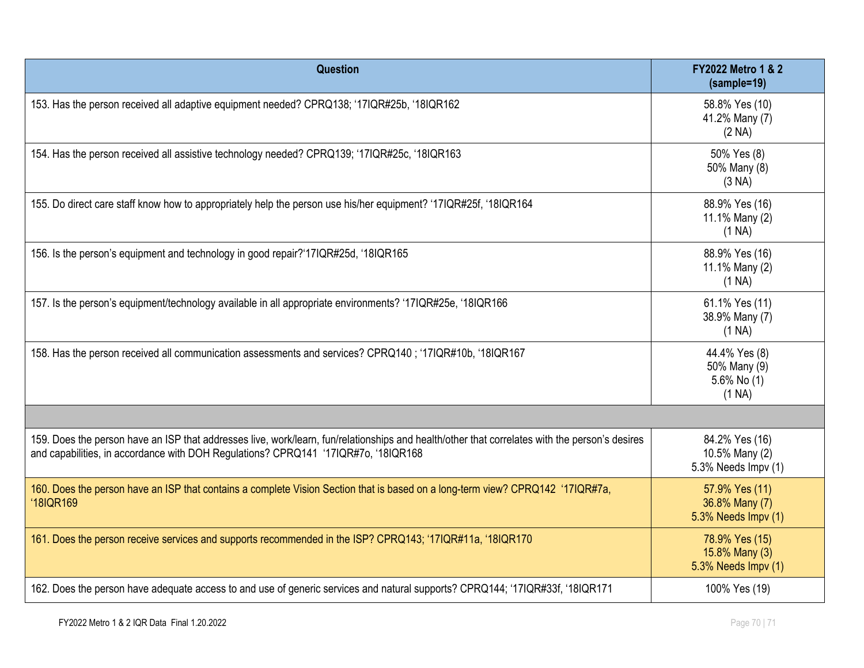| Question                                                                                                                                                                                                                             | <b>FY2022 Metro 1 &amp; 2</b><br>$(sample=19)$           |
|--------------------------------------------------------------------------------------------------------------------------------------------------------------------------------------------------------------------------------------|----------------------------------------------------------|
| 153. Has the person received all adaptive equipment needed? CPRQ138; '17IQR#25b, '18IQR162                                                                                                                                           | 58.8% Yes (10)<br>41.2% Many (7)<br>(2 NA)               |
| 154. Has the person received all assistive technology needed? CPRQ139; '17IQR#25c, '18IQR163                                                                                                                                         | 50% Yes (8)<br>50% Many (8)<br>(3 NA)                    |
| 155. Do direct care staff know how to appropriately help the person use his/her equipment? '17IQR#25f, '18IQR164                                                                                                                     | 88.9% Yes (16)<br>11.1% Many (2)<br>(1 NA)               |
| 156. Is the person's equipment and technology in good repair?'17IQR#25d, '18IQR165                                                                                                                                                   | 88.9% Yes (16)<br>11.1% Many (2)<br>(1 NA)               |
| 157. Is the person's equipment/technology available in all appropriate environments? '17IQR#25e, '18IQR166                                                                                                                           | 61.1% Yes (11)<br>38.9% Many (7)<br>(1 NA)               |
| 158. Has the person received all communication assessments and services? CPRQ140; '17IQR#10b, '18IQR167                                                                                                                              | 44.4% Yes (8)<br>50% Many (9)<br>5.6% No $(1)$<br>(1 NA) |
|                                                                                                                                                                                                                                      |                                                          |
| 159. Does the person have an ISP that addresses live, work/learn, fun/relationships and health/other that correlates with the person's desires<br>and capabilities, in accordance with DOH Regulations? CPRQ141 '17IQR#7o, '18IQR168 | 84.2% Yes (16)<br>10.5% Many (2)<br>5.3% Needs Impv (1)  |
| 160. Does the person have an ISP that contains a complete Vision Section that is based on a long-term view? CPRQ142 '17IQR#7a,<br>'18IQR169                                                                                          | 57.9% Yes (11)<br>36.8% Many (7)<br>5.3% Needs Impv (1)  |
| 161. Does the person receive services and supports recommended in the ISP? CPRQ143; '17IQR#11a, '18IQR170                                                                                                                            | 78.9% Yes (15)<br>15.8% Many (3)<br>5.3% Needs Impv (1)  |
| 162. Does the person have adequate access to and use of generic services and natural supports? CPRQ144; '17IQR#33f, '18IQR171                                                                                                        | 100% Yes (19)                                            |